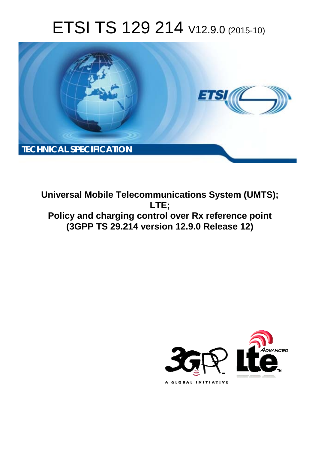# ETSI TS 129 214 V12.9.0 (2015-10)



**Universal Mobile Tel elecommunications System ( (UMTS); Policy and charging control over Rx reference point (3GPP TS 29.2 .214 version 12.9.0 Release 12 12) LTE;** 

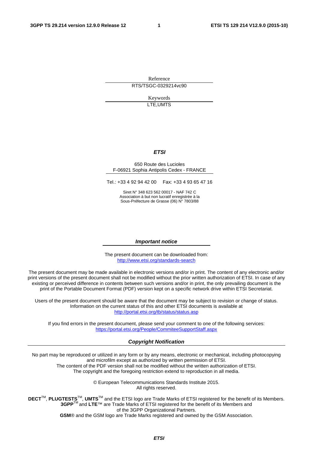Reference RTS/TSGC-0329214vc90

> Keywords LTE,UMTS

#### *ETSI*

#### 650 Route des Lucioles F-06921 Sophia Antipolis Cedex - FRANCE

Tel.: +33 4 92 94 42 00 Fax: +33 4 93 65 47 16

Siret N° 348 623 562 00017 - NAF 742 C Association à but non lucratif enregistrée à la Sous-Préfecture de Grasse (06) N° 7803/88

#### *Important notice*

The present document can be downloaded from: <http://www.etsi.org/standards-search>

The present document may be made available in electronic versions and/or in print. The content of any electronic and/or print versions of the present document shall not be modified without the prior written authorization of ETSI. In case of any existing or perceived difference in contents between such versions and/or in print, the only prevailing document is the print of the Portable Document Format (PDF) version kept on a specific network drive within ETSI Secretariat.

Users of the present document should be aware that the document may be subject to revision or change of status. Information on the current status of this and other ETSI documents is available at <http://portal.etsi.org/tb/status/status.asp>

If you find errors in the present document, please send your comment to one of the following services: <https://portal.etsi.org/People/CommiteeSupportStaff.aspx>

#### *Copyright Notification*

No part may be reproduced or utilized in any form or by any means, electronic or mechanical, including photocopying and microfilm except as authorized by written permission of ETSI.

The content of the PDF version shall not be modified without the written authorization of ETSI. The copyright and the foregoing restriction extend to reproduction in all media.

> © European Telecommunications Standards Institute 2015. All rights reserved.

**DECT**TM, **PLUGTESTS**TM, **UMTS**TM and the ETSI logo are Trade Marks of ETSI registered for the benefit of its Members. **3GPP**TM and **LTE**™ are Trade Marks of ETSI registered for the benefit of its Members and of the 3GPP Organizational Partners.

**GSM**® and the GSM logo are Trade Marks registered and owned by the GSM Association.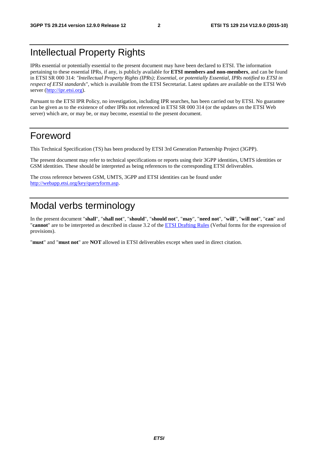## Intellectual Property Rights

IPRs essential or potentially essential to the present document may have been declared to ETSI. The information pertaining to these essential IPRs, if any, is publicly available for **ETSI members and non-members**, and can be found in ETSI SR 000 314: *"Intellectual Property Rights (IPRs); Essential, or potentially Essential, IPRs notified to ETSI in respect of ETSI standards"*, which is available from the ETSI Secretariat. Latest updates are available on the ETSI Web server [\(http://ipr.etsi.org](http://webapp.etsi.org/IPR/home.asp)).

Pursuant to the ETSI IPR Policy, no investigation, including IPR searches, has been carried out by ETSI. No guarantee can be given as to the existence of other IPRs not referenced in ETSI SR 000 314 (or the updates on the ETSI Web server) which are, or may be, or may become, essential to the present document.

## Foreword

This Technical Specification (TS) has been produced by ETSI 3rd Generation Partnership Project (3GPP).

The present document may refer to technical specifications or reports using their 3GPP identities, UMTS identities or GSM identities. These should be interpreted as being references to the corresponding ETSI deliverables.

The cross reference between GSM, UMTS, 3GPP and ETSI identities can be found under [http://webapp.etsi.org/key/queryform.asp.](http://webapp.etsi.org/key/queryform.asp)

## Modal verbs terminology

In the present document "**shall**", "**shall not**", "**should**", "**should not**", "**may**", "**need not**", "**will**", "**will not**", "**can**" and "**cannot**" are to be interpreted as described in clause 3.2 of the [ETSI Drafting Rules](http://portal.etsi.org/Help/editHelp!/Howtostart/ETSIDraftingRules.aspx) (Verbal forms for the expression of provisions).

"**must**" and "**must not**" are **NOT** allowed in ETSI deliverables except when used in direct citation.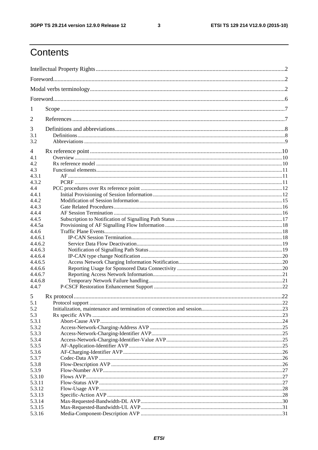$\mathbf{3}$ 

## Contents

| 1<br>2<br>3<br>3.1<br>3.2<br>4<br>4.1<br>4.2<br>4.3<br>4.3.1<br>4.3.2<br>4.4<br>4.4.1<br>4.4.2<br>4.4.3<br>4.4.4<br>4.4.5<br>4.4.5a<br>4.4.6<br>4.4.6.1<br>4.4.6.2<br>4.4.6.3<br>4.4.6.4<br>4.4.6.5<br>4.4.6.6<br>4.4.6.7<br>4.4.6.8<br>4.4.7<br>5<br>22<br>5.1<br>5.2<br>5.3<br>5.3.1<br>5.3.2<br>5.3.3<br>5.3.4<br>5.3.5<br>5.3.6<br>5.3.7<br>5.3.8<br>5.3.9<br>5.3.10<br>5.3.11<br>5.3.12<br>5.3.13<br>5.3.14<br>5.3.15<br>5.3.16 |  |  |  |  |  |
|--------------------------------------------------------------------------------------------------------------------------------------------------------------------------------------------------------------------------------------------------------------------------------------------------------------------------------------------------------------------------------------------------------------------------------------|--|--|--|--|--|
|                                                                                                                                                                                                                                                                                                                                                                                                                                      |  |  |  |  |  |
|                                                                                                                                                                                                                                                                                                                                                                                                                                      |  |  |  |  |  |
|                                                                                                                                                                                                                                                                                                                                                                                                                                      |  |  |  |  |  |
|                                                                                                                                                                                                                                                                                                                                                                                                                                      |  |  |  |  |  |
|                                                                                                                                                                                                                                                                                                                                                                                                                                      |  |  |  |  |  |
|                                                                                                                                                                                                                                                                                                                                                                                                                                      |  |  |  |  |  |
|                                                                                                                                                                                                                                                                                                                                                                                                                                      |  |  |  |  |  |
|                                                                                                                                                                                                                                                                                                                                                                                                                                      |  |  |  |  |  |
|                                                                                                                                                                                                                                                                                                                                                                                                                                      |  |  |  |  |  |
|                                                                                                                                                                                                                                                                                                                                                                                                                                      |  |  |  |  |  |
|                                                                                                                                                                                                                                                                                                                                                                                                                                      |  |  |  |  |  |
|                                                                                                                                                                                                                                                                                                                                                                                                                                      |  |  |  |  |  |
|                                                                                                                                                                                                                                                                                                                                                                                                                                      |  |  |  |  |  |
|                                                                                                                                                                                                                                                                                                                                                                                                                                      |  |  |  |  |  |
|                                                                                                                                                                                                                                                                                                                                                                                                                                      |  |  |  |  |  |
|                                                                                                                                                                                                                                                                                                                                                                                                                                      |  |  |  |  |  |
|                                                                                                                                                                                                                                                                                                                                                                                                                                      |  |  |  |  |  |
|                                                                                                                                                                                                                                                                                                                                                                                                                                      |  |  |  |  |  |
|                                                                                                                                                                                                                                                                                                                                                                                                                                      |  |  |  |  |  |
|                                                                                                                                                                                                                                                                                                                                                                                                                                      |  |  |  |  |  |
|                                                                                                                                                                                                                                                                                                                                                                                                                                      |  |  |  |  |  |
|                                                                                                                                                                                                                                                                                                                                                                                                                                      |  |  |  |  |  |
|                                                                                                                                                                                                                                                                                                                                                                                                                                      |  |  |  |  |  |
|                                                                                                                                                                                                                                                                                                                                                                                                                                      |  |  |  |  |  |
|                                                                                                                                                                                                                                                                                                                                                                                                                                      |  |  |  |  |  |
|                                                                                                                                                                                                                                                                                                                                                                                                                                      |  |  |  |  |  |
|                                                                                                                                                                                                                                                                                                                                                                                                                                      |  |  |  |  |  |
|                                                                                                                                                                                                                                                                                                                                                                                                                                      |  |  |  |  |  |
|                                                                                                                                                                                                                                                                                                                                                                                                                                      |  |  |  |  |  |
|                                                                                                                                                                                                                                                                                                                                                                                                                                      |  |  |  |  |  |
|                                                                                                                                                                                                                                                                                                                                                                                                                                      |  |  |  |  |  |
|                                                                                                                                                                                                                                                                                                                                                                                                                                      |  |  |  |  |  |
|                                                                                                                                                                                                                                                                                                                                                                                                                                      |  |  |  |  |  |
|                                                                                                                                                                                                                                                                                                                                                                                                                                      |  |  |  |  |  |
|                                                                                                                                                                                                                                                                                                                                                                                                                                      |  |  |  |  |  |
|                                                                                                                                                                                                                                                                                                                                                                                                                                      |  |  |  |  |  |
|                                                                                                                                                                                                                                                                                                                                                                                                                                      |  |  |  |  |  |
|                                                                                                                                                                                                                                                                                                                                                                                                                                      |  |  |  |  |  |
|                                                                                                                                                                                                                                                                                                                                                                                                                                      |  |  |  |  |  |
|                                                                                                                                                                                                                                                                                                                                                                                                                                      |  |  |  |  |  |
|                                                                                                                                                                                                                                                                                                                                                                                                                                      |  |  |  |  |  |
|                                                                                                                                                                                                                                                                                                                                                                                                                                      |  |  |  |  |  |
|                                                                                                                                                                                                                                                                                                                                                                                                                                      |  |  |  |  |  |
|                                                                                                                                                                                                                                                                                                                                                                                                                                      |  |  |  |  |  |
|                                                                                                                                                                                                                                                                                                                                                                                                                                      |  |  |  |  |  |
|                                                                                                                                                                                                                                                                                                                                                                                                                                      |  |  |  |  |  |
|                                                                                                                                                                                                                                                                                                                                                                                                                                      |  |  |  |  |  |
|                                                                                                                                                                                                                                                                                                                                                                                                                                      |  |  |  |  |  |
|                                                                                                                                                                                                                                                                                                                                                                                                                                      |  |  |  |  |  |
|                                                                                                                                                                                                                                                                                                                                                                                                                                      |  |  |  |  |  |
|                                                                                                                                                                                                                                                                                                                                                                                                                                      |  |  |  |  |  |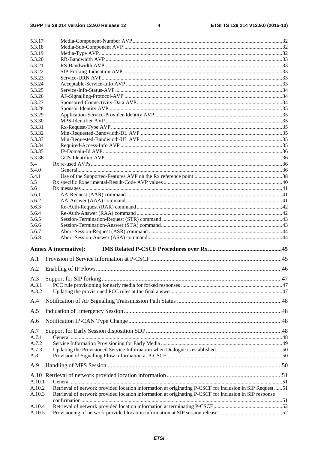$\overline{\mathbf{4}}$ 

| 5.3.17 |                                                                                                          |  |
|--------|----------------------------------------------------------------------------------------------------------|--|
| 5.3.18 |                                                                                                          |  |
| 5.3.19 |                                                                                                          |  |
| 5.3.20 |                                                                                                          |  |
| 5.3.21 |                                                                                                          |  |
| 5.3.22 |                                                                                                          |  |
| 5.3.23 |                                                                                                          |  |
| 5.3.24 |                                                                                                          |  |
| 5.3.25 |                                                                                                          |  |
| 5.3.26 |                                                                                                          |  |
| 5.3.27 |                                                                                                          |  |
| 5.3.28 |                                                                                                          |  |
| 5.3.29 |                                                                                                          |  |
| 5.3.30 |                                                                                                          |  |
| 5.3.31 |                                                                                                          |  |
| 5.3.32 |                                                                                                          |  |
| 5.3.33 |                                                                                                          |  |
| 5.3.34 |                                                                                                          |  |
| 5.3.35 |                                                                                                          |  |
| 5.3.36 |                                                                                                          |  |
| 5.4    |                                                                                                          |  |
| 5.4.0  |                                                                                                          |  |
| 5.4.1  |                                                                                                          |  |
| 5.5    |                                                                                                          |  |
| 5.6    |                                                                                                          |  |
| 5.6.1  |                                                                                                          |  |
| 5.6.2  |                                                                                                          |  |
| 5.6.3  |                                                                                                          |  |
| 5.6.4  |                                                                                                          |  |
| 5.6.5  |                                                                                                          |  |
| 5.6.6  |                                                                                                          |  |
| 5.6.7  |                                                                                                          |  |
| 5.6.8  |                                                                                                          |  |
|        |                                                                                                          |  |
|        | <b>Annex A (normative):</b>                                                                              |  |
| A.1    |                                                                                                          |  |
| A.2    |                                                                                                          |  |
|        |                                                                                                          |  |
| A.3    |                                                                                                          |  |
| A.3.1  |                                                                                                          |  |
| A.3.2  |                                                                                                          |  |
| A.4    |                                                                                                          |  |
| A.5    |                                                                                                          |  |
|        |                                                                                                          |  |
| A.6    |                                                                                                          |  |
| A.7    |                                                                                                          |  |
| A.7.1  |                                                                                                          |  |
| A.7.2  |                                                                                                          |  |
| A.7.3  |                                                                                                          |  |
| A.8    |                                                                                                          |  |
| A.9    |                                                                                                          |  |
|        |                                                                                                          |  |
| A.10.1 |                                                                                                          |  |
| A.10.2 | Retrieval of network provided location information at originating P-CSCF for inclusion in SIP Request 51 |  |
| A.10.3 | Retrieval of network provided location information at originating P-CSCF for inclusion in SIP response   |  |
|        |                                                                                                          |  |
| A.10.4 |                                                                                                          |  |
| A.10.5 |                                                                                                          |  |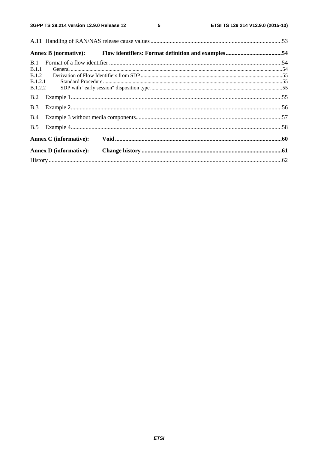$5\phantom{a}$ 

|                | <b>Annex B</b> (normative):   |  |
|----------------|-------------------------------|--|
| B.1            |                               |  |
| B.1.1          |                               |  |
| <b>B.1.2</b>   |                               |  |
| <b>B.1.2.1</b> |                               |  |
| <b>B.1.2.2</b> |                               |  |
| B.2            |                               |  |
| B.3            |                               |  |
| B.4            |                               |  |
| B.5            |                               |  |
|                | <b>Annex C</b> (informative): |  |
|                | <b>Annex D</b> (informative): |  |
|                |                               |  |
|                |                               |  |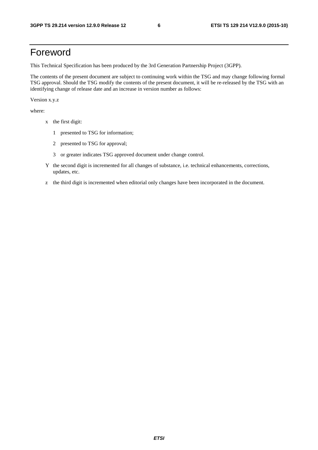## Foreword

This Technical Specification has been produced by the 3rd Generation Partnership Project (3GPP).

The contents of the present document are subject to continuing work within the TSG and may change following formal TSG approval. Should the TSG modify the contents of the present document, it will be re-released by the TSG with an identifying change of release date and an increase in version number as follows:

Version x.y.z

where:

- x the first digit:
	- 1 presented to TSG for information;
	- 2 presented to TSG for approval;
	- 3 or greater indicates TSG approved document under change control.
- Y the second digit is incremented for all changes of substance, i.e. technical enhancements, corrections, updates, etc.
- z the third digit is incremented when editorial only changes have been incorporated in the document.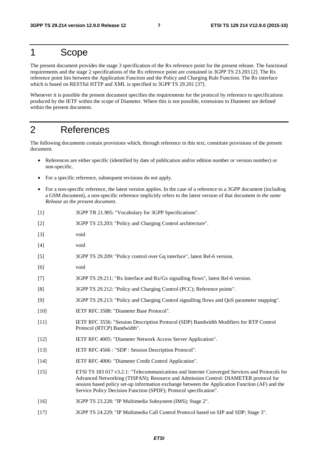## 1 Scope

The present document provides the stage 3 specification of the Rx reference point for the present release. The functional requirements and the stage 2 specifications of the Rx reference point are contained in 3GPP TS 23.203 [2]. The Rx reference point lies between the Application Function and the Policy and Charging Rule Function. The Rx interface which is based on RESTful HTTP and XML is specified in 3GPP TS 29.201 [37].

Whenever it is possible the present document specifies the requirements for the protocol by reference to specifications produced by the IETF within the scope of Diameter. Where this is not possible, extensions to Diameter are defined within the present document.

## 2 References

The following documents contain provisions which, through reference in this text, constitute provisions of the present document.

- References are either specific (identified by date of publication and/or edition number or version number) or non-specific.
- For a specific reference, subsequent revisions do not apply.
- For a non-specific reference, the latest version applies. In the case of a reference to a 3GPP document (including a GSM document), a non-specific reference implicitly refers to the latest version of that document *in the same Release as the present document*.
- [1] 3GPP TR 21.905: "Vocabulary for 3GPP Specifications".
- [2] 3GPP TS 23.203: "Policy and Charging Control architecture".
- [3] void
- [4] void
- [5] 3GPP TS 29.209: "Policy control over Gq interface", latest Rel-6 version.
- [6] void
- [7] 3GPP TS 29.211: "Rx Interface and Rx/Gx signalling flows", latest Rel-6 version.
- [8] 3GPP TS 29.212: "Policy and Charging Control (PCC); Reference points".
- [9] 3GPP TS 29.213: "Policy and Charging Control signalling flows and QoS parameter mapping".
- [10] IETF RFC 3588: "Diameter Base Protocol".
- [11] IETF RFC 3556: "Session Description Protocol (SDP) Bandwidth Modifiers for RTP Control Protocol (RTCP) Bandwidth".
- [12] IETF RFC 4005: "Diameter Network Access Server Application".
- [13] IETF RFC 4566 : "SDP : Session Description Protocol".
- [14] IETF RFC 4006: "Diameter Credit Control Application".
- [15] ETSI TS 183 017 v3.2.1: "Telecommunications and Internet Converged Services and Protocols for Advanced Networking (TISPAN); Resource and Admission Control: DIAMETER protocol for session based policy set-up information exchange between the Application Function (AF) and the Service Policy Decision Function (SPDF); Protocol specification".
- [16] 3GPP TS 23.228: "IP Multimedia Subsystem (IMS); Stage 2".
- [17] 3GPP TS 24.229: "IP Multimedia Call Control Protocol based on SIP and SDP; Stage 3".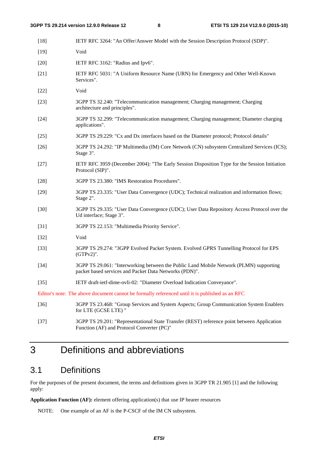| $[18]$ | IETF RFC 3264: "An Offer/Answer Model with the Session Description Protocol (SDP)".                                                              |
|--------|--------------------------------------------------------------------------------------------------------------------------------------------------|
| $[19]$ | Void                                                                                                                                             |
| $[20]$ | IETF RFC 3162: "Radius and Ipv6".                                                                                                                |
| $[21]$ | IETF RFC 5031: "A Uniform Resource Name (URN) for Emergency and Other Well-Known<br>Services".                                                   |
| $[22]$ | Void                                                                                                                                             |
| $[23]$ | 3GPP TS 32.240: "Telecommunication management; Charging management; Charging<br>architecture and principles".                                    |
| $[24]$ | 3GPP TS 32.299: "Telecommunication management; Charging management; Diameter charging<br>applications".                                          |
| $[25]$ | 3GPP TS 29.229: "Cx and Dx interfaces based on the Diameter protocol; Protocol details"                                                          |
| $[26]$ | 3GPP TS 24.292: "IP Multimedia (IM) Core Network (CN) subsystem Centralized Services (ICS);<br>Stage 3".                                         |
| $[27]$ | IETF RFC 3959 (December 2004): "The Early Session Disposition Type for the Session Initiation<br>Protocol (SIP)".                                |
| $[28]$ | 3GPP TS 23.380: "IMS Restoration Procedures".                                                                                                    |
| $[29]$ | 3GPP TS 23.335: "User Data Convergence (UDC); Technical realization and information flows;<br>Stage 2".                                          |
| $[30]$ | 3GPP TS 29.335: "User Data Convergence (UDC); User Data Repository Access Protocol over the<br>Ud interface; Stage 3".                           |
| $[31]$ | 3GPP TS 22.153: "Multimedia Priority Service".                                                                                                   |
| $[32]$ | Void                                                                                                                                             |
| $[33]$ | 3GPP TS 29.274: "3GPP Evolved Packet System. Evolved GPRS Tunnelling Protocol for EPS<br>$(GTPv2)$ ".                                            |
| $[34]$ | 3GPP TS 29.061: "Interworking between the Public Land Mobile Network (PLMN) supporting<br>packet based services and Packet Data Networks (PDN)". |
| $[35]$ | IETF draft-ietf-dime-ovli-02: "Diameter Overload Indication Conveyance".                                                                         |
|        | Editor's note: The above document cannot be formally referenced until it is published as an RFC                                                  |
| $[36]$ | 3GPP TS 23.468: "Group Services and System Aspects; Group Communication System Enablers<br>for LTE (GCSE LTE) "                                  |
| $[37]$ | 3GPP TS 29.201: "Representational State Transfer (REST) reference point between Application<br>Function (AF) and Protocol Converter (PC)"        |

## 3 Definitions and abbreviations

## 3.1 Definitions

For the purposes of the present document, the terms and definitions given in 3GPP TR 21.905 [1] and the following apply:

**Application Function (AF):** element offering application(s) that use IP bearer resources

NOTE: One example of an AF is the P-CSCF of the IM CN subsystem.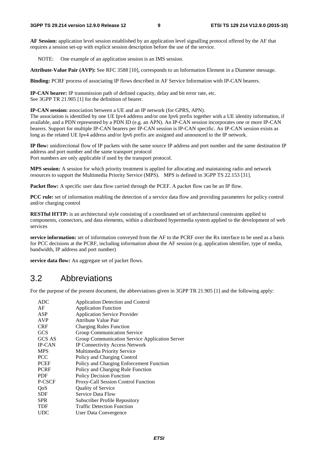**AF Session:** application level session established by an application level signalling protocol offered by the AF that requires a session set-up with explicit session description before the use of the service.

NOTE: One example of an application session is an IMS session.

**Attribute-Value Pair (AVP):** See RFC 3588 [10], corresponds to an Information Element in a Diameter message.

**Binding:** PCRF process of associating IP flows described in AF Service Information with IP-CAN bearers.

**IP-CAN bearer:** IP transmission path of defined capacity, delay and bit error rate, etc. See 3GPP TR 21.905 [1] for the definition of bearer.

**IP-CAN session:** association between a UE and an IP network (for GPRS, APN).

The association is identified by one UE Ipv4 address and/or one Ipv6 prefix together with a UE identity information, if available, and a PDN represented by a PDN ID (e.g. an APN). An IP-CAN session incorporates one or more IP-CAN bearers. Support for multiple IP-CAN bearers per IP-CAN session is IP-CAN specific. An IP-CAN session exists as long as the related UE Ipv4 address and/or Ipv6 prefix are assigned and announced to the IP network.

**IP flow:** unidirectional flow of IP packets with the same source IP address and port number and the same destination IP address and port number and the same transport protocol Port numbers are only applicable if used by the transport protocol.

**MPS session:** A session for which priority treatment is applied for allocating and maintaining radio and network resources to support the Multimedia Priority Service (MPS). MPS is defined in 3GPP TS 22.153 [31].

**Packet flow:** A specific user data flow carried through the PCEF. A packet flow can be an IP flow.

**PCC rule:** set of information enabling the detection of a service data flow and providing parameters for policy control and/or charging control

**RESTful HTTP:** is an architectural style consisting of a coordinated set of architectural constraints applied to components, connectors, and data elements, within a distributed hypermedia system applied to the development of web services

**service information:** set of information conveyed from the AF to the PCRF over the Rx interface to be used as a basis for PCC decisions at the PCRF, including information about the AF session (e.g. application identifier, type of media, bandwidth, IP address and port number)

**service data flow:** An aggregate set of packet flows.

### 3.2 Abbreviations

For the purpose of the present document, the abbreviations given in 3GPP TR 21.905 [1] and the following apply:

| <b>ADC</b>    | Application Detection and Control              |
|---------------|------------------------------------------------|
| AF            | <b>Application Function</b>                    |
| ASP           | <b>Application Service Provider</b>            |
| <b>AVP</b>    | Attribute Value Pair                           |
| <b>CRF</b>    | <b>Charging Rules Function</b>                 |
| <b>GCS</b>    | Group Communication Service                    |
| GCS AS        | Group Communication Service Application Server |
| <b>IP-CAN</b> | <b>IP Connectivity Access Network</b>          |
| <b>MPS</b>    | Multimedia Priority Service                    |
| <b>PCC</b>    | Policy and Charging Control                    |
| <b>PCEF</b>   | Policy and Charging Enforcement Function       |
| <b>PCRF</b>   | Policy and Charging Rule Function              |
| PDF           | <b>Policy Decision Function</b>                |
| P-CSCF        | Proxy-Call Session Control Function            |
| QoS           | <b>Quality of Service</b>                      |
| <b>SDF</b>    | Service Data Flow                              |
| <b>SPR</b>    | <b>Subscriber Profile Repository</b>           |
| TDF           | <b>Traffic Detection Function</b>              |
| <b>UDC</b>    | User Data Convergence                          |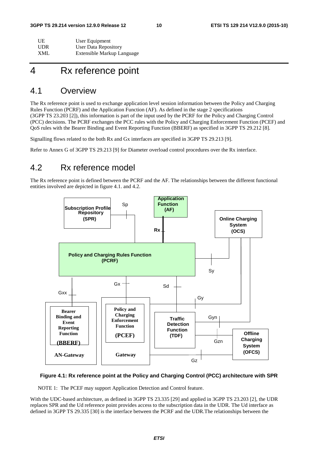| UE         | User Equipment             |
|------------|----------------------------|
| <b>UDR</b> | User Data Repository       |
| XML        | Extensible Markup Language |

## 4 Rx reference point

### 4.1 Overview

The Rx reference point is used to exchange application level session information between the Policy and Charging Rules Function (PCRF) and the Application Function (AF). As defined in the stage 2 specifications (3GPP TS 23.203 [2]), this information is part of the input used by the PCRF for the Policy and Charging Control (PCC) decisions. The PCRF exchanges the PCC rules with the Policy and Charging Enforcement Function (PCEF) and QoS rules with the Bearer Binding and Event Reporting Function (BBERF) as specified in 3GPP TS 29.212 [8].

Signalling flows related to the both Rx and Gx interfaces are specified in 3GPP TS 29.213 [9].

Refer to Annex G of 3GPP TS 29.213 [9] for Diameter overload control procedures over the Rx interface.

## 4.2 Rx reference model

The Rx reference point is defined between the PCRF and the AF. The relationships between the different functional entities involved are depicted in figure 4.1. and 4.2.



#### **Figure 4.1: Rx reference point at the Policy and Charging Control (PCC) architecture with SPR**

NOTE 1: The PCEF may support Application Detection and Control feature.

With the UDC-based architecture, as defined in 3GPP TS 23.335 [29] and applied in 3GPP TS 23.203 [2], the UDR replaces SPR and the Ud reference point provides access to the subscription data in the UDR. The Ud interface as defined in 3GPP TS 29.335 [30] is the interface between the PCRF and the UDR.The relationships between the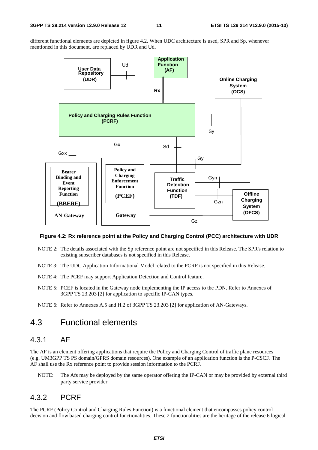different functional elements are depicted in figure 4.2. When UDC architecture is used, SPR and Sp, whenever mentioned in this document, are replaced by UDR and Ud.



#### **Figure 4.2: Rx reference point at the Policy and Charging Control (PCC) architecture with UDR**

- NOTE 2: The details associated with the Sp reference point are not specified in this Release. The SPR's relation to existing subscriber databases is not specified in this Release.
- NOTE 3: The UDC Application Informational Model related to the PCRF is not specified in this Release.
- NOTE 4: The PCEF may support Application Detection and Control feature.
- NOTE 5: PCEF is located in the Gateway node implementing the IP access to the PDN. Refer to Annexes of 3GPP TS 23.203 [2] for application to specific IP-CAN types.
- NOTE 6: Refer to Annexes A.5 and H.2 of 3GPP TS 23.203 [2] for application of AN-Gateways.

### 4.3 Functional elements

### 4.3.1 AF

The AF is an element offering applications that require the Policy and Charging Control of traffic plane resources (e.g. UM3GPP TS PS domain/GPRS domain resources). One example of an application function is the P-CSCF. The AF shall use the Rx reference point to provide session information to the PCRF.

NOTE: The Afs may be deployed by the same operator offering the IP-CAN or may be provided by external third party service provider.

#### 4.3.2 PCRF

The PCRF (Policy Control and Charging Rules Function) is a functional element that encompasses policy control decision and flow based charging control functionalities. These 2 functionalities are the heritage of the release 6 logical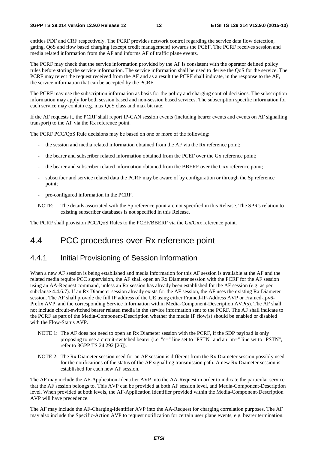entities PDF and CRF respectively. The PCRF provides network control regarding the service data flow detection, gating, QoS and flow based charging (except credit management) towards the PCEF. The PCRF receives session and media related information from the AF and informs AF of traffic plane events.

The PCRF may check that the service information provided by the AF is consistent with the operator defined policy rules before storing the service information. The service information shall be used to derive the QoS for the service. The PCRF may reject the request received from the AF and as a result the PCRF shall indicate, in the response to the AF, the service information that can be accepted by the PCRF.

The PCRF may use the subscription information as basis for the policy and charging control decisions. The subscription information may apply for both session based and non-session based services. The subscription specific information for each service may contain e.g. max QoS class and max bit rate.

If the AF requests it, the PCRF shall report IP-CAN session events (including bearer events and events on AF signalling transport) to the AF via the Rx reference point.

The PCRF PCC/QoS Rule decisions may be based on one or more of the following:

- the session and media related information obtained from the AF via the Rx reference point;
- the bearer and subscriber related information obtained from the PCEF over the Gx reference point;
- the bearer and subscriber related information obtained from the BBERF over the Gxx reference point;
- subscriber and service related data the PCRF may be aware of by configuration or through the Sp reference point;
- pre-configured information in the PCRF.
- NOTE: The details associated with the Sp reference point are not specified in this Release. The SPR's relation to existing subscriber databases is not specified in this Release.

The PCRF shall provision PCC/QoS Rules to the PCEF/BBERF via the Gx/Gxx reference point.

### 4.4 PCC procedures over Rx reference point

### 4.4.1 Initial Provisioning of Session Information

When a new AF session is being established and media information for this AF session is available at the AF and the related media require PCC supervision, the AF shall open an Rx Diameter session with the PCRF for the AF session using an AA-Request command, unless an Rx session has already been established for the AF session (e.g. as per subclause 4.4.6.7). If an Rx Diameter session already exists for the AF session, the AF uses the existing Rx Diameter session. The AF shall provide the full IP address of the UE using either Framed-IP-Address AVP or Framed-Ipv6- Prefix AVP, and the corresponding Service Information within Media-Component-Description AVP(s). The AF shall not include circuit-switched bearer related media in the service information sent to the PCRF. The AF shall indicate to the PCRF as part of the Media-Component-Description whether the media IP flow(s) should be enabled or disabled with the Flow-Status AVP.

- NOTE 1: The AF does not need to open an Rx Diameter session with the PCRF, if the SDP payload is only proposing to use a circuit-switched bearer (i.e. "c=" line set to "PSTN" and an "m=" line set to "PSTN", refer to 3GPP TS 24.292 [26]).
- NOTE 2: The Rx Diameter session used for an AF session is different from the Rx Diameter session possibly used for the notifications of the status of the AF signalling transmission path. A new Rx Diameter session is established for each new AF session.

The AF may include the AF-Application-Identifier AVP into the AA-Request in order to indicate the particular service that the AF session belongs to. This AVP can be provided at both AF session level, and Media-Component-Description level. When provided at both levels, the AF-Application Identifier provided within the Media-Component-Description AVP will have precedence.

The AF may include the AF-Charging-Identifier AVP into the AA-Request for charging correlation purposes. The AF may also include the Specific-Action AVP to request notification for certain user plane events, e.g. bearer termination.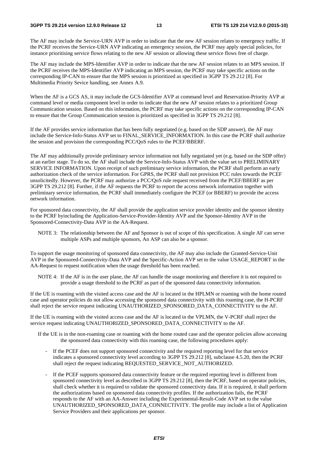#### **3GPP TS 29.214 version 12.9.0 Release 12 13 ETSI TS 129 214 V12.9.0 (2015-10)**

The AF may include the Service-URN AVP in order to indicate that the new AF session relates to emergency traffic. If the PCRF receives the Service-URN AVP indicating an emergency session, the PCRF may apply special policies, for instance prioritising service flows relating to the new AF session or allowing these service flows free of charge.

The AF may include the MPS-Identifier AVP in order to indicate that the new AF session relates to an MPS session. If the PCRF receives the MPS-Identifier AVP indicating an MPS session, the PCRF may take specific actions on the corresponding IP-CAN to ensure that the MPS session is prioritized as specified in 3GPP TS 29.212 [8]. For Multimedia Priority Sevice handling, see Annex A.9.

When the AF is a GCS AS, it may include the GCS-Identifier AVP at command level and Reservation-Priority AVP at command level or media component level in order to indicate that the new AF session relates to a prioritized Group Communication session. Based on this information, the PCRF may take specific actions on the corresponding IP-CAN to ensure that the Group Communication session is prioritized as specified in 3GPP TS 29.212 [8].

If the AF provides service information that has been fully negotiated (e.g. based on the SDP answer), the AF may include the Service-Info-Status AVP set to FINAL\_SERVICE\_INFORMATION. In this case the PCRF shall authorize the session and provision the corresponding PCC/QoS rules to the PCEF/BBERF.

The AF may additionally provide preliminary service information not fully negotiated yet (e.g. based on the SDP offer) at an earlier stage. To do so, the AF shall include the Service-Info-Status AVP with the value set to PRELIMINARY SERVICE INFORMATION. Upon receipt of such preliminary service information, the PCRF shall perform an early authorization check of the service information. For GPRS, the PCRF shall not provision PCC rules towards the PCEF unsolicitedly. However, the PCRF may authorize a PCC/QoS rule request received from the PCEF/BBERF as per 3GPP TS 29.212 [8]. Further, if the AF requests the PCRF to report the access network information together with preliminary service information, the PCRF shall immediately configure the PCEF (or BBERF) to provide the access network information.

For sponsored data connectivity, the AF shall provide the application service provider identity and the sponsor identity to the PCRF byincluding the Application-Service-Provider-Identity AVP and the Sponsor-Identity AVP in the Sponsored-Connectivity-Data AVP in the AA-Request.

NOTE 3: The relationship between the AF and Sponsor is out of scope of this specification. A single AF can serve multiple ASPs and multiple sponsors, An ASP can also be a sponsor.

To support the usage monitoring of sponsored data connectivity, the AF may also include the Granted-Service-Unit AVP in the Sponsored-Connectivity-Data AVP and the Specific-Action AVP set to the value USAGE\_REPORT in the AA-Request to request notification when the usage threshold has been reached.

NOTE 4: If the AF is in the user plane, the AF can handle the usage monitoring and therefore it is not required to provide a usage threshold to the PCRF as part of the sponsored data connectivity information.

If the UE is roaming with the visited access case and the AF is located in the HPLMN or roaming with the home routed case and operator policies do not allow accessing the sponsored data connectivity with this roaming case, the H-PCRF shall reject the service request indicating UNAUTHORIZED\_SPONSORED\_DATA\_CONNECTIVITY to the AF.

If the UE is roaming with the visited access case and the AF is located in the VPLMN, the V-PCRF shall reject the service request indicating UNAUTHORIZED\_SPONSORED\_DATA\_CONNECTIVITY to the AF.

- If the UE is in the non-roaming case or roaming with the home routed case and the operator policies allow accessing the sponsored data connectivity with this roaming case, the following procedures apply:
	- If the PCEF does not support sponsored connectivity and the required reporting level for that service indicates a sponsored connectivity level according to 3GPP TS 29.212 [8], subclause 4.5.20, then the PCRF shall reject the request indicating REQUESTED\_SERVICE\_NOT\_AUTHORIZED.
	- If the PCEF supports sponsored data connectivity feature or the required reporting level is different from sponsored connectivity level as described in 3GPP TS 29.212 [8], then the PCRF, based on operator policies, shall check whether it is required to validate the sponsored connectivity data. If it is required, it shall perform the authorizations based on sponsored data connectivity profiles. If the authorization fails, the PCRF responds to the AF with an AA-Answer including the Experimental-Result-Code AVP set to the value UNAUTHORIZED\_SPONSORED\_DATA\_CONNECTIVITY. The profile may include a list of Application Service Providers and their applications per sponsor.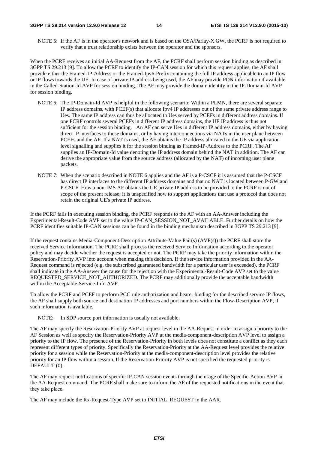NOTE 5: If the AF is in the operator's network and is based on the OSA/Parlay-X GW, the PCRF is not required to verify that a trust relationship exists between the operator and the sponsors.

When the PCRF receives an initial AA-Request from the AF, the PCRF shall perform session binding as described in 3GPP TS 29.213 [9]. To allow the PCRF to identify the IP-CAN session for which this request applies, the AF shall provide either the Framed-IP-Address or the Framed-Ipv6-Prefix containing the full IP address applicable to an IP flow or IP flows towards the UE. In case of private IP address being used, the AF may provide PDN information if available in the Called-Station-Id AVP for session binding. The AF may provide the domain identity in the IP-Domain-Id AVP for session binding.

- NOTE 6: The IP-Domain-Id AVP is helpful in the following scenario: Within a PLMN, there are several separate IP address domains, with PCEF(s) that allocate Ipv4 IP addresses out of the same private address range to Ues. The same IP address can thus be allocated to Ues served by PCEFs in different address domains. If one PCRF controls several PCEFs in different IP address domains, the UE IP address is thus not sufficient for the session binding. An AF can serve Ues in different IP address domains, either by having direct IP interfaces to those domains, or by having interconnections via NATs in the user plane between PCEFs and the AF. If a NAT is used, the AF obtains the IP address allocated to the UE via application level signalling and supplies it for the session binding as Framed-IP-Address to the PCRF. The AF supplies an IP-Domain-Id value denoting the IP address domain behind the NAT in addition. The AF can derive the appropriate value from the source address (allocated by the NAT) of incoming user plane packets.
- NOTE 7: When the scenario described in NOTE 6 applies and the AF is a P-CSCF it is assumed that the P-CSCF has direct IP interfaces to the different IP address domains and that no NAT is located between P-GW and P-CSCF. How a non-IMS AF obtains the UE private IP address to be provided to the PCRF is out of scope of the present release; it is unspecified how to support applications that use a protocol that does not retain the original UE's private IP address.

If the PCRF fails in executing session binding, the PCRF responds to the AF with an AA-Answer including the Experimental-Result-Code AVP set to the value IP-CAN\_SESSION\_NOT\_AVAILABLE. Further details on how the PCRF identifies suitable IP-CAN sessions can be found in the binding mechanism described in 3GPP TS 29.213 [9].

If the request contains Media-Component-Description Attribute-Value Pair(s) (AVP(s)) the PCRF shall store the received Service Information. The PCRF shall process the received Service Information according to the operator policy and may decide whether the request is accepted or not. The PCRF may take the priority information within the Reservation-Priority AVP into account when making this decision. If the service information provided in the AA-Request command is rejected (e.g. the subscribed guaranteed bandwidth for a particular user is exceeded), the PCRF shall indicate in the AA-Answer the cause for the rejection with the Experimental-Result-Code AVP set to the value REQUESTED\_SERVICE\_NOT\_AUTHORIZED. The PCRF may additionally provide the acceptable bandwidth within the Acceptable-Service-Info AVP.

To allow the PCRF and PCEF to perform PCC rule authorization and bearer binding for the described service IP flows, the AF shall supply both source and destination IP addresses and port numbers within the Flow-Description AVP, if such information is available.

NOTE: In SDP source port information is usually not available.

The AF may specify the Reservation-Priority AVP at request level in the AA-Request in order to assign a priority to the AF Session as well as specify the Reservation-Priority AVP at the media-component-description AVP level to assign a priority to the IP flow. The presence of the Reservation-Priority in both levels does not constitute a conflict as they each represent different types of priority. Specifically the Reservation-Priority at the AA-Request level provides the relative priority for a session while the Reservation-Priority at the media-component-description level provides the relative priority for an IP flow within a session. If the Reservation-Priority AVP is not specified the requested priority is DEFAULT (0).

The AF may request notifications of specific IP-CAN session events through the usage of the Specific-Action AVP in the AA-Request command. The PCRF shall make sure to inform the AF of the requested notifications in the event that they take place.

The AF may include the Rx-Request-Type AVP set to INITIAL\_REQUEST in the AAR.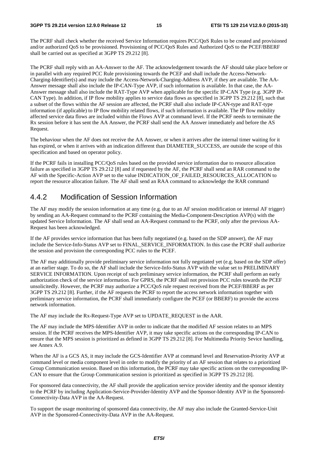The PCRF shall check whether the received Service Information requires PCC/QoS Rules to be created and provisioned and/or authorized QoS to be provisioned. Provisioning of PCC/QoS Rules and Authorized QoS to the PCEF/BBERF shall be carried out as specified at 3GPP TS 29.212 [8].

The PCRF shall reply with an AA-Answer to the AF. The acknowledgement towards the AF should take place before or in parallel with any required PCC Rule provisioning towards the PCEF and shall include the Access-Network-Charging-Identifier(s) and may include the Access-Network-Charging-Address AVP, if they are available. The AA-Answer message shall also include the IP-CAN-Type AVP, if such information is available. In that case, the AA-Answer message shall also include the RAT-Type AVP when applicable for the specific IP-CAN Type (e.g. 3GPP IP-CAN Type). In addition, if IP flow mobility applies to service data flows as specified in 3GPP TS 29.212 [8], such that a subset of the flows within the AF session are affected, the PCRF shall also include IP-CAN-type and RAT-type information (if applicable) to IP flow mobility related flows, if such information is available. The IP flow mobility affected service data flows are included within the Flows AVP at command level. If the PCRF needs to terminate the Rx session before it has sent the AA Answer, the PCRF shall send the AA Answer immediately and before the AS Request.

The behaviour when the AF does not receive the AA Answer, or when it arrives after the internal timer waiting for it has expired, or when it arrives with an indication different than DIAMETER\_SUCCESS, are outside the scope of this specification and based on operator policy.

If the PCRF fails in installing PCC/QoS rules based on the provided service information due to resource allocation failure as specified in 3GPP TS 29.212 [8] and if requested by the AF, the PCRF shall send an RAR command to the AF with the Specific-Action AVP set to the value INDICATION OF FAILED RESOURCES ALLOCATION to report the resource allocation failure. The AF shall send an RAA command to acknowledge the RAR command

### 4.4.2 Modification of Session Information

The AF may modify the session information at any time (e.g. due to an AF session modification or internal AF trigger) by sending an AA-Request command to the PCRF containing the Media-Component-Description AVP(s) with the updated Service Information. The AF shall send an AA-Request command to the PCRF, only after the previous AA-Request has been acknowledged.

If the AF provides service information that has been fully negotiated (e.g. based on the SDP answer), the AF may include the Service-Info-Status AVP set to FINAL\_SERVICE\_INFORMATION. In this case the PCRF shall authorize the session and provision the corresponding PCC rules to the PCEF.

The AF may additionally provide preliminary service information not fully negotiated yet (e.g. based on the SDP offer) at an earlier stage. To do so, the AF shall include the Service-Info-Status AVP with the value set to PRELIMINARY SERVICE INFORMATION. Upon receipt of such preliminary service information, the PCRF shall perform an early authorization check of the service information. For GPRS, the PCRF shall not provision PCC rules towards the PCEF unsolicitedly. However, the PCRF may authorize a PCC/QoS rule request received from the PCEF/BBERF as per 3GPP TS 29.212 [8]. Further, if the AF requests the PCRF to report the access network information together with preliminary service information, the PCRF shall immediately configure the PCEF (or BBERF) to provide the access network information.

The AF may include the Rx-Request-Type AVP set to UPDATE\_REQUEST in the AAR.

The AF may include the MPS-Identifier AVP in order to indicate that the modified AF session relates to an MPS session. If the PCRF receives the MPS-Identifier AVP, it may take specific actions on the corresponding IP-CAN to ensure that the MPS session is prioritized as defined in 3GPP TS 29.212 [8]. For Multimedia Priority Sevice handling, see Annex A.9.

When the AF is a GCS AS, it may include the GCS-Identifier AVP at command level and Reservation-Priority AVP at command level or media component level in order to modify the priority of an AF session that relates to a prioritized Group Communication session. Based on this information, the PCRF may take specific actions on the corresponding IP-CAN to ensure that the Group Communication session is prioritized as specified in 3GPP TS 29.212 [8].

For sponsored data connectivity, the AF shall provide the application service provider identity and the sponsor identity to the PCRF by including Application-Service-Provider-Identity AVP and the Sponsor-Identity AVP in the Sponsored-Connectivity-Data AVP in the AA-Request.

To support the usage monitoring of sponsored data connectivity, the AF may also include the Granted-Service-Unit AVP in the Sponsored-Connectivity-Data AVP in the AA-Request.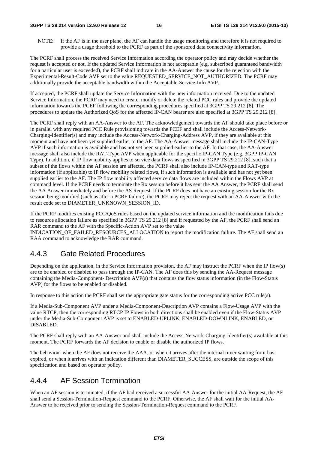#### **3GPP TS 29.214 version 12.9.0 Release 12 16 ETSI TS 129 214 V12.9.0 (2015-10)**

NOTE: If the AF is in the user plane, the AF can handle the usage monitoring and therefore it is not required to provide a usage threshold to the PCRF as part of the sponsored data connectivity information.

The PCRF shall process the received Service Information according the operator policy and may decide whether the request is accepted or not. If the updated Service Information is not acceptable (e.g. subscribed guaranteed bandwidth for a particular user is exceeded), the PCRF shall indicate in the AA-Answer the cause for the rejection with the Experimental-Result-Code AVP set to the value REQUESTED\_SERVICE\_NOT\_AUTHORIZED. The PCRF may additionally provide the acceptable bandwidth within the Acceptable-Service-Info AVP.

If accepted, the PCRF shall update the Service Information with the new information received. Due to the updated Service Information, the PCRF may need to create, modify or delete the related PCC rules and provide the updated information towards the PCEF following the corresponding procedures specified at 3GPP TS 29.212 [8]. The procedures to update the Authorized QoS for the affected IP-CAN bearer are also specified at 3GPP TS 29.212 [8].

The PCRF shall reply with an AA-Answer to the AF. The acknowledgement towards the AF should take place before or in parallel with any required PCC Rule provisioning towards the PCEF and shall include the Access-Network-Charging-Identifier(s) and may include the Access-Network-Charging-Address AVP, if they are available at this moment and have not been yet supplied earlier to the AF. The AA-Answer message shall include the IP-CAN-Type AVP if such information is available and has not yet been supplied earlier to the AF. In that case, the AA-Answer message shall also include the RAT-Type AVP when applicable for the specific IP-CAN Type (e.g. 3GPP IP-CAN Type). In addition, if IP flow mobility applies to service data flows as specified in 3GPP TS 29.212 [8], such that a subset of the flows within the AF session are affected, the PCRF shall also include IP-CAN-type and RAT-type information (if applicable) to IP flow mobility related flows, if such information is available and has not yet been supplied earlier to the AF. The IP flow mobility affected service data flows are included within the Flows AVP at command level. If the PCRF needs to terminate the Rx session before it has sent the AA Answer, the PCRF shall send the AA Answer immediately and before the AS Request. If the PCRF does not have an existing session for the Rx session being modified (such as after a PCRF failure), the PCRF may reject the request with an AA-Answer with the result code set to DIAMETER\_UNKNOWN\_SESSION\_ID.

If the PCRF modifies existing PCC/QoS rules based on the updated service information and the modification fails due to resource allocation failure as specified in 3GPP TS 29.212 [8] and if requested by the AF, the PCRF shall send an RAR command to the AF with the Specific-Action AVP set to the value

INDICATION OF FAILED RESOURCES ALLOCATION to report the modification failure. The AF shall send an RAA command to acknowledge the RAR command.

### 4.4.3 Gate Related Procedures

Depending on the application, in the Service Information provision, the AF may instruct the PCRF when the IP flow(s) are to be enabled or disabled to pass through the IP-CAN. The AF does this by sending the AA-Request message containing the Media-Component- Description AVP(s) that contains the flow status information (in the Flow-Status AVP) for the flows to be enabled or disabled.

In response to this action the PCRF shall set the appropriate gate status for the corresponding active PCC rule(s).

If a Media-Sub-Component AVP under a Media-Component-Description AVP contains a Flow-Usage AVP with the value RTCP, then the corresponding RTCP IP Flows in both directions shall be enabled even if the Flow-Status AVP under the Media-Sub-Component AVP is set to ENABLED-UPLINK, ENABLED-DOWNLINK, ENABLED, or DISABLED.

The PCRF shall reply with an AA-Answer and shall include the Access-Network-Charging-Identifier(s) available at this moment. The PCRF forwards the AF decision to enable or disable the authorized IP flows.

The behaviour when the AF does not receive the AAA, or when it arrives after the internal timer waiting for it has expired, or when it arrives with an indication different than DIAMETER\_SUCCESS, are outside the scope of this specification and based on operator policy.

## 4.4.4 AF Session Termination

When an AF session is terminated, if the AF had received a successful AA-Answer for the initial AA-Request, the AF shall send a Session-Termination-Request command to the PCRF. Otherwise, the AF shall wait for the initial AA-Answer to be received prior to sending the Session-Termination-Request command to the PCRF.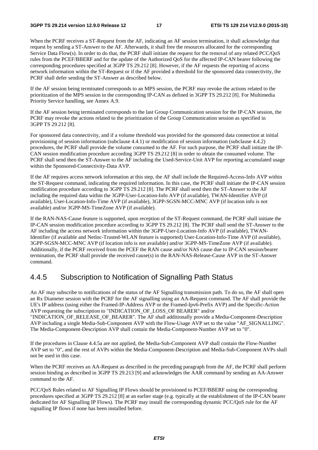When the PCRF receives a ST-Request from the AF, indicating an AF session termination, it shall acknowledge that request by sending a ST-Answer to the AF. Afterwards, it shall free the resources allocated for the corresponding Service Data Flow(s). In order to do that, the PCRF shall initiate the request for the removal of any related PCC/QoS rules from the PCEF/BBERF and for the update of the Authorized QoS for the affected IP-CAN bearer following the corresponding procedures specified at 3GPP TS 29.212 [8]. However, if the AF requests the reporting of access network information within the ST-Request or if the AF provided a threshold for the sponsored data connectivity, the PCRF shall defer sending the ST-Answer as described below.

If the AF session being terminated corresponds to an MPS session, the PCRF may revoke the actions related to the prioritization of the MPS session in the corresponding IP-CAN as defined in 3GPP TS 29.212 [8]. For Multimedia Priority Service handling, see Annex A.9.

If the AF session being terminated corresponds to the last Group Communication session for the IP-CAN session, the PCRF may revoke the actions related to the prioritization of the Group Communication session as specified in 3GPP TS 29.212 [8].

For sponsored data connectivity, and if a volume threshold was provided for the sponsored data connection at initial provisioning of session information (subclause 4.4.1) or modification of session information (subclause 4.4.2) procedures, the PCRF shall provide the volume consumed to the AF. For such purpose, the PCRF shall initiate the IP-CAN session modification procedure according 3GPP TS 29.212 [8] in order to obtain the consumed volume. The PCRF shall send then the ST-Answer to the AF including the Used-Service-Unit AVP for reporting accumulated usage within the Sponsored-Connectivity-Data AVP.

If the AF requires access network information at this step, the AF shall include the Required-Access-Info AVP within the ST-Request command, indicating the required information. In this case, the PCRF shall initiate the IP-CAN session modification procedure according to 3GPP TS 29.212 [8]. The PCRF shall send then the ST-Answer to the AF including the required data within the 3GPP-User-Location-Info AVP (if available), TWAN-Identifier AVP (if available), User-Location-Info-Time AVP (if available), 3GPP-SGSN-MCC-MNC AVP (if location info is not available) and/or 3GPP-MS-TimeZone AVP (if available).

If the RAN-NAS-Cause feature is supported, upon reception of the ST-Request command, the PCRF shall initiate the IP-CAN session modification procedure according to 3GPP TS 29.212 [8]. The PCRF shall send the ST-Answer to the AF including the access network information within the 3GPP-User-Location-Info AVP (if available), TWAN-Identifier (if available and Netloc-Trusted-WLAN feature is supported) User-Location-Info-Time AVP (if available), 3GPP-SGSN-MCC-MNC AVP (if location info is not available) and/or 3GPP-MS-TimeZone AVP (if available). Additionally, if the PCRF received from the PCEF the RAN cause and/or NAS cause due to IP-CAN session/bearer termination, the PCRF shall provide the received cause(s) in the RAN-NAS-Release-Cause AVP in the ST-Answer command.

### 4.4.5 Subscription to Notification of Signalling Path Status

An AF may subscribe to notifications of the status of the AF Signalling transmission path. To do so, the AF shall open an Rx Diameter session with the PCRF for the AF signalling using an AA-Request command. The AF shall provide the UE's IP address (using either the Framed-IP-Address AVP or the Framed-Ipv6-Prefix AVP) and the Specific-Action AVP requesting the subscription to "INDICATION\_OF\_LOSS\_OF BEARER" and/or

"INDICATION\_OF\_RELEASE\_OF\_BEARER". The AF shall additionally provide a Media-Component-Description AVP including a single Media-Sub-Component AVP with the Flow-Usage AVP set to the value "AF\_SIGNALLING". The Media-Component-Description AVP shall contain the Media-Component-Number AVP set to "0".

If the procedures in Clause 4.4.5a are not applied, the Media-Sub-Component AVP shall contain the Flow-Number AVP set to "0", and the rest of AVPs within the Media-Component-Description and Media-Sub-Component AVPs shall not be used in this case.

When the PCRF receives an AA-Request as described in the preceding paragraph from the AF, the PCRF shall perform session binding as described in 3GPP TS 29.213 [9] and acknowledges the AAR command by sending an AA-Answer command to the AF.

PCC/QoS Rules related to AF Signalling IP Flows should be provisioned to PCEF/BBERF using the corresponding procedures specified at 3GPP TS 29.212 [8] at an earlier stage (e.g. typically at the establishment of the IP-CAN bearer dedicated for AF Signalling IP Flows). The PCRF may install the corresponding dynamic PCC/QoS rule for the AF signalling IP flows if none has been installed before.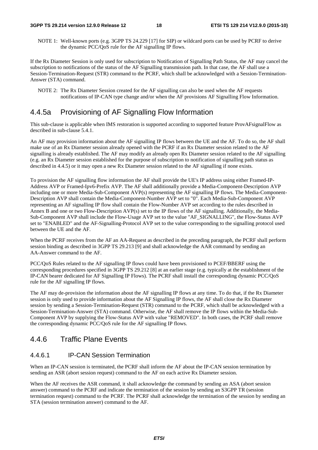NOTE 1: Well-known ports (e.g. 3GPP TS 24.229 [17] for SIP) or wildcard ports can be used by PCRF to derive the dynamic PCC/QoS rule for the AF signalling IP flows.

If the Rx Diameter Session is only used for subscription to Notification of Signalling Path Status, the AF may cancel the subscription to notifications of the status of the AF Signalling transmission path. In that case, the AF shall use a Session-Termination-Request (STR) command to the PCRF, which shall be acknowledged with a Session-Termination-Answer (STA) command.

NOTE 2: The Rx Diameter Session created for the AF signalling can also be used when the AF requests notifications of IP-CAN type change and/or when the AF provisions AF Signalling Flow Information.

## 4.4.5a Provisioning of AF Signalling Flow Information

This sub-clause is applicable when IMS restoration is supported according to supported feature ProvAFsignalFlow as described in sub-clause 5.4.1.

An AF may provision information about the AF signalling IP flows between the UE and the AF. To do so, the AF shall make use of an Rx Diameter session already opened with the PCRF if an Rx Diameter session related to the AF signalling is already established. The AF may modify an already open Rx Diameter session related to the AF signalling (e.g. an Rx Diameter session established for the purpose of subscription to notification of signalling path status as described in 4.4.5) or it may open a new Rx Diameter session related to the AF signalling if none exists.

To provision the AF signalling flow information the AF shall provide the UE's IP address using either Framed-IP-Address AVP or Framed-Ipv6-Prefix AVP. The AF shall additionally provide a Media-Component-Description AVP including one or more Media-Sub-Component AVP(s) representing the AF signalling IP flows. The Media-Component-Description AVP shall contain the Media-Component-Number AVP set to "0". Each Media-Sub-Component AVP representing an AF signalling IP flow shall contain the Flow-Number AVP set according to the rules described in Annex B and one or two Flow-Description AVP(s) set to the IP flows of the AF signalling. Additionally, the Media-Sub-Component AVP shall include the Flow-Usage AVP set to the value "AF\_SIGNALLING", the Flow-Status AVP set to "ENABLED" and the AF-Signalling-Protocol AVP set to the value corresponding to the signalling protocol used between the UE and the AF.

When the PCRF receives from the AF an AA-Request as described in the preceding paragraph, the PCRF shall perform session binding as described in 3GPP TS 29.213 [9] and shall acknowledge the AAR command by sending an AA-Answer command to the AF.

PCC/QoS Rules related to the AF signalling IP flows could have been provisioned to PCEF/BBERF using the corresponding procedures specified in 3GPP TS 29.212 [8] at an earlier stage (e.g. typically at the establishment of the IP-CAN bearer dedicated for AF Signalling IP Flows). The PCRF shall install the corresponding dynamic PCC/QoS rule for the AF signalling IP flows.

The AF may de-provision the information about the AF signalling IP flows at any time. To do that, if the Rx Diameter session is only used to provide information about the AF Signalling IP flows, the AF shall close the Rx Diameter session by sending a Session-Termination-Request (STR) command to the PCRF, which shall be acknowledged with a Session-Termination-Answer (STA) command. Otherwise, the AF shall remove the IP flows within the Media-Sub-Component AVP by supplying the Flow-Status AVP with value "REMOVED". In both cases, the PCRF shall remove the corresponding dynamic PCC/QoS rule for the AF signalling IP flows.

### 4.4.6 Traffic Plane Events

### 4.4.6.1 IP-CAN Session Termination

When an IP-CAN session is terminated, the PCRF shall inform the AF about the IP-CAN session termination by sending an ASR (abort session request) command to the AF on each active Rx Diameter session.

When the AF receives the ASR command, it shall acknowledge the command by sending an ASA (abort session answer) command to the PCRF and indicate the termination of the session by sending an S3GPP TR (session termination request) command to the PCRF. The PCRF shall acknowledge the termination of the session by sending an STA (session termination answer) command to the AF.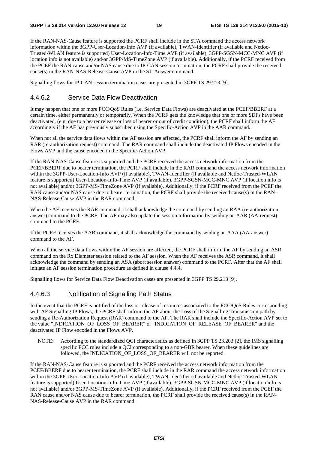If the RAN-NAS-Cause feature is supported the PCRF shall include in the STA command the access network information within the 3GPP-User-Location-Info AVP (if available), TWAN-Identifier (if available and Netloc-Trusted-WLAN feature is supported) User-Location-Info-Time AVP (if available), 3GPP-SGSN-MCC-MNC AVP (if location info is not available) and/or 3GPP-MS-TimeZone AVP (if available). Additionally, if the PCRF received from the PCEF the RAN cause and/or NAS cause due to IP-CAN session termination, the PCRF shall provide the received cause(s) in the RAN-NAS-Release-Cause AVP in the ST-Answer command.

Signalling flows for IP-CAN session termination cases are presented in 3GPP TS 29.213 [9].

#### 4.4.6.2 Service Data Flow Deactivation

It may happen that one or more PCC/QoS Rules (i.e. Service Data Flows) are deactivated at the PCEF/BBERF at a certain time, either permanently or temporarily. When the PCRF gets the knowledge that one or more SDFs have been deactivated, (e.g. due to a bearer release or loss of bearer or out of credit condition), the PCRF shall inform the AF accordingly if the AF has previously subscribed using the Specific-Action AVP in the AAR command.

When not all the service data flows within the AF session are affected, the PCRF shall inform the AF by sending an RAR (re-authorization request) command. The RAR command shall include the deactivated IP Flows encoded in the Flows AVP and the cause encoded in the Specific-Action AVP.

If the RAN-NAS-Cause feature is supported and the PCRF received the access network information from the PCEF/BBERF due to bearer termination, the PCRF shall include in the RAR command the access network information within the 3GPP-User-Location-Info AVP (if available), TWAN-Identifier (if available and Netloc-Trusted-WLAN feature is supported) User-Location-Info-Time AVP (if available), 3GPP-SGSN-MCC-MNC AVP (if location info is not available) and/or 3GPP-MS-TimeZone AVP (if available). Additionally, if the PCRF received from the PCEF the RAN cause and/or NAS cause due to bearer termination, the PCRF shall provide the received cause(s) in the RAN-NAS-Release-Cause AVP in the RAR command.

When the AF receives the RAR command, it shall acknowledge the command by sending an RAA (re-authorization answer) command to the PCRF. The AF may also update the session information by sending an AAR (AA-request) command to the PCRF.

If the PCRF receives the AAR command, it shall acknowledge the command by sending an AAA (AA-answer) command to the AF.

When all the service data flows within the AF session are affected, the PCRF shall inform the AF by sending an ASR command on the Rx Diameter session related to the AF session. When the AF receives the ASR command, it shall acknowledge the command by sending an ASA (abort session answer) command to the PCRF. After that the AF shall initiate an AF session termination procedure as defined in clause 4.4.4.

Signalling flows for Service Data Flow Deactivation cases are presented in 3GPP TS 29.213 [9].

#### 4.4.6.3 Notification of Signalling Path Status

In the event that the PCRF is notified of the loss or release of resources associated to the PCC/QoS Rules corresponding with AF Signalling IP Flows, the PCRF shall inform the AF about the Loss of the Signalling Transmission path by sending a Re-Authorization Request (RAR) command to the AF. The RAR shall include the Specific-Action AVP set to the value "INDICATION\_OF\_LOSS\_OF\_BEARER" or "INDICATION\_OF\_RELEASE\_OF\_BEARER" and the deactivated IP Flow encoded in the Flows AVP.

NOTE: According to the standardized QCI characteristics as defined in 3GPP TS 23.203 [2], the IMS signalling specific PCC rules include a QCI corresponding to a non-GBR bearer. When these guidelines are followed, the INDICATION\_OF\_LOSS\_OF\_BEARER will not be reported.

If the RAN-NAS-Cause feature is supported and the PCRF received the access network information from the PCEF/BBERF due to bearer termination, the PCRF shall include in the RAR command the access network information within the 3GPP-User-Location-Info AVP (if available), TWAN-Identifier (if available and Netloc-Trusted-WLAN feature is supported) User-Location-Info-Time AVP (if available), 3GPP-SGSN-MCC-MNC AVP (if location info is not available) and/or 3GPP-MS-TimeZone AVP (if available). Additionally, if the PCRF received from the PCEF the RAN cause and/or NAS cause due to bearer termination, the PCRF shall provide the received cause(s) in the RAN-NAS-Release-Cause AVP in the RAR command.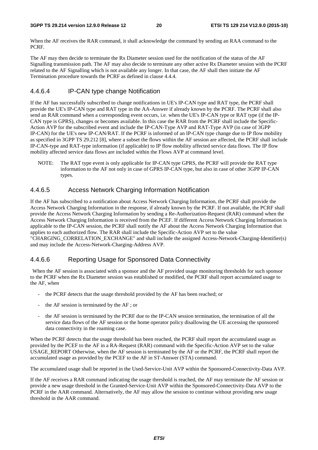When the AF receives the RAR command, it shall acknowledge the command by sending an RAA command to the PCRF.

The AF may then decide to terminate the Rx Diameter session used for the notification of the status of the AF Signalling transmission path. The AF may also decide to terminate any other active Rx Diameter session with the PCRF related to the AF Signalling which is not available any longer. In that case, the AF shall then initiate the AF Termination procedure towards the PCRF as defined in clause 4.4.4.

#### 4.4.6.4 IP-CAN type change Notification

If the AF has successfully subscribed to change notifications in UE's IP-CAN type and RAT type, the PCRF shall provide the UE's IP-CAN type and RAT type in the AA-Answer if already known by the PCRF. The PCRF shall also send an RAR command when a corresponding event occurs, i.e. when the UE's IP-CAN type or RAT type (if the IP-CAN type is GPRS), changes or becomes available. In this case the RAR from the PCRF shall include the Specific-Action AVP for the subscribed event and include the IP-CAN-Type AVP and RAT-Type AVP (in case of 3GPP IP-CAN) for the UE's new IP-CAN/RAT. If the PCRF is informed of an IP-CAN type change due to IP flow mobility as specified in 3GPP TS 29.212 [8], where a subset the flows within the AF session are affected, the PCRF shall include IP-CAN-type and RAT-type information (if applicable) to IP flow mobility affected service data flows. The IP flow mobility affected service data flows are included within the Flows AVP at command level.

NOTE: The RAT type event is only applicable for IP-CAN type GPRS, the PCRF will provide the RAT type information to the AF not only in case of GPRS IP-CAN type, but also in case of other 3GPP IP-CAN types.

#### 4.4.6.5 Access Network Charging Information Notification

If the AF has subscribed to a notification about Access Network Charging Information, the PCRF shall provide the Access Network Charging Information in the response, if already known by the PCRF. If not available, the PCRF shall provide the Access Network Charging Information by sending a Re-Authorization-Request (RAR) command when the Access Network Charging Information is received from the PCEF. If different Access Network Charging Information is applicable to the IP-CAN session, the PCRF shall notify the AF about the Access Network Charging Information that applies to each authorized flow. The RAR shall include the Specific-Action AVP set to the value

"CHARGING\_CORRELATION\_EXCHANGE" and shall include the assigned Access-Network-Charging-Identifier(s) and may include the Access-Network-Charging-Address AVP.

#### 4.4.6.6 Reporting Usage for Sponsored Data Connectivity

 When the AF session is associated with a sponsor and the AF provided usage monitoring thresholds for such sponsor to the PCRF when the Rx Diameter session was established or modified, the PCRF shall report accumulated usage to the AF, when

- the PCRF detects that the usage threshold provided by the AF has been reached; or
- the AF session is terminated by the AF ; or
- the AF session is terminated by the PCRF due to the IP-CAN session termination, the termination of all the service data flows of the AF session or the home operator policy disallowing the UE accessing the sponsored data connectivity in the roaming case.

When the PCRF detects that the usage threshold has been reached, the PCRF shall report the accumulated usage as provided by the PCEF to the AF in a RA-Request (RAR) command with the Specific-Action AVP set to the value USAGE\_REPORT Otherwise, when the AF session is terminated by the AF or the PCRF, the PCRF shall report the accumulated usage as provided by the PCEF to the AF in ST-Answer (STA) command.

The accumulated usage shall be reported in the Used-Service-Unit AVP within the Sponsored-Connectivity-Data AVP.

If the AF receives a RAR command indicating the usage threshold is reached, the AF may terminate the AF session or provide a new usage threshold in the Granted-Service-Unit AVP within the Sponsored-Connectivity-Data AVP to the PCRF in the AAR command. Alternatively, the AF may allow the session to continue without providing new usage threshold in the AAR command.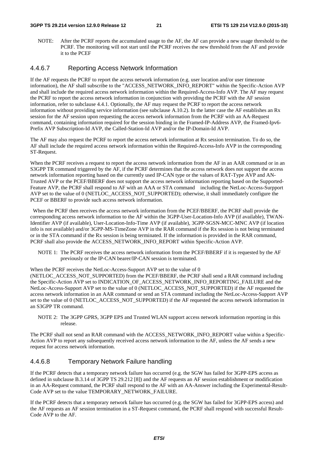#### **3GPP TS 29.214 version 12.9.0 Release 12 21 ETSI TS 129 214 V12.9.0 (2015-10)**

NOTE: After the PCRF reports the accumulated usage to the AF, the AF can provide a new usage threshold to the PCRF. The monitoring will not start until the PCRF receives the new threshold from the AF and provide it to the PCEF

#### 4.4.6.7 Reporting Access Network Information

If the AF requests the PCRF to report the access network information (e.g. user location and/or user timezone information), the AF shall subscribe to the "ACCESS\_NETWORK\_INFO\_REPORT" within the Specific-Action AVP and shall include the required access network information within the Required-Access-Info AVP. The AF may request the PCRF to report the access network information in conjunction with providing the PCRF with the AF session information, refer to subclause 4.4.1. Optionally, the AF may request the PCRF to report the access network information without providing service information (see subclause A.10.2). In the latter case the AF establishes an Rx session for the AF session upon requesting the access network information from the PCRF with an AA-Request command, containing information required for the session binding in the Framed-IP-Address AVP, the Framed-Ipv6- Prefix AVP Subscription-Id AVP, the Called-Station-Id AVP and/or the IP-Domain-Id AVP.

The AF may also request the PCRF to report the access network information at Rx session termination. To do so, the AF shall include the required access network information within the Required-Access-Info AVP in the corresponding ST-Request.

When the PCRF receives a request to report the access network information from the AF in an AAR command or in an S3GPP TR command triggered by the AF, if the PCRF determines that the access network does not support the access network information reporting based on the currently used IP-CAN type or the values of RAT-Type AVP and AN-Trusted AVP or the PCEF/BBERF does not support the access network information reporting based on the Supported-Feature AVP, the PCRF shall respond to AF with an AAA or STA command including the NetLoc-Access-Surpport AVP set to the value of 0 (NETLOC ACCESS NOT SUPPORTED); otherwise, it shall immediately configure the PCEF or BBERF to provide such access network information.

 When the PCRF then receives the access network information from the PCEF/BBERF, the PCRF shall provide the corresponding access network information to the AF within the 3GPP-User-Location-Info AVP (if available), TWAN-Identifier AVP (if available), User-Location-Info-Time AVP (if available), 3GPP-SGSN-MCC-MNC AVP (if location info is not available) and/or 3GPP-MS-TimeZone AVP in the RAR command if the Rx session is not being terminated or in the STA command if the Rx session is being terminated. If the information is provided in the RAR command, PCRF shall also provide the ACCESS\_NETWORK\_INFO\_REPORT within Specific-Action AVP.

NOTE 1: The PCRF receives the access network information from the PCEF/BBERF if it is requested by the AF previously or the IP-CAN bearer/IP-CAN session is terminated.

When the PCRF receives the NetLoc-Access-Support AVP set to the value of 0

(NETLOC ACCESS NOT SUPPORTED) from the PCEF/BBERF, the PCRF shall send a RAR command including the Specific-Action AVP set to INDICATION\_OF\_ACCESS\_NETWORK\_INFO\_REPORTING\_FAILURE and the NetLoc-Access-Support AVP set to the value of 0 (NETLOC\_ACCESS\_NOT\_SUPPORTED) if the AF requested the access network information in an AAR command or send an STA command including the NetLoc-Access-Support AVP set to the value of 0 (NETLOC\_ACCESS\_NOT\_SUPPORTED) if the AF requested the access network information in an S3GPP TR command.

NOTE 2: The 3GPP GPRS, 3GPP EPS and Trusted WLAN support access network information reporting in this release.

The PCRF shall not send an RAR command with the ACCESS\_NETWORK\_INFO\_REPORT value within a Specific-Action AVP to report any subsequently received access network information to the AF, unless the AF sends a new request for access network information.

#### 4.4.6.8 Temporary Network Failure handling

If the PCRF detects that a temporary network failure has occurred (e.g. the SGW has failed for 3GPP-EPS access as defined in subclause B.3.14 of 3GPP TS 29.212 [8]) and the AF requests an AF session establishment or modification in an AA-Request command, the PCRF shall respond to the AF with an AA-Answer including the Experimental-Result-Code AVP set to the value TEMPORARY\_NETWORK\_FAILURE.

If the PCRF detects that a temporary network failure has occurred (e.g. the SGW has failed for 3GPP-EPS access) and the AF requests an AF session termination in a ST-Request command, the PCRF shall respond with successful Result-Code AVP to the AF.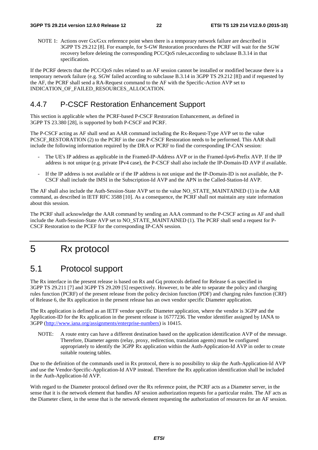NOTE 1: Actions over Gx/Gxx reference point when there is a temporary network failure are described in 3GPP TS 29.212 [8]. For example, for S-GW Restoration procedures the PCRF will wait for the SGW recovery before deleting the corresponding PCC/QoS rules,according to subclause B.3.14 in that specification.

If the PCRF detects that the PCC/QoS rules related to an AF session cannot be installed or modified because there is a temporary network failure (e.g. SGW failed according to subclause B.3.14 in 3GPP TS 29.212 [8]) and if requested by the AF, the PCRF shall send a RA-Request command to the AF with the Specific-Action AVP set to INDICATION\_OF\_FAILED\_RESOURCES\_ALLOCATION.

### 4.4.7 P-CSCF Restoration Enhancement Support

This section is applicable when the PCRF-based P-CSCF Restoration Enhancement, as defined in 3GPP TS 23.380 [28], is supported by both P-CSCF and PCRF.

The P-CSCF acting as AF shall send an AAR command including the Rx-Request-Type AVP set to the value PCSCF\_RESTORATION (2) to the PCRF in the case P-CSCF Restoration needs to be performed. This AAR shall include the following information required by the DRA or PCRF to find the corresponding IP-CAN session:

- The UE's IP address as applicable in the Framed-IP-Address AVP or in the Framed-Ipv6-Prefix AVP. If the IP address is not unique (e.g. private IPv4 case), the P-CSCF shall also include the IP-Domain-ID AVP if available.
- If the IP address is not available or if the IP address is not unique and the IP-Domain-ID is not available, the P-CSCF shall include the IMSI in the Subscription-Id AVP and the APN in the Called-Station-Id AVP.

The AF shall also include the Auth-Session-State AVP set to the value NO\_STATE\_MAINTAINED (1) in the AAR command, as described in IETF RFC 3588 [10]. As a consequence, the PCRF shall not maintain any state information about this session.

The PCRF shall acknowledge the AAR command by sending an AAA command to the P-CSCF acting as AF and shall include the Auth-Session-State AVP set to NO\_STATE\_MAINTAINED (1). The PCRF shall send a request for P-CSCF Restoration to the PCEF for the corresponding IP-CAN session.

## 5 Rx protocol

## 5.1 Protocol support

The Rx interface in the present release is based on Rx and Gq protocols defined for Release 6 as specified in 3GPP TS 29.211 [7] and 3GPP TS 29.209 [5] respectively. However, to be able to separate the policy and charging rules function (PCRF) of the present release from the policy decision function (PDF) and charging rules function (CRF) of Release 6, the Rx application in the present release has an own vendor specific Diameter application.

The Rx application is defined as an IETF vendor specific Diameter application, where the vendor is 3GPP and the Application-ID for the Rx application in the present release is 16777236. The vendor identifier assigned by IANA to 3GPP ([http://www.iana.org/assignments/enterprise-numbers\)](http://www.iana.org/assignments/enterprise-numbers) is 10415.

NOTE: A route entry can have a different destination based on the application identification AVP of the message. Therefore, Diameter agents (relay, proxy, redirection, translation agents) must be configured appropriately to identify the 3GPP Rx application within the Auth-Application-Id AVP in order to create suitable routeing tables.

Due to the definition of the commands used in Rx protocol, there is no possibility to skip the Auth-Application-Id AVP and use the Vendor-Specific-Application-Id AVP instead. Therefore the Rx application identification shall be included in the Auth-Application-Id AVP.

With regard to the Diameter protocol defined over the Rx reference point, the PCRF acts as a Diameter server, in the sense that it is the network element that handles AF session authorization requests for a particular realm. The AF acts as the Diameter client, in the sense that is the network element requesting the authorization of resources for an AF session.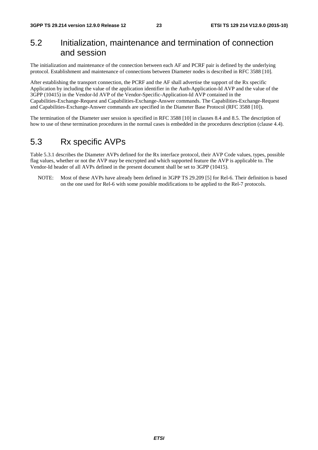## 5.2 Initialization, maintenance and termination of connection and session

The initialization and maintenance of the connection between each AF and PCRF pair is defined by the underlying protocol. Establishment and maintenance of connections between Diameter nodes is described in RFC 3588 [10].

After establishing the transport connection, the PCRF and the AF shall advertise the support of the Rx specific Application by including the value of the application identifier in the Auth-Application-Id AVP and the value of the 3GPP (10415) in the Vendor-Id AVP of the Vendor-Specific-Application-Id AVP contained in the Capabilities-Exchange-Request and Capabilities-Exchange-Answer commands. The Capabilities-Exchange-Request and Capabilities-Exchange-Answer commands are specified in the Diameter Base Protocol (RFC 3588 [10]).

The termination of the Diameter user session is specified in RFC 3588 [10] in clauses 8.4 and 8.5. The description of how to use of these termination procedures in the normal cases is embedded in the procedures description (clause 4.4).

### 5.3 Rx specific AVPs

Table 5.3.1 describes the Diameter AVPs defined for the Rx interface protocol, their AVP Code values, types, possible flag values, whether or not the AVP may be encrypted and which supported feature the AVP is applicable to. The Vendor-Id header of all AVPs defined in the present document shall be set to 3GPP (10415).

NOTE: Most of these AVPs have already been defined in 3GPP TS 29.209 [5] for Rel-6. Their definition is based on the one used for Rel-6 with some possible modifications to be applied to the Rel-7 protocols.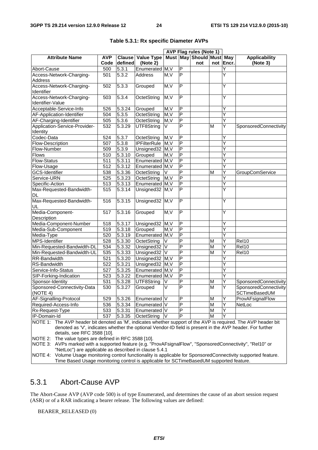|                                                                                                                 |            |                     |                         |        |                         | <b>AVP Flag rules (Note 1)</b> |   |           |                       |
|-----------------------------------------------------------------------------------------------------------------|------------|---------------------|-------------------------|--------|-------------------------|--------------------------------|---|-----------|-----------------------|
| <b>Attribute Name</b>                                                                                           | <b>AVP</b> |                     | Clause Value Type       |        |                         | Must May Should Must May       |   |           | <b>Applicability</b>  |
|                                                                                                                 | Code       | defined             | (Note 2)                |        |                         | not                            |   | not Encr. | (Note 3)              |
| Abort-Cause                                                                                                     | 500        | $5.\overline{3}.1$  | Enumerated              | M, V   | $\overline{P}$          |                                |   | Y         |                       |
| Access-Network-Charging-                                                                                        | 501        | 5.3.2               | Address                 | M.V    | P                       |                                |   | Y         |                       |
| <b>Address</b>                                                                                                  |            |                     |                         |        |                         |                                |   |           |                       |
| Access-Network-Charging-                                                                                        | 502        | 5.3.3               | Grouped                 | M, V   | $\mathsf{P}$            |                                |   | Y         |                       |
| Identifier                                                                                                      |            |                     |                         |        |                         |                                |   |           |                       |
| Access-Network-Charging-                                                                                        | 503        | 5.3.4               | OctetString             | M, V   | $\overline{P}$          |                                |   | Υ         |                       |
| Identifier-Value                                                                                                |            |                     |                         |        |                         |                                |   |           |                       |
| Acceptable-Service-Info                                                                                         | 526        | 5.3.24              | Grouped                 | M, V   | P                       |                                |   | Υ         |                       |
| AF-Application-Identifier                                                                                       | 504        | 5.3.5               | OctetString             | M, V   | P                       |                                |   | Ϋ         |                       |
| AF-Charging-Identifier                                                                                          | 505        | 5.3.6               | OctetString             | M, V   | $\mathsf{P}$            |                                |   | Y         |                       |
| Application-Service-Provider-                                                                                   | 532        | 5.3.29              | UTF8String              | IV.    | $\overline{P}$          |                                | M | Y         | SponsoredConnectivity |
| Identity                                                                                                        |            |                     |                         |        |                         |                                |   |           |                       |
| Codec-Data                                                                                                      | 524        | 5.3.7               | OctetString             | M, V   | P                       |                                |   | Υ         |                       |
| Flow-Description                                                                                                | 507        | 5.3.8               | <b>IPFilterRule</b>     | M, V   | P                       |                                |   | Υ         |                       |
| Flow-Number                                                                                                     | 509        | 5.3.9               | Unsigned32              | M, V   | ۱                       |                                |   | Υ         |                       |
| <b>Flows</b>                                                                                                    | 510        | 5.3.10              | Grouped                 | M, V   | $\overline{\mathsf{P}}$ |                                |   | Υ         |                       |
| Flow-Status                                                                                                     | 511        | 5.3.11              | Enumerated M, V         |        | $\overline{P}$          |                                |   | Y         |                       |
| Flow-Usage                                                                                                      | 512        | 5.3.12              | Enumerated M, V         |        | $\overline{P}$          |                                |   | Ϋ         |                       |
| <b>GCS-Identifier</b>                                                                                           | 538        | 5.3.36              | OctetString             | V      | $\overline{P}$          |                                | M | Y         | GroupComService       |
| Service-URN                                                                                                     | 525        | 5.3.23              | OctetString             | M, V   | $\overline{P}$          |                                |   | Y         |                       |
| Specific-Action                                                                                                 | 513        | 5.3.13              | Enumerated M, V         |        | $\overline{P}$          |                                |   | Υ         |                       |
| Max-Requested-Bandwidth-                                                                                        | 515        | 5.3.14              | Unsigned32 M, V         |        | P                       |                                |   | Y         |                       |
| DL                                                                                                              |            |                     |                         |        |                         |                                |   |           |                       |
| Max-Requested-Bandwidth-                                                                                        | 516        | 5.3.15              | Unsigned32 M,V          |        | $\overline{\mathsf{P}}$ |                                |   | Ÿ         |                       |
| UL                                                                                                              |            |                     |                         |        |                         |                                |   |           |                       |
| Media-Component-<br>Ŀ<br>5.3.16<br>Grouped<br>M, V<br>Υ<br>517                                                  |            |                     |                         |        |                         |                                |   |           |                       |
| Description                                                                                                     |            |                     |                         |        |                         |                                |   |           |                       |
| Media-Component-Number                                                                                          | 518        | 5.3.17              | Unsigned32 M,V          |        | $\overline{P}$          |                                |   | Υ         |                       |
| Media-Sub-Component                                                                                             | 519        | 5.3.18              | Grouped                 | M, V   | $\overline{\mathsf{P}}$ |                                |   | Y         |                       |
| Media-Type                                                                                                      | 520        | 5.3.19              | Enumerated M, V         |        | $\overline{P}$          |                                |   | Y         |                       |
| MPS-Identifier                                                                                                  | 528        | 5.3.30              | OctetString             | V      | $\overline{P}$          |                                | M | Y         | Rel10                 |
| Min-Requested-Bandwidth-DL                                                                                      | 534        | 5.3.32              | Unsigned32              | V      | P                       |                                | M | Υ         | Rel10                 |
| Min-Requested-Bandwidth-UL                                                                                      | 535        | 5.3.33              | Unsigned32 <sup>V</sup> |        | P                       |                                | M | Υ         | Rel10                 |
| RR-Bandwidth                                                                                                    | 521        | 5.3.20              | Unsigned32 M, V         |        | $\overline{P}$          |                                |   | Υ         |                       |
| RS-Bandwidth                                                                                                    | 522        | 5.3.21              | Unsigned32 M, V         |        | $\overline{P}$          |                                |   | Y         |                       |
| Service-Info-Status                                                                                             | 527        | 5.3.25              | Enumerated M, V         |        | $\overline{P}$          |                                |   | Y         |                       |
| SIP-Forking-Indication                                                                                          | 523        | 5.3.22              | Enumerated M, V         |        | Δ                       |                                |   | Y         |                       |
| Sponsor-Identity                                                                                                | 531        | $\overline{5.3.28}$ | UTF8String              | $\vee$ | $\overline{\mathsf{P}}$ |                                | M | Υ         | SponsoredConnectivity |
| Sponsored-Connectivity-Data                                                                                     | 530        |                     | 5.3.27 Grouped          | V      | $\overline{P}$          |                                | M | Υ         | SponsoredConnectivity |
| (NOTE 4)                                                                                                        |            |                     |                         |        |                         |                                |   |           | SCTimeBasedUM         |
| AF-Signalling-Protocol                                                                                          | 529        | 5.3.26              | Enumerated V            |        | $\mathsf{P}$            |                                | M | Υ         | ProvAFsignalFlow      |
| Required-Access-Info                                                                                            | 536        | 5.3.34              | Enumerated V            |        | $\mathsf{P}$            |                                | M | Y         | NetLoc                |
| Rx-Request-Type                                                                                                 | 533        | 5.3.31              | Enumerated   V          |        | P                       |                                | M | Υ         |                       |
| IP-Domain-Id                                                                                                    | 537        | 5.3.35              | OctetString             |        | P                       |                                | М | Υ         |                       |
| NOTE 1: The AVP header bit denoted as 'M', indicates whether support of the AVP is required. The AVP header bit |            |                     |                         |        |                         |                                |   |           |                       |
| denoted as 'V', indicates whether the optional Vendor-ID field is present in the AVP header. For further        |            |                     |                         |        |                         |                                |   |           |                       |
| details, see RFC 3588 [10].                                                                                     |            |                     |                         |        |                         |                                |   |           |                       |
| NOTE 2:<br>The value types are defined in RFC 3588 [10].                                                        |            |                     |                         |        |                         |                                |   |           |                       |
| NOTE 3: AVPs marked with a supported feature (e.g. "ProvAFsignalFlow", "SponsoredConnectivity", "Rel10" or      |            |                     |                         |        |                         |                                |   |           |                       |

#### **Table 5.3.1: Rx specific Diameter AVPs**

"NetLoc") are applicable as described in clause 5.4.1 NOTE 4: Volume Usage monitoring control functionality is applicable for SponsoredConnectivity supported feature. Time Based Usage monitoring control is applicable for SCTimeBasedUM supported feature.

The Abort-Cause AVP (AVP code 500) is of type Enumerated, and determines the cause of an abort session request (ASR) or of a RAR indicating a bearer release. The following values are defined:

#### BEARER\_RELEASED (0)

5.3.1 Abort-Cause AVP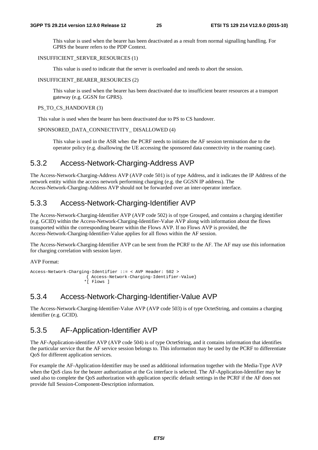This value is used when the bearer has been deactivated as a result from normal signalling handling. For GPRS the bearer refers to the PDP Context.

#### INSUFFICIENT\_SERVER\_RESOURCES (1)

This value is used to indicate that the server is overloaded and needs to abort the session.

#### INSUFFICIENT\_BEARER\_RESOURCES (2)

 This value is used when the bearer has been deactivated due to insufficient bearer resources at a transport gateway (e.g. GGSN for GPRS).

#### PS\_TO\_CS\_HANDOVER (3)

This value is used when the bearer has been deactivated due to PS to CS handover.

#### SPONSORED\_DATA\_CONNECTIVITY\_ DISALLOWED (4)

 This value is used in the ASR when the PCRF needs to initiates the AF session termination due to the operator policy (e.g. disallowing the UE accessing the sponsored data connectivity in the roaming case).

### 5.3.2 Access-Network-Charging-Address AVP

The Access-Network-Charging-Address AVP (AVP code 501) is of type Address, and it indicates the IP Address of the network entity within the access network performing charging (e.g. the GGSN IP address). The Access-Network-Charging-Address AVP should not be forwarded over an inter-operator interface.

### 5.3.3 Access-Network-Charging-Identifier AVP

The Access-Network-Charging-Identifier AVP (AVP code 502) is of type Grouped, and contains a charging identifier (e.g. GCID) within the Access-Network-Charging-Identifier-Value AVP along with information about the flows transported within the corresponding bearer within the Flows AVP. If no Flows AVP is provided, the Access-Network-Charging-Identifier-Value applies for all flows within the AF session.

The Access-Network-Charging-Identifier AVP can be sent from the PCRF to the AF. The AF may use this information for charging correlation with session layer.

AVP Format:

```
Access-Network-Charging-Identifier ::= < AVP Header: 502 > 
                        { Access-Network-Charging-Identifier-Value} 
                       *[ Flows ]
```
### 5.3.4 Access-Network-Charging-Identifier-Value AVP

The Access-Network-Charging-Identifier-Value AVP (AVP code 503) is of type OctetString, and contains a charging identifier (e.g. GCID).

### 5.3.5 AF-Application-Identifier AVP

The AF-Application-identifier AVP (AVP code 504) is of type OctetString, and it contains information that identifies the particular service that the AF service session belongs to. This information may be used by the PCRF to differentiate QoS for different application services.

For example the AF-Application-Identifier may be used as additional information together with the Media-Type AVP when the QoS class for the bearer authorization at the Gx interface is selected. The AF-Application-Identifier may be used also to complete the QoS authorization with application specific default settings in the PCRF if the AF does not provide full Session-Component-Description information.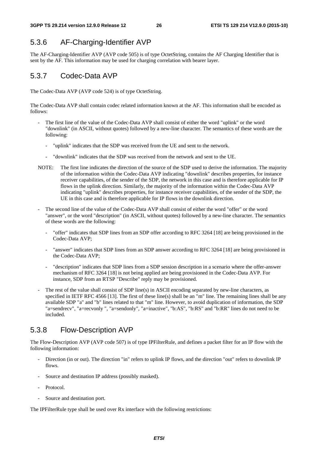### 5.3.6 AF-Charging-Identifier AVP

The AF-Charging-Identifier AVP (AVP code 505) is of type OctetString, contains the AF Charging Identifier that is sent by the AF. This information may be used for charging correlation with bearer layer.

### 5.3.7 Codec-Data AVP

The Codec-Data AVP (AVP code 524) is of type OctetString.

The Codec-Data AVP shall contain codec related information known at the AF. This information shall be encoded as follows:

- The first line of the value of the Codec-Data AVP shall consist of either the word "uplink" or the word "downlink" (in ASCII, without quotes) followed by a new-line character. The semantics of these words are the following:
	- "uplink" indicates that the SDP was received from the UE and sent to the network.
	- "downlink" indicates that the SDP was received from the network and sent to the UE.
- NOTE: The first line indicates the direction of the source of the SDP used to derive the information. The majority of the information within the Codec-Data AVP indicating "downlink" describes properties, for instance receiver capabilities, of the sender of the SDP, the network in this case and is therefore applicable for IP flows in the uplink direction. Similarly, the majority of the information within the Codec-Data AVP indicating "uplink" describes properties, for instance receiver capabilities, of the sender of the SDP, the UE in this case and is therefore applicable for IP flows in the downlink direction.
- The second line of the value of the Codec-Data AVP shall consist of either the word "offer" or the word "answer", or the word "description" (in ASCII, without quotes) followed by a new-line character. The semantics of these words are the following:
	- "offer" indicates that SDP lines from an SDP offer according to RFC 3264 [18] are being provisioned in the Codec-Data AVP;
	- "answer" indicates that SDP lines from an SDP answer according to RFC 3264 [18] are being provisioned in the Codec-Data AVP;
	- "description" indicates that SDP lines from a SDP session description in a scenario where the offer-answer mechanism of RFC 3264 [18] is not being applied are being provisioned in the Codec-Data AVP. For instance, SDP from an RTSP "Describe" reply may be provisioned.
- The rest of the value shall consist of SDP line(s) in ASCII encoding separated by new-line characters, as specified in IETF RFC 4566 [13]. The first of these line(s) shall be an "m" line. The remaining lines shall be any available SDP "a" and "b" lines related to that "m" line. However, to avoid duplication of information, the SDP "a=sendrecv", "a=recvonly ", "a=sendonly", "a=inactive", "b:AS", "b:RS" and "b:RR" lines do not need to be included.

## 5.3.8 Flow-Description AVP

The Flow-Description AVP (AVP code 507) is of type IPFilterRule, and defines a packet filter for an IP flow with the following information:

- Direction (in or out). The direction "in" refers to uplink IP flows, and the direction "out" refers to downlink IP flows.
- Source and destination IP address (possibly masked).
- Protocol.
- Source and destination port.

The IPFilterRule type shall be used over Rx interface with the following restrictions: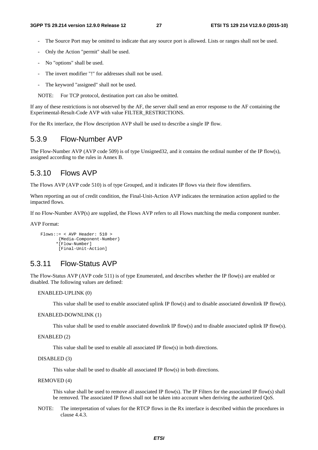- The Source Port may be omitted to indicate that any source port is allowed. Lists or ranges shall not be used.
- Only the Action "permit" shall be used.
- No "options" shall be used.
- The invert modifier "!" for addresses shall not be used.
- The keyword "assigned" shall not be used.

NOTE: For TCP protocol, destination port can also be omitted.

If any of these restrictions is not observed by the AF, the server shall send an error response to the AF containing the Experimental-Result-Code AVP with value FILTER\_RESTRICTIONS.

For the Rx interface, the Flow description AVP shall be used to describe a single IP flow.

### 5.3.9 Flow-Number AVP

The Flow-Number AVP (AVP code 509) is of type Unsigned32, and it contains the ordinal number of the IP flow(s), assigned according to the rules in Annex B.

### 5.3.10 Flows AVP

The Flows AVP (AVP code 510) is of type Grouped, and it indicates IP flows via their flow identifiers.

When reporting an out of credit condition, the Final-Unit-Action AVP indicates the termination action applied to the impacted flows.

If no Flow-Number AVP(s) are supplied, the Flows AVP refers to all Flows matching the media component number.

AVP Format:

```
 Flows::= < AVP Header: 510 > 
        {Media-Component-Number} 
        *[Flow-Number] 
        [Final-Unit-Action]
```
### 5.3.11 Flow-Status AVP

The Flow-Status AVP (AVP code 511) is of type Enumerated, and describes whether the IP flow(s) are enabled or disabled. The following values are defined:

ENABLED-UPLINK (0)

This value shall be used to enable associated uplink IP flow(s) and to disable associated downlink IP flow(s).

ENABLED-DOWNLINK (1)

This value shall be used to enable associated downlink IP flow(s) and to disable associated uplink IP flow(s).

ENABLED (2)

This value shall be used to enable all associated IP flow(s) in both directions.

#### DISABLED (3)

This value shall be used to disable all associated IP flow(s) in both directions.

#### REMOVED (4)

 This value shall be used to remove all associated IP flow(s). The IP Filters for the associated IP flow(s) shall be removed. The associated IP flows shall not be taken into account when deriving the authorized QoS.

NOTE: The interpretation of values for the RTCP flows in the Rx interface is described within the procedures in clause 4.4.3.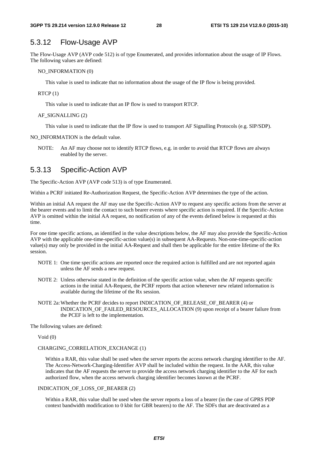### 5.3.12 Flow-Usage AVP

The Flow-Usage AVP (AVP code 512) is of type Enumerated, and provides information about the usage of IP Flows. The following values are defined:

NO\_INFORMATION (0)

This value is used to indicate that no information about the usage of the IP flow is being provided.

RTCP (1)

This value is used to indicate that an IP flow is used to transport RTCP.

AF\_SIGNALLING (2)

This value is used to indicate that the IP flow is used to transport AF Signalling Protocols (e.g. SIP/SDP).

NO\_INFORMATION is the default value.

NOTE: An AF may choose not to identify RTCP flows, e.g. in order to avoid that RTCP flows are always enabled by the server.

### 5.3.13 Specific-Action AVP

The Specific-Action AVP (AVP code 513) is of type Enumerated.

Within a PCRF initiated Re-Authorization Request, the Specific-Action AVP determines the type of the action.

Within an initial AA request the AF may use the Specific-Action AVP to request any specific actions from the server at the bearer events and to limit the contact to such bearer events where specific action is required. If the Specific-Action AVP is omitted within the initial AA request, no notification of any of the events defined below is requested at this time.

For one time specific actions, as identified in the value descriptions below, the AF may also provide the Specific-Action AVP with the applicable one-time-specific-action value(s) in subsequent AA-Requests. Non-one-time-specific-action value(s) may only be provided in the initial AA-Request and shall then be applicable for the entire lifetime of the Rx session.

- NOTE 1: One time specific actions are reported once the required action is fulfilled and are not reported again unless the AF sends a new request.
- NOTE 2: Unless otherwise stated in the definition of the specific action value, when the AF requests specific actions in the initial AA-Request, the PCRF reports that action whenever new related information is available during the lifetime of the Rx session.
- NOTE 2a: Whether the PCRF decides to report INDICATION OF RELEASE OF BEARER (4) or INDICATION\_OF\_FAILED\_RESOURCES\_ALLOCATION (9) upon receipt of a bearer failure from the PCEF is left to the implementation.

The following values are defined:

Void (0)

#### CHARGING\_CORRELATION\_EXCHANGE (1)

Within a RAR, this value shall be used when the server reports the access network charging identifier to the AF. The Access-Network-Charging-Identifier AVP shall be included within the request. In the AAR, this value indicates that the AF requests the server to provide the access network charging identifier to the AF for each authorized flow, when the access network charging identifier becomes known at the PCRF.

#### INDICATION\_OF\_LOSS\_OF\_BEARER (2)

 Within a RAR, this value shall be used when the server reports a loss of a bearer (in the case of GPRS PDP context bandwidth modification to 0 kbit for GBR bearers) to the AF. The SDFs that are deactivated as a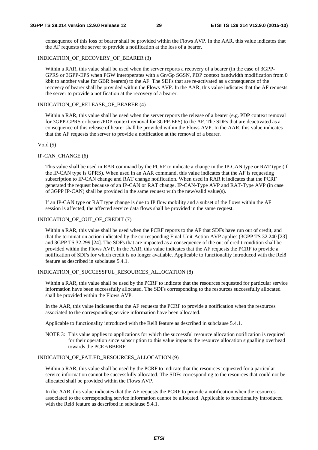consequence of this loss of bearer shall be provided within the Flows AVP. In the AAR, this value indicates that the AF requests the server to provide a notification at the loss of a bearer.

#### INDICATION OF RECOVERY OF BEARER (3)

 Within a RAR, this value shall be used when the server reports a recovery of a bearer (in the case of 3GPP-GPRS or 3GPP-EPS when PGW interoperates with a Gn/Gp SGSN, PDP context bandwidth modification from 0 kbit to another value for GBR bearers) to the AF. The SDFs that are re-activated as a consequence of the recovery of bearer shall be provided within the Flows AVP. In the AAR, this value indicates that the AF requests the server to provide a notification at the recovery of a bearer.

#### INDICATION OF RELEASE OF BEARER (4)

Within a RAR, this value shall be used when the server reports the release of a bearer (e.g. PDP context removal for 3GPP-GPRS or bearer/PDP context removal for 3GPP-EPS) to the AF. The SDFs that are deactivated as a consequence of this release of bearer shall be provided within the Flows AVP. In the AAR, this value indicates that the AF requests the server to provide a notification at the removal of a bearer.

#### Void (5)

#### IP-CAN\_CHANGE (6)

This value shall be used in RAR command by the PCRF to indicate a change in the IP-CAN type or RAT type (if the IP-CAN type is GPRS). When used in an AAR command, this value indicates that the AF is requesting subscription to IP-CAN change and RAT change notification. When used in RAR it indicates that the PCRF generated the request because of an IP-CAN or RAT change. IP-CAN-Type AVP and RAT-Type AVP (in case of 3GPP IP-CAN) shall be provided in the same request with the new/valid value(s).

If an IP-CAN type or RAT type change is due to IP flow mobility and a subset of the flows within the AF session is affected, the affected service data flows shall be provided in the same request.

#### INDICATION\_OF\_OUT\_OF\_CREDIT (7)

 Within a RAR, this value shall be used when the PCRF reports to the AF that SDFs have run out of credit, and that the termination action indicated by the corresponding Final-Unit-Action AVP applies (3GPP TS 32.240 [23] and 3GPP TS 32.299 [24]. The SDFs that are impacted as a consequence of the out of credit condition shall be provided within the Flows AVP. In the AAR, this value indicates that the AF requests the PCRF to provide a notification of SDFs for which credit is no longer available. Applicable to functionality introduced with the Rel8 feature as described in subclause 5.4.1.

#### INDICATION OF SUCCESSFUL RESOURCES ALLOCATION (8)

 Within a RAR, this value shall be used by the PCRF to indicate that the resources requested for particular service information have been successfully allocated. The SDFs corresponding to the resources successfully allocated shall be provided within the Flows AVP.

In the AAR, this value indicates that the AF requests the PCRF to provide a notification when the resources associated to the corresponding service information have been allocated.

Applicable to functionality introduced with the Rel8 feature as described in subclause 5.4.1.

NOTE 3: This value applies to applications for which the successful resource allocation notification is required for their operation since subscription to this value impacts the resource allocation signalling overhead towards the PCEF/BBERF.

#### INDICATION\_OF\_FAILED\_RESOURCES\_ALLOCATION (9)

 Within a RAR, this value shall be used by the PCRF to indicate that the resources requested for a particular service information cannot be successfully allocated. The SDFs corresponding to the resources that could not be allocated shall be provided within the Flows AVP.

In the AAR, this value indicates that the AF requests the PCRF to provide a notification when the resources associated to the corresponding service information cannot be allocated. Applicable to functionality introduced with the Rel8 feature as described in subclause 5.4.1.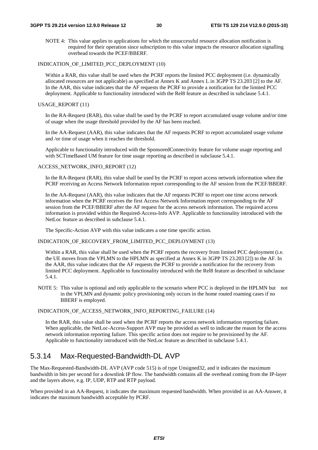NOTE 4: This value applies to applications for which the unsuccessful resource allocation notification is required for their operation since subscription to this value impacts the resource allocation signalling overhead towards the PCEF/BBERF.

#### INDICATION\_OF\_LIMITED\_PCC\_DEPLOYMENT (10)

 Within a RAR, this value shall be used when the PCRF reports the limited PCC deployment (i.e. dynamically allocated resources are not applicable) as specified at Annex K and Annex L in 3GPP TS 23.203 [2] to the AF. In the AAR, this value indicates that the AF requests the PCRF to provide a notification for the limited PCC deployment. Applicable to functionality introduced with the Rel8 feature as described in subclause 5.4.1.

#### USAGE\_REPORT (11)

In the RA-Request (RAR), this value shall be used by the PCRF to report accumulated usage volume and/or time of usage when the usage threshold provided by the AF has been reached.

 In the AA-Request (AAR), this value indicates that the AF requests PCRF to report accumulated usage volume and /or time of usage when it reaches the threshold.

Applicable to functionality introduced with the SponsoredConnectivity feature for volume usage reporting and with SCTimeBased UM feature for time usage reporting as described in subclause 5.4.1.

#### ACCESS\_NETWORK\_INFO\_REPORT (12)

In the RA-Request (RAR), this value shall be used by the PCRF to report access network information when the PCRF receiving an Access Network Information report corresponding to the AF session from the PCEF/BBERF.

In the AA-Request (AAR), this value indicates that the AF requests PCRF to report one time access network information when the PCRF receives the first Access Network Information report corresponding to the AF session from the PCEF/BBERF after the AF request for the access network information. The required access information is provided within the Required-Access-Info AVP. Applicable to functionality introduced with the NetLoc feature as described in subclause 5.4.1.

The Specific-Action AVP with this value indicates a one time specific action.

#### INDICATION\_OF\_RECOVERY\_FROM\_LIMITED\_PCC\_DEPLOYMENT (13)

Within a RAR, this value shall be used when the PCRF reports the recovery from limited PCC deployment (i.e. the UE moves from the VPLMN to the HPLMN as specified at Annex K in 3GPP TS 23.203 [2]) to the AF. In the AAR, this value indicates that the AF requests the PCRF to provide a notification for the recovery from limited PCC deployment. Applicable to functionality introduced with the Rel8 feature as described in subclause 5.4.1.

NOTE 5: This value is optional and only applicable to the scenario where PCC is deployed in the HPLMN but not in the VPLMN and dynamic policy provisioning only occurs in the home routed roaming cases if no BBERF is employed.

#### INDICATION\_OF\_ACCESS\_NETWORK\_INFO\_REPORTING\_FAILURE (14)

In the RAR, this value shall be used when the PCRF reports the access network information reporting failure. When applicable, the NetLoc-Access-Support AVP may be provided as well to indicate the reason for the access network information reporting failure. This specific action does not require to be provisioned by the AF. Applicable to functionality introduced with the NetLoc feature as described in subclause 5.4.1.

### 5.3.14 Max-Requested-Bandwidth-DL AVP

The Max-Requested-Bandwidth-DL AVP (AVP code 515) is of type Unsigned32, and it indicates the maximum bandwidth in bits per second for a downlink IP flow. The bandwidth contains all the overhead coming from the IP-layer and the layers above, e.g. IP, UDP, RTP and RTP payload.

When provided in an AA-Request, it indicates the maximum requested bandwidth. When provided in an AA-Answer, it indicates the maximum bandwidth acceptable by PCRF.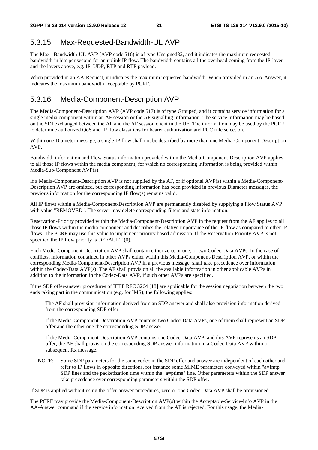### 5.3.15 Max-Requested-Bandwidth-UL AVP

The Max –Bandwidth-UL AVP (AVP code 516) is of type Unsigned32, and it indicates the maximum requested bandwidth in bits per second for an uplink IP flow. The bandwidth contains all the overhead coming from the IP-layer and the layers above, e.g. IP, UDP, RTP and RTP payload.

When provided in an AA-Request, it indicates the maximum requested bandwidth. When provided in an AA-Answer, it indicates the maximum bandwidth acceptable by PCRF.

### 5.3.16 Media-Component-Description AVP

The Media-Component-Description AVP (AVP code 517) is of type Grouped, and it contains service information for a single media component within an AF session or the AF signalling information. The service information may be based on the SDI exchanged between the AF and the AF session client in the UE. The information may be used by the PCRF to determine authorized QoS and IP flow classifiers for bearer authorization and PCC rule selection.

Within one Diameter message, a single IP flow shall not be described by more than one Media-Component-Description AVP.

Bandwidth information and Flow-Status information provided within the Media-Component-Description AVP applies to all those IP flows within the media component, for which no corresponding information is being provided within Media-Sub-Component AVP(s).

If a Media-Component-Description AVP is not supplied by the AF, or if optional AVP(s) within a Media-Component-Description AVP are omitted, but corresponding information has been provided in previous Diameter messages, the previous information for the corresponding IP flow(s) remains valid.

All IP flows within a Media-Component-Description AVP are permanently disabled by supplying a Flow Status AVP with value "REMOVED". The server may delete corresponding filters and state information.

Reservation-Priority provided within the Media-Component-Description AVP in the request from the AF applies to all those IP flows within the media component and describes the relative importance of the IP flow as compared to other IP flows. The PCRF may use this value to implement priority based admission. If the Reservation-Priority AVP is not specified the IP flow priority is DEFAULT (0).

Each Media-Component-Description AVP shall contain either zero, or one, or two Codec-Data AVPs. In the case of conflicts, information contained in other AVPs either within this Media-Component-Description AVP, or within the corresponding Media-Component-Description AVP in a previous message, shall take precedence over information within the Codec-Data AVP(s). The AF shall provision all the available information in other applicable AVPs in addition to the information in the Codec-Data AVP, if such other AVPs are specified.

If the SDP offer-answer procedures of IETF RFC 3264 [18] are applicable for the session negotiation between the two ends taking part in the communication (e.g. for IMS), the following applies:

- The AF shall provision information derived from an SDP answer and shall also provision information derived from the corresponding SDP offer.
- If the Media-Component-Description AVP contains two Codec-Data AVPs, one of them shall represent an SDP offer and the other one the corresponding SDP answer.
- If the Media-Component-Description AVP contains one Codec-Data AVP, and this AVP represents an SDP offer, the AF shall provision the corresponding SDP answer information in a Codec-Data AVP within a subsequent Rx message.
- NOTE: Some SDP parameters for the same codec in the SDP offer and answer are independent of each other and refer to IP flows in opposite directions, for instance some MIME parameters conveyed within "a=fmtp" SDP lines and the packetization time within the "a=ptime" line. Other parameters within the SDP answer take precedence over corresponding parameters within the SDP offer.

If SDP is applied without using the offer-answer procedures, zero or one Codec-Data AVP shall be provisioned.

The PCRF may provide the Media-Component-Description AVP(s) within the Acceptable-Service-Info AVP in the AA-Answer command if the service information received from the AF is rejected. For this usage, the Media-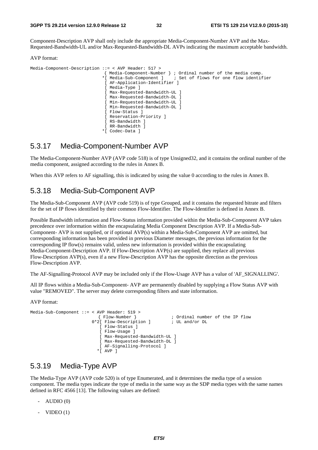Component-Description AVP shall only include the appropriate Media-Component-Number AVP and the Max-Requested-Bandwidth-UL and/or Max-Requested-Bandwidth-DL AVPs indicating the maximum acceptable bandwidth.

AVP format:

| Media-Component-Description ::= < AVP Header: $517$ > |                                                                     |
|-------------------------------------------------------|---------------------------------------------------------------------|
|                                                       | Media-Component-Number }<br>; Ordinal number of the media comp.     |
|                                                       | ; Set of flows for one flow identifier<br>* [ Media-Sub-Component ] |
|                                                       | [ AF-Application-Identifier ]                                       |
|                                                       | Media-Type                                                          |
|                                                       | [ Max-Requested-Bandwidth-UL ]                                      |
|                                                       | [ Max-Requested-Bandwidth-DL ]                                      |
|                                                       | [ Min-Requested-Bandwidth-UL ]                                      |
|                                                       | [ Min-Requested-Bandwidth-DL ]                                      |
|                                                       | [ Flow-Status ]                                                     |
|                                                       | [ Reservation-Priority ]                                            |
|                                                       | RS-Bandwidth l                                                      |
|                                                       | RR-Bandwidth l                                                      |
| $\star$ [                                             | Codec-Data                                                          |

### 5.3.17 Media-Component-Number AVP

The Media-Component-Number AVP (AVP code 518) is of type Unsigned32, and it contains the ordinal number of the media component, assigned according to the rules in Annex B.

When this AVP refers to AF signalling, this is indicated by using the value 0 according to the rules in Annex B.

### 5.3.18 Media-Sub-Component AVP

The Media-Sub-Component AVP (AVP code 519) is of type Grouped, and it contains the requested bitrate and filters for the set of IP flows identified by their common Flow-Identifier. The Flow-Identifier is defined in Annex B.

Possible Bandwidth information and Flow-Status information provided within the Media-Sub-Component AVP takes precedence over information within the encapsulating Media Component Description AVP. If a Media-Sub-Component- AVP is not supplied, or if optional AVP(s) within a Media-Sub-Component AVP are omitted, but corresponding information has been provided in previous Diameter messages, the previous information for the corresponding IP flow(s) remains valid, unless new information is provided within the encapsulating Media-Component-Description AVP. If Flow-Description AVP(s) are supplied, they replace all previous Flow-Description AVP(s), even if a new Flow-Description AVP has the opposite direction as the previous Flow-Description AVP.

The AF-Signalling-Protocol AVP may be included only if the Flow-Usage AVP has a value of 'AF\_SIGNALLING'.

All IP flows within a Media-Sub-Component- AVP are permanently disabled by supplying a Flow Status AVP with value "REMOVED". The server may delete corresponding filters and state information.

AVP format:

```
Media-Sub-Component ::= < AVP Header: 519 > 
                            { Flow-Number } ; Ordinal number of the IP flow 
                        0*2[ Flow-Description ] \qquad ; UL and/or DL
                             [ Flow-Status ] 
                            [ Flow-Usage ] 
                           [ Max-Requested-Bandwidth-UL ]
                            [ Max-Requested-Bandwidth-DL ] 
                            [ AF-Signalling-Protocol ] 
                            *[ AVP ]
```
### 5.3.19 Media-Type AVP

The Media-Type AVP (AVP code 520) is of type Enumerated, and it determines the media type of a session component. The media types indicate the type of media in the same way as the SDP media types with the same names defined in RFC 4566 [13]. The following values are defined:

- $-$  AUDIO  $(0)$
- $VIDEO(1)$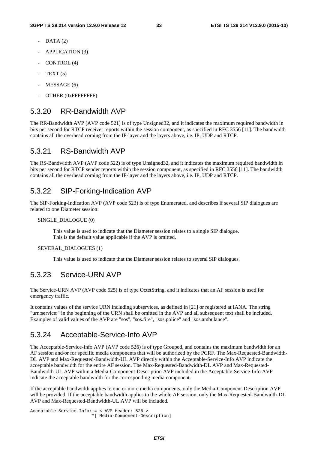- $DATA (2)$
- APPLICATION (3)
- CONTROL (4)
- $TEXT(5)$
- MESSAGE (6)
- OTHER (0xFFFFFFFFF)

### 5.3.20 RR-Bandwidth AVP

The RR-Bandwidth AVP (AVP code 521) is of type Unsigned32, and it indicates the maximum required bandwidth in bits per second for RTCP receiver reports within the session component, as specified in RFC 3556 [11]. The bandwidth contains all the overhead coming from the IP-layer and the layers above, i.e. IP, UDP and RTCP.

### 5.3.21 RS-Bandwidth AVP

The RS-Bandwidth AVP (AVP code 522) is of type Unsigned32, and it indicates the maximum required bandwidth in bits per second for RTCP sender reports within the session component, as specified in RFC 3556 [11]. The bandwidth contains all the overhead coming from the IP-layer and the layers above, i.e. IP, UDP and RTCP.

#### 5.3.22 SIP-Forking-Indication AVP

The SIP-Forking-Indication AVP (AVP code 523) is of type Enumerated, and describes if several SIP dialogues are related to one Diameter session:

#### SINGLE\_DIALOGUE (0)

 This value is used to indicate that the Diameter session relates to a single SIP dialogue. This is the default value applicable if the AVP is omitted.

#### SEVERAL\_DIALOGUES (1)

This value is used to indicate that the Diameter session relates to several SIP dialogues.

#### 5.3.23 Service-URN AVP

The Service-URN AVP (AVP code 525) is of type OctetString, and it indicates that an AF session is used for emergency traffic.

It contains values of the service URN including subservices, as defined in [21] or registered at IANA. The string "urn:service:" in the beginning of the URN shall be omitted in the AVP and all subsequent text shall be included. Examples of valid values of the AVP are "sos", "sos.fire", "sos.police" and "sos.ambulance".

### 5.3.24 Acceptable-Service-Info AVP

The Acceptable-Service-Info AVP (AVP code 526) is of type Grouped, and contains the maximum bandwidth for an AF session and/or for specific media components that will be authorized by the PCRF. The Max-Requested-Bandwidth-DL AVP and Max-Requested-Bandwidth-UL AVP directly within the Acceptable-Service-Info AVP indicate the acceptable bandwidth for the entire AF session. The Max-Requested-Bandwidth-DL AVP and Max-Requested-Bandwidth-UL AVP within a Media-Component-Description AVP included in the Acceptable-Service-Info AVP indicate the acceptable bandwidth for the corresponding media component.

If the acceptable bandwidth applies to one or more media components, only the Media-Component-Description AVP will be provided. If the acceptable bandwidth applies to the whole AF session, only the Max-Requested-Bandwidth-DL AVP and Max-Requested-Bandwidth-UL AVP will be included.

```
Acceptable-Service-Info::= < AVP Header: 526 > 
                          *[ Media-Component-Description]
```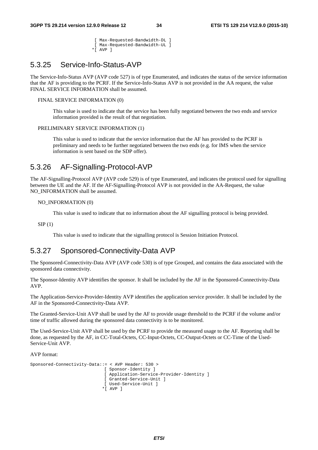[ Max-Requested-Bandwidth-DL ] [ Max-Requested-Bandwidth-UL ]

\*[ AVP ]

### 5.3.25 Service-Info-Status-AVP

The Service-Info-Status AVP (AVP code 527) is of type Enumerated, and indicates the status of the service information that the AF is providing to the PCRF. If the Service-Info-Status AVP is not provided in the AA request, the value FINAL SERVICE INFORMATION shall be assumed.

#### FINAL SERVICE INFORMATION (0)

 This value is used to indicate that the service has been fully negotiated between the two ends and service information provided is the result of that negotiation.

#### PRELIMINARY SERVICE INFORMATION (1)

 This value is used to indicate that the service information that the AF has provided to the PCRF is preliminary and needs to be further negotiated between the two ends (e.g. for IMS when the service information is sent based on the SDP offer).

### 5.3.26 AF-Signalling-Protocol-AVP

The AF-Signalling-Protocol AVP (AVP code 529) is of type Enumerated, and indicates the protocol used for signalling between the UE and the AF. If the AF-Signalling-Protocol AVP is not provided in the AA-Request, the value NO\_INFORMATION shall be assumed.

```
NO_INFORMATION (0)
```
This value is used to indicate that no information about the AF signalling protocol is being provided.

 $SIP(1)$ 

This value is used to indicate that the signalling protocol is Session Initiation Protocol.

### 5.3.27 Sponsored-Connectivity-Data AVP

The Sponsored-Connectivity-Data AVP (AVP code 530) is of type Grouped, and contains the data associated with the sponsored data connectivity.

The Sponsor-Identity AVP identifies the sponsor. It shall be included by the AF in the Sponsored-Connectivity-Data AVP.

The Application-Service-Provider-Identity AVP identifies the application service provider. It shall be included by the AF in the Sponsored-Connectivity-Data AVP.

The Granted-Service-Unit AVP shall be used by the AF to provide usage threshold to the PCRF if the volume and/or time of traffic allowed during the sponsored data connectivity is to be monitored.

The Used-Service-Unit AVP shall be used by the PCRF to provide the measured usage to the AF. Reporting shall be done, as requested by the AF, in CC-Total-Octets, CC-Input-Octets, CC-Output-Octets or CC-Time of the Used-Service-Unit AVP.

AVP format:

```
Sponsored-Connectivity-Data::= < AVP Header: 530 > 
                                [ Sponsor-Identity ] 
                                [ Application-Service-Provider-Identity ] 
                               [ Granted-Service-Unit ] 
                                [ Used-Service-Unit ] 
                               *[ AVP ]
```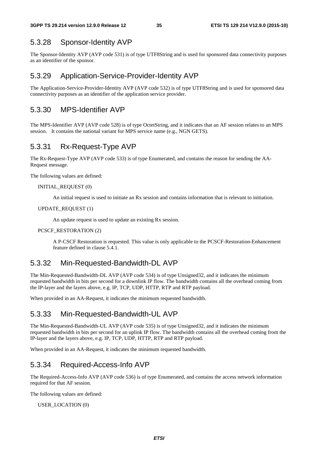### 5.3.28 Sponsor-Identity AVP

The Sponsor-Identity AVP (AVP code 531) is of type UTF8String and is used for sponsored data connectivity purposes as an identifier of the sponsor.

### 5.3.29 Application-Service-Provider-Identity AVP

The Application-Service-Provider-Identity AVP (AVP code 532) is of type UTF8String and is used for sponsored data connectivity purposes as an identifier of the application service provider.

### 5.3.30 MPS-Identifier AVP

The MPS-Identifier AVP (AVP code 528) is of type OctetString, and it indicates that an AF session relates to an MPS session. It contains the national variant for MPS service name (e.g., NGN GETS).

### 5.3.31 Rx-Request-Type AVP

The Rx-Request-Type AVP (AVP code 533) is of type Enumerated, and contains the reason for sending the AA-Request message.

The following values are defined:

#### INITIAL\_REQUEST (0)

An initial request is used to initiate an Rx session and contains information that is relevant to initiation.

#### UPDATE\_REQUEST (1)

An update request is used to update an existing Rx session.

#### PCSCF\_RESTORATION (2)

 A P-CSCF Restoration is requested. This value is only applicable to the PCSCF-Restoration-Enhancement feature defined in clause 5.4.1.

### 5.3.32 Min-Requested-Bandwidth-DL AVP

The Min-Requested-Bandwidth-DL AVP (AVP code 534) is of type Unsigned32, and it indicates the minimum requested bandwidth in bits per second for a downlink IP flow. The bandwidth contains all the overhead coming from the IP-layer and the layers above, e.g. IP, TCP, UDP, HTTP, RTP and RTP payload.

When provided in an AA-Request, it indicates the minimum requested bandwidth.

### 5.3.33 Min-Requested-Bandwidth-UL AVP

The Min-Requested-Bandwidth-UL AVP (AVP code 535) is of type Unsigned32, and it indicates the minimum requested bandwidth in bits per second for an uplink IP flow. The bandwidth contains all the overhead coming from the IP-layer and the layers above, e.g. IP, TCP, UDP, HTTP, RTP and RTP payload.

When provided in an AA-Request, it indicates the minimum requested bandwidth.

### 5.3.34 Required-Access-Info AVP

The Required-Access-Info AVP (AVP code 536) is of type Enumerated, and contains the access network information required for that AF session.

The following values are defined:

#### USER\_LOCATION (0)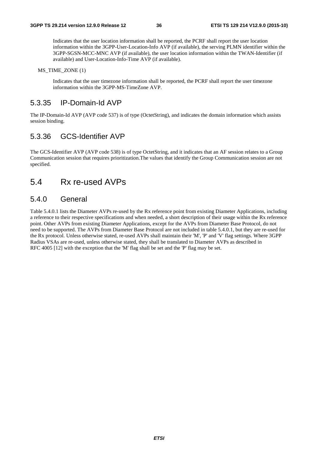Indicates that the user location information shall be reported, the PCRF shall report the user location information within the 3GPP-User-Location-Info AVP (if available), the serving PLMN identifier within the 3GPP-SGSN-MCC-MNC AVP (if available), the user location information within the TWAN-Identifier (if available) and User-Location-Info-Time AVP (if available).

MS TIME ZONE (1)

 Indicates that the user timezone information shall be reported, the PCRF shall report the user timezone information within the 3GPP-MS-TimeZone AVP.

### 5.3.35 IP-Domain-Id AVP

The IP-Domain-Id AVP (AVP code 537) is of type (OctetString), and indicates the domain information which assists session binding.

### 5.3.36 GCS-Identifier AVP

The GCS-Identifier AVP (AVP code 538) is of type OctetString, and it indicates that an AF session relates to a Group Communication session that requires prioritization.The values that identify the Group Communication session are not specified.

### 5.4 Rx re-used AVPs

### 5.4.0 General

Table 5.4.0.1 lists the Diameter AVPs re-used by the Rx reference point from existing Diameter Applications, including a reference to their respective specifications and when needed, a short description of their usage within the Rx reference point. Other AVPs from existing Diameter Applications, except for the AVPs from Diameter Base Protocol, do not need to be supported. The AVPs from Diameter Base Protocol are not included in table 5.4.0.1, but they are re-used for the Rx protocol. Unless otherwise stated, re-used AVPs shall maintain their 'M', 'P' and 'V' flag settings. Where 3GPP Radius VSAs are re-used, unless otherwise stated, they shall be translated to Diameter AVPs as described in RFC 4005 [12] with the exception that the 'M' flag shall be set and the 'P' flag may be set.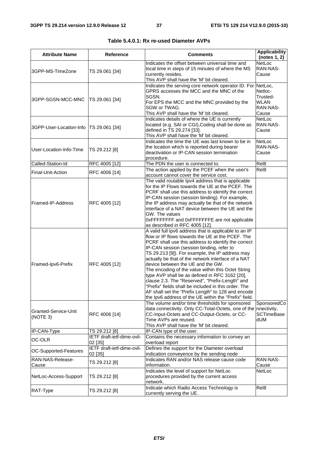| <b>Attribute Name</b>            | <b>Reference</b>                      | <b>Comments</b>                                                                                      | <b>Applicability</b><br>(notes 1, 2) |
|----------------------------------|---------------------------------------|------------------------------------------------------------------------------------------------------|--------------------------------------|
|                                  |                                       | Indicates the offset between universal time and                                                      | NetLoc                               |
| 3GPP-MS-TimeZone                 | TS 29.061 [34]                        | local time in steps of 15 minutes of where the MS                                                    | RAN-NAS-                             |
|                                  |                                       | currently resides.                                                                                   | Cause                                |
|                                  |                                       | This AVP shall have the 'M' bit cleared.                                                             |                                      |
|                                  |                                       | Indicates the serving core network operator ID. For NetLoc,                                          |                                      |
|                                  |                                       | GPRS accesses the MCC and the MNC of the                                                             | Netloc-                              |
| 3GPP-SGSN-MCC-MNC                | TS 29.061 [34]                        | SGSN.                                                                                                | Trusted-<br><b>WLAN</b>              |
|                                  |                                       | For EPS the MCC and the MNC provided by the<br>SGW or TWAG.                                          | RAN-NAS-                             |
|                                  |                                       | This AVP shall have the 'M' bit cleared.                                                             | Cause                                |
|                                  |                                       | Indicates details of where the UE is currently                                                       | NetLoc                               |
|                                  |                                       | located (e.g. SAI or CGI), Coding shall be done as                                                   | RAN-NAS-                             |
| 3GPP-User-Location-Info          | TS 29.061 [34]                        | defined in TS 29.274 [33].                                                                           | Cause                                |
|                                  |                                       | This AVP shall have the 'M' bit cleared.                                                             |                                      |
|                                  |                                       | Indicates the time the UE was last known to be in                                                    | NetLoc                               |
| User-Location-Info-Time          |                                       | the location which is reported during bearer                                                         | RAN-NAS-                             |
|                                  | TS 29.212 [8]                         | deactivation or IP-CAN session termination                                                           | Cause                                |
|                                  |                                       | procedure.                                                                                           |                                      |
| Called-Station-Id                | RFC 4005 [12]                         | The PDN the user is connected to.                                                                    | Rel8                                 |
| Final-Unit-Action                | RFC 4006 [14]                         | The action applied by the PCEF when the user's                                                       | Rel8                                 |
|                                  |                                       | account cannot cover the service cost.                                                               |                                      |
|                                  |                                       | The valid routable Ipv4 address that is applicable                                                   |                                      |
|                                  |                                       | for the IP Flows towards the UE at the PCEF. The                                                     |                                      |
|                                  |                                       | PCRF shall use this address to identify the correct                                                  |                                      |
| Framed-IP-Address                | RFC 4005 [12]                         | IP-CAN session (session binding). For example,<br>the IP address may actually be that of the network |                                      |
|                                  |                                       | interface of a NAT device between the UE and the                                                     |                                      |
|                                  |                                       | GW. The values                                                                                       |                                      |
|                                  |                                       | OXFFFFFFFF and OxFFFFFFFE are not applicable                                                         |                                      |
|                                  |                                       | as described in RFC 4005 [12].                                                                       |                                      |
|                                  |                                       | A valid full lpv6 address that is applicable to an IP                                                |                                      |
|                                  |                                       | flow or IP flows towards the UE at the PCEF. The                                                     |                                      |
|                                  |                                       | PCRF shall use this address to identify the correct                                                  |                                      |
|                                  |                                       | IP-CAN session (session binding, refer to                                                            |                                      |
|                                  |                                       | TS 29.213 [9]). For example, the IP address may                                                      |                                      |
|                                  |                                       | actually be that of the network interface of a NAT                                                   |                                      |
| Framed-Ipv6-Prefix               | RFC 4005 [12]                         | device between the UE and the GW.                                                                    |                                      |
|                                  |                                       | The encoding of the value within this Octet String                                                   |                                      |
|                                  |                                       | type AVP shall be as defined in RFC 3162 [20],<br>clause 2.3. The "Reserved", "Prefix-Length" and    |                                      |
|                                  |                                       | "Prefix" fields shall be included in this order. The                                                 |                                      |
|                                  |                                       | AF shall set the "Prefix Length" to 128 and encode                                                   |                                      |
|                                  |                                       | the Ipv6 address of the UE within the "Prefix" field.                                                |                                      |
|                                  |                                       | The volume and/or time thresholds for sponsored                                                      | SponsoredCo                          |
|                                  |                                       | data connectivity. Only CC-Total-Octets, one of the nnectivity,                                      |                                      |
| Granted-Service-Unit<br>(NOTE 3) | RFC 4006 [14]                         | CC-Input-Octets and CC-Output-Octets, or CC-                                                         | <b>SCTimeBase</b>                    |
|                                  |                                       | Time AVPs are reused.                                                                                | dUM                                  |
|                                  |                                       | This AVP shall have the 'M' bit cleared.                                                             |                                      |
| IP-CAN-Type                      | TS 29.212 [8]                         | IP-CAN type of the user.                                                                             |                                      |
| OC-OLR                           | IETF draft-ietf-dime-ovli-            | Contains the necessary information to convey an                                                      |                                      |
|                                  | 02 [35]                               | overload report                                                                                      |                                      |
| OC-Supported-Features            | IETF draft-ietf-dime-ovli-<br>02 [35] | Defines the support for the Diameter overload                                                        |                                      |
| RAN-NAS-Release-                 |                                       | indication conveyence by the sending node<br>Indicates RAN and/or NAS release cause code             | RAN-NAS-                             |
| Cause                            | TS 29.212 [8]                         | information.                                                                                         | Cause                                |
|                                  |                                       | Indicates the level of support for NetLoc                                                            | NetLoc                               |
| NetLoc-Access-Support            | TS 29.212 [8]                         | procedures provided by the current access                                                            |                                      |
|                                  |                                       | network.                                                                                             |                                      |
|                                  |                                       | Indicate which Radio Access Technology is                                                            | Rel8                                 |
| RAT-Type                         | TS 29.212 [8]                         | currently serving the UE.                                                                            |                                      |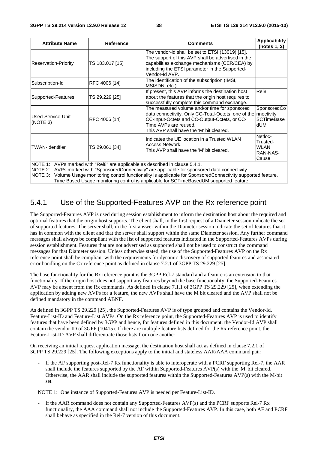| <b>Attribute Name</b>         | <b>Reference</b> | <b>Comments</b>                                                                                                                                                                                                             | <b>Applicability</b><br>(notes 1, 2)                         |
|-------------------------------|------------------|-----------------------------------------------------------------------------------------------------------------------------------------------------------------------------------------------------------------------------|--------------------------------------------------------------|
| <b>Reservation-Priority</b>   | TS 183.017 [15]  | The vendor-id shall be set to ETSI (13019) [15].<br>The support of this AVP shall be advertised in the<br>capabilities exchange mechanisms (CER/CEA) by<br>including the ETSI parameter in the Supported-<br>Vendor-Id AVP. |                                                              |
| Subscription-Id               | RFC 4006 [14]    | The identification of the subscription (IMSI,<br>MSISDN, etc.)                                                                                                                                                              |                                                              |
| Supported-Features            | TS 29.229 [25]   | If present, this AVP informs the destination host<br>about the features that the origin host requires to<br>successfully complete this command exchange.                                                                    | Rel <sub>8</sub>                                             |
| Used-Service-Unit<br>(NOTE 3) | RFC 4006 [14]    | The measured volume and/or time for sponsored<br>data connectivity. Only CC-Total-Octets, one of the<br>CC-Input-Octets and CC-Output-Octets, or CC-<br>Time AVPs are reused.<br>This AVP shall have the 'M' bit cleared.   | SponsoredCo<br>nnectivity<br><b>SCTimeBase</b><br><b>dUM</b> |
| <b>TWAN-Identifier</b>        | TS 29.061 [34]   | Indicates the UE location in a Trusted WLAN<br>Access Network.<br>This AVP shall have the 'M' bit cleared.                                                                                                                  | Netloc-<br>Trusted-<br><b>WLAN</b><br>RAN-NAS-<br>Cause      |
|                               |                  | NOTE 1: AVPs marked with "Rel8" are applicable as described in clause 5.4.1.<br>$\blacksquare$                                                                                                                              |                                                              |

NOTE 2: AVPs marked with "SponsoredConnectivity" are applicable for sponsored data connectivity.

NOTE 3: Volume Usage monitoring control functionality is applicable for SponsoredConnectivity supported feature.

Time Based Usage monitoring control is applicable for SCTimeBasedUM supported feature.

### 5.4.1 Use of the Supported-Features AVP on the Rx reference point

The Supported-Features AVP is used during session establishment to inform the destination host about the required and optional features that the origin host supports. The client shall, in the first request of a Diameter session indicate the set of supported features. The server shall, in the first answer within the Diameter session indicate the set of features that it has in common with the client and that the server shall support within the same Diameter session. Any further command messages shall always be compliant with the list of supported features indicated in the Supported-Features AVPs during session establishment. Features that are not advertised as supported shall not be used to construct the command messages for that Diameter session. Unless otherwise stated, the use of the Supported-Features AVP on the Rx reference point shall be compliant with the requirements for dynamic discovery of supported features and associated error handling on the Cx reference point as defined in clause 7.2.1 of 3GPP TS 29.229 [25].

The base functionality for the Rx reference point is the 3GPP Rel-7 standard and a feature is an extension to that functionality. If the origin host does not support any features beyond the base functionality, the Supported-Features AVP may be absent from the Rx commands. As defined in clause 7.1.1 of 3GPP TS 29.229 [25], when extending the application by adding new AVPs for a feature, the new AVPs shall have the M bit cleared and the AVP shall not be defined mandatory in the command ABNF.

As defined in 3GPP TS 29.229 [25], the Supported-Features AVP is of type grouped and contains the Vendor-Id, Feature-List-ID and Feature-List AVPs. On the Rx reference point, the Supported-Features AVP is used to identify features that have been defined by 3GPP and hence, for features defined in this document, the Vendor-Id AVP shall contain the vendor ID of 3GPP (10415). If there are multiple feature lists defined for the Rx reference point, the Feature-List-ID AVP shall differentiate those lists from one another.

On receiving an initial request application message, the destination host shall act as defined in clause 7.2.1 of 3GPP TS 29.229 [25]. The following exceptions apply to the initial and stateless AAR/AAA command pair:

If the AF supporting post-Rel-7 Rx functionality is able to interoperate with a PCRF supporting Rel-7, the AAR shall include the features supported by the AF within Supported-Features AVP(s) with the 'M' bit cleared. Otherwise, the AAR shall include the supported features within the Supported-Features AVP(s) with the M-bit set.

NOTE 1: One instance of Supported-Features AVP is needed per Feature-List-ID.

If the AAR command does not contain any Supported-Features AVP(s) and the PCRF supports Rel-7 Rx functionality, the AAA command shall not include the Supported-Features AVP. In this case, both AF and PCRF shall behave as specified in the Rel-7 version of this document.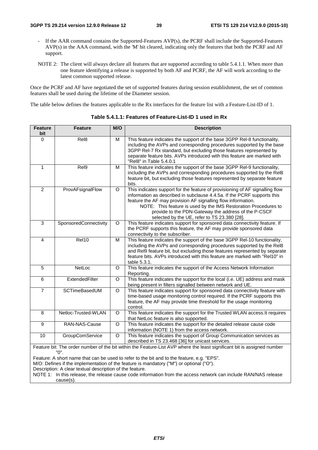- If the AAR command contains the Supported-Features AVP(s), the PCRF shall include the Supported-Features AVP(s) in the AAA command, with the 'M' bit cleared, indicating only the features that both the PCRF and AF support.
- NOTE 2: The client will always declare all features that are supported according to table 5.4.1.1. When more than one feature identifying a release is supported by both AF and PCRF, the AF will work according to the latest common supported release.

Once the PCRF and AF have negotiated the set of supported features during session establishment, the set of common features shall be used during the lifetime of the Diameter session.

The table below defines the features applicable to the Rx interfaces for the feature list with a Feature-List-ID of 1.

| <b>Feature</b><br>bit | <b>Feature</b>        | M/O      | <b>Description</b>                                                                                                                                                                                                                                                                                                                                                                                 |
|-----------------------|-----------------------|----------|----------------------------------------------------------------------------------------------------------------------------------------------------------------------------------------------------------------------------------------------------------------------------------------------------------------------------------------------------------------------------------------------------|
| $\Omega$              | Rel <sub>8</sub>      | м        | This feature indicates the support of the base 3GPP Rel-8 functionality,<br>including the AVPs and corresponding procedures supported by the base<br>3GPP Rel-7 Rx standard, but excluding those features represented by<br>separate feature bits. AVPs introduced with this feature are marked with<br>"Rel8" in Table 5.4.0.1                                                                    |
| 1                     | Rel9                  | м        | This feature indicates the support of the base 3GPP Rel-9 functionality,<br>including the AVPs and corresponding procedures supported by the Rel8<br>feature bit, but excluding those features represented by separate feature<br>bits.                                                                                                                                                            |
| $\overline{2}$        | ProvAFsignalFlow      | $\circ$  | This indicates support for the feature of provisioning of AF signalling flow<br>information as described in subclause 4.4.5a. If the PCRF supports this<br>feature the AF may provision AF signalling flow information.<br>NOTE: This feature is used by the IMS Restoration Procedures to<br>provide to the PDN-Gateway the address of the P-CSCF<br>selected by the UE, refer to TS 23.380 [28]. |
| 3                     | SponsoredConnectivity | $\circ$  | This feature indicates support for sponsored data connectivity feature. If<br>the PCRF supports this feature, the AF may provide sponsored data<br>connectivity to the subscriber.                                                                                                                                                                                                                 |
| $\overline{4}$        | Rel10                 | M        | This feature indicates the support of the base 3GPP Rel-10 functionality,<br>including the AVPs and corresponding procedures supported by the Rel8<br>and Rel9 feature bit, but excluding those features represented by separate<br>feature bits. AVPs introduced with this feature are marked with "Rel10" in<br>table 5.3.1.                                                                     |
| 5                     | NetLoc                | O        | This feature indicates the support of the Access Network Information<br>Reporting.                                                                                                                                                                                                                                                                                                                 |
| 6                     | ExtendedFilter        | $\Omega$ | This feature indicates the support for the local (i.e. UE) address and mask<br>being present in filters signalled between network and UE.                                                                                                                                                                                                                                                          |
| $\overline{7}$        | <b>SCTimeBasedUM</b>  | O        | This feature indicates support for sponsored data connectivity feature with<br>time-based usage monitoring control required. If the PCRF supports this<br>feature, the AF may provide time threshold for the usage monitoring<br>control.                                                                                                                                                          |
| 8                     | Netloc-Trusted-WLAN   | O        | This feature indicates the support for the Trusted WLAN access. It requires<br>that NetLoc feature is also supported.                                                                                                                                                                                                                                                                              |
| 9                     | RAN-NAS-Cause         | $\Omega$ | This feature indicates the support for the detailed release cause code<br>information (NOTE 1) from the access network.                                                                                                                                                                                                                                                                            |
| 10                    | GroupComService       | $\circ$  | This feature indicates the support of Group Communication services as<br>described in TS 23.468 [36] for unicast services.                                                                                                                                                                                                                                                                         |
|                       |                       |          | Feature bit: The order number of the bit within the Feature-List AVP where the least significant bit is assigned number                                                                                                                                                                                                                                                                            |

**Table 5.4.1.1: Features of Feature-List-ID 1 used in Rx** 

Feature bit: The order number of the bit within the Feature-List AVP where the least significant bit is assigned number "0".

Feature: A short name that can be used to refer to the bit and to the feature, e.g. "EPS".

M/O: Defines if the implementation of the feature is mandatory ("M") or optional ("O").

Description: A clear textual description of the feature.

NOTE 1: In this release, the release cause code information from the access network can include RAN/NAS release cause(s).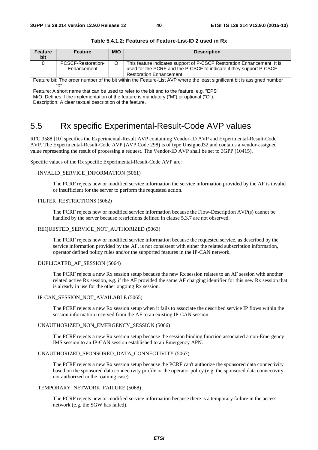| <b>Feature</b><br>bit                                    | <b>Feature</b>                                                                                                          | M/O     | <b>Description</b>                                                      |  |  |  |
|----------------------------------------------------------|-------------------------------------------------------------------------------------------------------------------------|---------|-------------------------------------------------------------------------|--|--|--|
| $\Omega$                                                 | PCSCF-Restoration-                                                                                                      | $\circ$ | This feature indicates support of P-CSCF Restoration Enhancement. It is |  |  |  |
|                                                          | Enhancement                                                                                                             |         | used for the PCRF and the P-CSCF to indicate if they support P-CSCF     |  |  |  |
|                                                          |                                                                                                                         |         | <b>Restoration Enhancement.</b>                                         |  |  |  |
|                                                          | Feature bit: The order number of the bit within the Feature-List AVP where the least significant bit is assigned number |         |                                                                         |  |  |  |
|                                                          | "በ"                                                                                                                     |         |                                                                         |  |  |  |
|                                                          | Feature: A short name that can be used to refer to the bit and to the feature, e.g. "EPS".                              |         |                                                                         |  |  |  |
|                                                          | M/O: Defines if the implementation of the feature is mandatory ("M") or optional ("O").                                 |         |                                                                         |  |  |  |
| Description: A clear textual description of the feature. |                                                                                                                         |         |                                                                         |  |  |  |

#### **Table 5.4.1.2: Features of Feature-List-ID 2 used in Rx**

## 5.5 Rx specific Experimental-Result-Code AVP values

RFC 3588 [10] specifies the Experimental-Result AVP containing Vendor-ID AVP and Experimental-Result-Code AVP. The Experimental-Result-Code AVP (AVP Code 298) is of type Unsigned32 and contains a vendor-assigned value representing the result of processing a request. The Vendor-ID AVP shall be set to 3GPP (10415).

Specific values of the Rx specific Experimental-Result-Code AVP are:

#### INVALID\_SERVICE\_INFORMATION (5061)

 The PCRF rejects new or modified service information the service information provided by the AF is invalid or insufficient for the server to perform the requested action.

#### FILTER\_RESTRICTIONS (5062)

 The PCRF rejects new or modified service information because the Flow-Description AVP(s) cannot be handled by the server because restrictions defined in clause 5.3.7 are not observed.

#### REQUESTED\_SERVICE\_NOT\_AUTHORIZED (5063)

 The PCRF rejects new or modified service information because the requested service, as described by the service information provided by the AF, is not consistent with either the related subscription information, operator defined policy rules and/or the supported features in the IP-CAN network.

#### DUPLICATED\_AF\_SESSION (5064)

 The PCRF rejects a new Rx session setup because the new Rx session relates to an AF session with another related active Rx session, e.g. if the AF provided the same AF charging identifier for this new Rx session that is already in use for the other ongoing Rx session.

#### IP-CAN\_SESSION\_NOT\_AVAILABLE (5065)

 The PCRF rejects a new Rx session setup when it fails to associate the described service IP flows within the session information received from the AF to an existing IP-CAN session.

#### UNAUTHORIZED\_NON\_EMERGENCY\_SESSION (5066)

 The PCRF rejects a new Rx session setup because the session binding function associated a non-Emergency IMS session to an IP-CAN session established to an Emergency APN.

#### UNAUTHORIZED\_SPONSORED\_DATA\_CONNECTIVITY (5067)

 The PCRF rejects a new Rx session setup because the PCRF can't authorize the sponsored data connectivity based on the sponsored data connectivity profile or the operator policy (e.g. the sponsored data connectivity not authorized in the roaming case).

#### TEMPORARY\_NETWORK\_FAILURE (5068)

 The PCRF rejects new or modified service information because there is a temporary failure in the access network (e.g. the SGW has failed).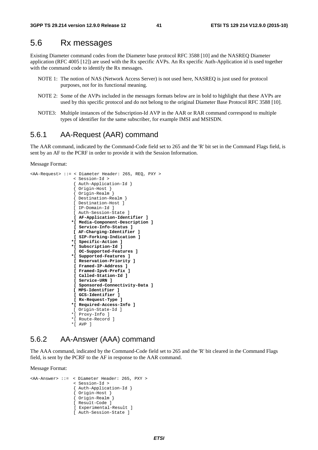### 5.6 Rx messages

Existing Diameter command codes from the Diameter base protocol RFC 3588 [10] and the NASREQ Diameter application (RFC 4005 [12]) are used with the Rx specific AVPs. An Rx specific Auth-Application id is used together with the command code to identify the Rx messages.

- NOTE 1: The notion of NAS (Network Access Server) is not used here, NASREQ is just used for protocol purposes, not for its functional meaning.
- NOTE 2: Some of the AVPs included in the messages formats below are in bold to highlight that these AVPs are used by this specific protocol and do not belong to the original Diameter Base Protocol RFC 3588 [10].
- NOTE3: Multiple instances of the Subscription-Id AVP in the AAR or RAR command correspond to multiple types of identifier for the same subscriber, for example IMSI and MSISDN.

#### 5.6.1 AA-Request (AAR) command

The AAR command, indicated by the Command-Code field set to 265 and the 'R' bit set in the Command Flags field, is sent by an AF to the PCRF in order to provide it with the Session Information.

Message Format:

```
<AA-Request> ::= < Diameter Header: 265, REQ, PXY > 
                   < Session-Id > 
                    { Auth-Application-Id } 
                     { Origin-Host } 
                    { Origin-Realm } 
                    Destination-Realm }
                   [ Destination-Host ] 
                   [ IP-Domain-Id ] 
                   [ Auth-Session-State ] 
                   [ AF-Application-Identifier ] 
                   *[ Media-Component-Description ] 
                   [ Service-Info-Status ] 
                   [ AF-Charging-Identifier ] 
                   [ SIP-Forking-Indication ] 
                   *[ Specific-Action ] 
                   *[ Subscription-Id ] 
                    [ OC-Supported-Features ] 
                   *[ Supported-Features ] 
                   [ Reservation-Priority ] 
                   [ Framed-IP-Address ] 
                    [ Framed-Ipv6-Prefix ] 
                    [ Called-Station-Id ] 
                    [ Service-URN ] 
                   [ Sponsored-Connectivity-Data ] 
                   [ MPS-Identifier ] 
                   [ GCS-Identifier ] 
                    [ Rx-Request-Type ]
                   *[ Required-Access-Info ]
                   [ Origin-State-Id ] 
                   *[ Proxy-Info ] 
                   *[ Route-Record ] 
                   *[ AVP ]
```
### 5.6.2 AA-Answer (AAA) command

The AAA command, indicated by the Command-Code field set to 265 and the 'R' bit cleared in the Command Flags field, is sent by the PCRF to the AF in response to the AAR command.

```
<AA-Answer> ::= < Diameter Header: 265, PXY > 
                   < Session-Id > 
                    { Auth-Application-Id } 
                     { Origin-Host } 
                   { Origin-Realm } 
                   [ Result-Code ] 
                    [ Experimental-Result ] 
                   [ Auth-Session-State ]
```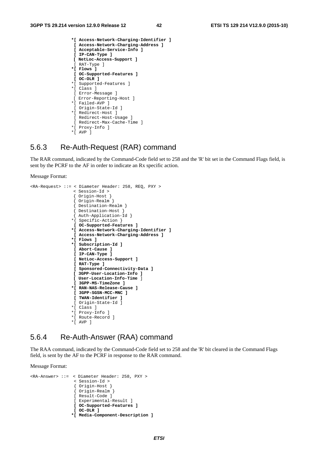```
 *[ Access-Network-Charging-Identifier ] 
  [ Access-Network-Charging-Address ] 
  [ Acceptable-Service-Info ] 
 [ IP-CAN-Type ] 
 [ NetLoc-Access-Support ] 
  [ RAT-Type ] 
 *[ Flows ] 
 [ OC-Supported-Features ] 
 [ OC-OLR ] 
 *[ Supported-Features ] 
 *[ Class ] 
 [ Error-Message ] 
 [ Error-Reporting-Host ] 
 *[ Failed-AVP ] 
  [ Origin-State-Id ] 
 *[ Redirect-Host ] 
 [ Redirect-Host-Usage ] 
  [ Redirect-Max-Cache-Time ] 
 *[ Proxy-Info ] 
 *[ AVP ]
```
### 5.6.3 Re-Auth-Request (RAR) command

The RAR command, indicated by the Command-Code field set to 258 and the 'R' bit set in the Command Flags field, is sent by the PCRF to the AF in order to indicate an Rx specific action.

Message Format:

```
<RA-Request> ::= < Diameter Header: 258, REQ, PXY > 
                  < Session-Id > 
                   { Origin-Host } 
                    { Origin-Realm } 
                   { Destination-Realm } 
 { Destination-Host } 
 { Auth-Application-Id } 
                  *{ Specific-Action }
                  [ OC-Supported-Features ] 
                  *[ Access-Network-Charging-Identifier ] 
                  [ Access-Network-Charging-Address ] 
                  *[ Flows ] 
                  *[ Subscription-Id ] 
                  [ Abort-Cause ] 
                  [ IP-CAN-Type ] 
                  [ NetLoc-Access-Support ] 
                  [ RAT-Type ] 
                  [ Sponsored-Connectivity-Data ] 
                  [ 3GPP-User-Location-Info ] 
                  [ User-Location-Info-Time ]
                  [ 3GPP-MS-TimeZone ] 
                  *[ RAN-NAS-Release-Cause ] 
                  [ 3GPP-SGSN-MCC-MNC ] 
                  [ TWAN-Identifier ] 
                  [ Origin-State-Id
                 *[ Class ] 
                  *[ Proxy-Info ] 
                  *[ Route-Record ] 
                  *[ AVP ]
```
### 5.6.4 Re-Auth-Answer (RAA) command

The RAA command, indicated by the Command-Code field set to 258 and the 'R' bit cleared in the Command Flags field, is sent by the AF to the PCRF in response to the RAR command.

```
<RA-Answer> ::= < Diameter Header: 258, PXY > 
                   < Session-Id > 
                   { Origin-Host } 
                   { Origin-Realm } 
                   [ Result-Code ] 
                   [ Experimental-Result ] 
                   [ OC-Supported-Features ] 
                   [ OC-OLR ] 
                  *[ Media-Component-Description ]
```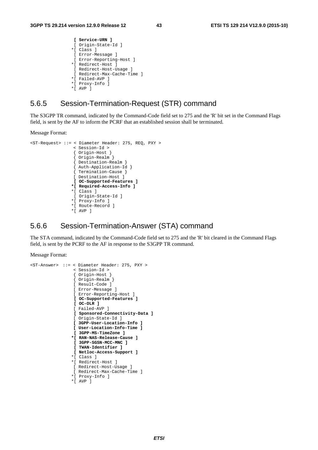```
 [ Service-URN ] 
  [ Origin-State-Id ]
 *[ Class ]
 [ Error-Message ] 
  [ Error-Reporting-Host ] 
 *[ Redirect-Host ] 
 [ Redirect-Host-Usage ] 
 [ Redirect-Max-Cache-Time ] 
 *[ Failed-AVP ] 
 *[ Proxy-Info ] 
 *[ AVP ]
```
### 5.6.5 Session-Termination-Request (STR) command

The S3GPP TR command, indicated by the Command-Code field set to 275 and the 'R' bit set in the Command Flags field, is sent by the AF to inform the PCRF that an established session shall be terminated.

Message Format:

```
<ST-Request> ::= < Diameter Header: 275, REQ, PXY > 
                   < Session-Id > 
                    { Origin-Host } 
                    { Origin-Realm } 
                    { Destination-Realm } 
                    { Auth-Application-Id } 
                    { Termination-Cause } 
                   [ Destination-Host ] 
                   [ OC-Supported-Features ] 
                   *[ Required-Access-Info ]
                   *[ Class ] 
                   [ Origin-State-Id ] 
                   *[ Proxy-Info ] 
                   *[ Route-Record ] 
                  *[ AVP 1
```
### 5.6.6 Session-Termination-Answer (STA) command

The STA command, indicated by the Command-Code field set to 275 and the 'R' bit cleared in the Command Flags field, is sent by the PCRF to the AF in response to the S3GPP TR command.

```
<ST-Answer> ::= < Diameter Header: 275, PXY > 
                   < Session-Id > 
                   { Origin-Host } 
                    { Origin-Realm } 
                   [ Result-Code ] 
                   [ Error-Message ] 
                   [ Error-Reporting-Host ] 
                    [ OC-Supported-Features ] 
                   [ OC-OLR ] 
                   [ Failed-AVP ] 
                   [ Sponsored-Connectivity-Data ] 
                   [ Origin-State-Id ] 
                   [ 3GPP-User-Location-Info ] 
                   [ User-Location-Info-Time ] 
                    [ 3GPP-MS-TimeZone ] 
                   *[ RAN-NAS-Release-Cause ] 
                   [ 3GPP-SGSN-MCC-MNC ] 
                   [ TWAN-Identifier ] 
                   [ Netloc-Access-Support ] 
                   *[ Class ] 
                   *[ Redirect-Host ] 
                   [ Redirect-Host-Usage ] 
                   [ Redirect-Max-Cache-Time ] 
                   *[ Proxy-Info ] 
                   *[ AVP ]
```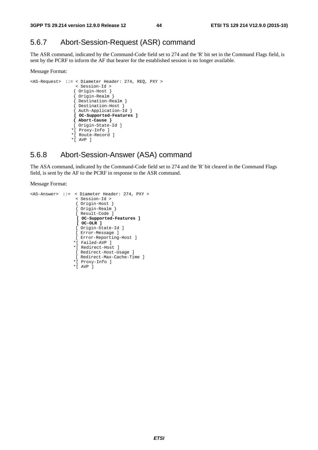### 5.6.7 Abort-Session-Request (ASR) command

The ASR command, indicated by the Command-Code field set to 274 and the 'R' bit set in the Command Flags field, is sent by the PCRF to inform the AF that bearer for the established session is no longer available.

#### Message Format:

```
<AS-Request> ::= < Diameter Header: 274, REQ, PXY > 
                  < Session-Id > 
                 { Origin-Host } 
                 { Origin-Realm } 
                 { Destination-Realm } 
 { Destination-Host } 
 { Auth-Application-Id } 
                 [ OC-Supported-Features ] 
                 { Abort-Cause } 
                 [ Origin-State-Id ]
                *[ Proxy-Info ] 
                *[ Route-Record ] 
                *[ AVP ]
```
### 5.6.8 Abort-Session-Answer (ASA) command

The ASA command, indicated by the Command-Code field set to 274 and the 'R' bit cleared in the Command Flags field, is sent by the AF to the PCRF in response to the ASR command.

```
<AS-Answer> ::= < Diameter Header: 274, PXY > 
                    < Session-Id > 
                    { Origin-Host } 
                    { Origin-Realm } 
                    [ Result-Code ] 
                    [ OC-Supported-Features ] 
                    [ OC-OLR ] 
                    [ Origin-State-Id ] 
                    [ Error-Message ] 
                    [ Error-Reporting-Host ] 
                   *[ Failed-AVP ] 
                   *[ Redirect-Host ] 
                    [ Redirect-Host-Usage ] 
                    [ Redirect-Max-Cache-Time ] 
                   *[ Proxy-Info ] 
                   *[ AVP ]
```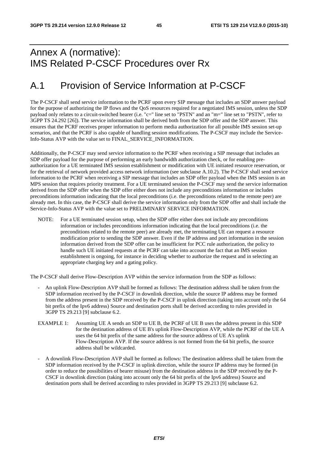## Annex A (normative): IMS Related P-CSCF Procedures over Rx

## A.1 Provision of Service Information at P-CSCF

The P-CSCF shall send service information to the PCRF upon every SIP message that includes an SDP answer payload for the purpose of authorizing the IP flows and the QoS resources required for a negotiated IMS session, unless the SDP payload only relates to a circuit-switched bearer (i.e. "c=" line set to "PSTN" and an "m=" line set to "PSTN", refer to 3GPP TS 24.292 [26]). The service information shall be derived both from the SDP offer and the SDP answer. This ensures that the PCRF receives proper information to perform media authorization for all possible IMS session set-up scenarios, and that the PCRF is also capable of handling session modifications. The P-CSCF may include the Service-Info-Status AVP with the value set to FINAL\_SERVICE\_INFORMATION.

Additionally, the P-CSCF may send service information to the PCRF when receiving a SIP message that includes an SDP offer payload for the purpose of performing an early bandwidth authorization check, or for enabling preauthorization for a UE terminated IMS session establishment or modification with UE initiated resource reservation, or for the retrieval of network provided access network information (see subclause A.10.2). The P-CSCF shall send service information to the PCRF when receiving a SIP message that includes an SDP offer payload when the IMS session is an MPS session that requires priority treatment. For a UE terminated session the P-CSCF may send the service information derived from the SDP offer when the SDP offer either does not include any preconditions information or includes preconditions information indicating that the local preconditions (i.e. the preconditions related to the remote peer) are already met. In this case, the P-CSCF shall derive the service information only from the SDP offer and shall include the Service-Info-Status AVP with the value set to PRELIMINARY SERVICE INFORMATION.

NOTE: For a UE terminated session setup, when the SDP offer either does not include any preconditions information or includes preconditions information indicating that the local preconditions (i.e. the preconditions related to the remote peer) are already met, the terminating UE can request a resource modification prior to sending the SDP answer. Even if the IP address and port information in the session information derived from the SDP offer can be insufficient for PCC rule authorization, the policy to handle such UE initiated requests at the PCRF can take into account the fact that an IMS session establishment is ongoing, for instance in deciding whether to authorize the request and in selecting an appropriate charging key and a gating policy.

The P-CSCF shall derive Flow-Description AVP within the service information from the SDP as follows:

- An uplink Flow-Description AVP shall be formed as follows: The destination address shall be taken from the SDP information received by the P-CSCF in downlink direction, while the source IP address may be formed from the address present in the SDP received by the P-CSCF in uplink direction (taking into account only the 64 bit prefix of the Ipv6 address) Source and destination ports shall be derived according to rules provided in 3GPP TS 29.213 [9] subclause 6.2.
- EXAMPLE 1: Assuming UE A sends an SDP to UE B, the PCRF of UE B uses the address present in this SDP for the destination address of UE B's uplink Flow-Description AVP, while the PCRF of the UE A uses the 64 bit prefix of the same address for the source address of UE A's uplink Flow-Description AVP. If the source address is not formed from the 64 bit prefix, the source address shall be wildcarded.
- A downlink Flow-Description AVP shall be formed as follows: The destination address shall be taken from the SDP information received by the P-CSCF in uplink direction, while the source IP address may be formed (in order to reduce the possibilities of bearer misuse) from the destination address in the SDP received by the P-CSCF in downlink direction (taking into account only the 64 bit prefix of the Ipv6 address) Source and destination ports shall be derived according to rules provided in 3GPP TS 29.213 [9] subclause 6.2.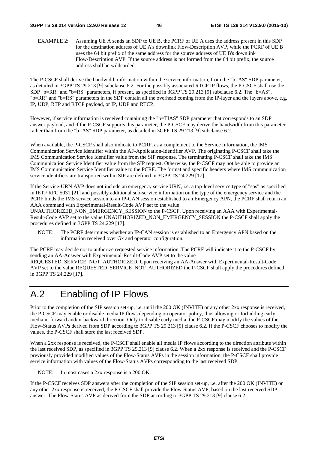#### **3GPP TS 29.214 version 12.9.0 Release 12 46 ETSI TS 129 214 V12.9.0 (2015-10)**

EXAMPLE 2: Assuming UE A sends an SDP to UE B, the PCRF of UE A uses the address present in this SDP for the destination address of UE A's downlink Flow-Description AVP, while the PCRF of UE B uses the 64 bit prefix of the same address for the source address of UE B's downlink Flow-Description AVP. If the source address is not formed from the 64 bit prefix, the source address shall be wildcarded.

The P-CSCF shall derive the bandwidth information within the service information, from the "b=AS" SDP parameter, as detailed in 3GPP TS 29.213 [9] subclause 6.2. For the possibly associated RTCP IP flows, the P-CSCF shall use the SDP "b=RR" and "b=RS" parameters, if present, as specified in 3GPP TS 29.213 [9] subclause 6.2. The "b=AS", "b=RR" and "b=RS" parameters in the SDP contain all the overhead coming from the IP-layer and the layers above, e.g. IP, UDP, RTP and RTCP payload, or IP, UDP and RTCP.

However, if service information is received containing the "b=TIAS" SDP parameter that corresponds to an SDP answer payload, and if the P-CSCF supports this parameter, the P-CSCF may derive the bandwidth from this parameter rather than from the "b=AS" SDP parameter, as detailed in 3GPP TS 29.213 [9] subclause 6.2.

When available, the P-CSCF shall also indicate to PCRF, as a complement to the Service Information, the IMS Communication Service Identifier within the AF-Application-Identifier AVP. The originating P-CSCF shall take the IMS Communication Service Identifier value from the SIP response. The terminating P-CSCF shall take the IMS Communication Service Identifier value from the SIP request. Otherwise, the P-CSCF may not be able to provide an IMS Communication Service Identifier value to the PCRF. The format and specific headers where IMS communication service identifiers are transported within SIP are defined in 3GPP TS 24.229 [17].

If the Service-URN AVP does not include an emergency service URN, i.e. a top-level service type of "sos" as specified in IETF RFC 5031 [21] and possibly additional sub-service information on the type of the emergency service and the PCRF binds the IMS service session to an IP-CAN session established to an Emergency APN, the PCRF shall return an AAA command with Experimental-Result-Code AVP set to the value

UNAUTHORIZED\_NON\_EMERGENCY\_SESSION to the P-CSCF. Upon receiving an AAA with Experimental-Result-Code AVP set to the value UNAUTHORIZED\_NON\_EMERGENCY\_SESSION the P-CSCF shall apply the procedures defined in 3GPP TS 24.229 [17].

NOTE: The PCRF determines whether an IP-CAN session is established to an Emergency APN based on the information received over Gx and operator configuration.

The PCRF may decide not to authorize requested service information. The PCRF will indicate it to the P-CSCF by sending an AA-Answer with Experimental-Result-Code AVP set to the value

REQUESTED\_SERVICE\_NOT\_AUTHORIZED. Upon receiving an AA-Answer with Experimental-Result-Code AVP set to the value REQUESTED\_SERVICE\_NOT\_AUTHORIZED the P-CSCF shall apply the procedures defined in 3GPP TS 24.229 [17].

## A.2 Enabling of IP Flows

Prior to the completion of the SIP session set-up, i.e. until the 200 OK (INVITE) or any other 2xx response is received, the P-CSCF may enable or disable media IP flows depending on operator policy, thus allowing or forbidding early media in forward and/or backward direction. Only to disable early media, the P-CSCF may modify the values of the Flow-Status AVPs derived from SDP according to 3GPP TS 29.213 [9] clause 6.2. If the P-CSCF chooses to modify the values, the P-CSCF shall store the last received SDP.

When a 2xx response is received, the P-CSCF shall enable all media IP flows according to the direction attribute within the last received SDP, as specified in 3GPP TS 29.213 [9] clause 6.2. When a 2xx response is received and the P-CSCF previously provided modified values of the Flow-Status AVPs in the session information, the P-CSCF shall provide service information with values of the Flow-Status AVPs corresponding to the last received SDP.

NOTE: In most cases a 2xx response is a 200 OK.

If the P-CSCF receives SDP answers after the completion of the SIP session set-up, i.e. after the 200 OK (INVITE) or any other 2xx response is received, the P-CSCF shall provide the Flow-Status AVP, based on the last received SDP answer. The Flow-Status AVP as derived from the SDP according to 3GPP TS 29.213 [9] clause 6.2.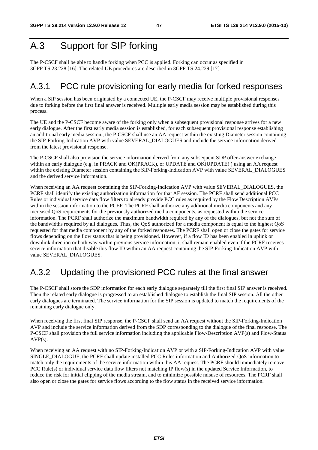## A.3 Support for SIP forking

The P-CSCF shall be able to handle forking when PCC is applied. Forking can occur as specified in 3GPP TS 23.228 [16]. The related UE procedures are described in 3GPP TS 24.229 [17].

### A.3.1 PCC rule provisioning for early media for forked responses

When a SIP session has been originated by a connected UE, the P-CSCF may receive multiple provisional responses due to forking before the first final answer is received. Multiple early media session may be established during this process.

The UE and the P-CSCF become aware of the forking only when a subsequent provisional response arrives for a new early dialogue. After the first early media session is established, for each subsequent provisional response establishing an additional early media session,, the P-CSCF shall use an AA request within the existing Diameter session containing the SIP-Forking-Indication AVP with value SEVERAL\_DIALOGUES and include the service information derived from the latest provisional response.

The P-CSCF shall also provision the service information derived from any subsequent SDP offer-answer exchange within an early dialogue (e.g. in PRACK and OK(PRACK), or UPDATE and OK(UPDATE) ) using an AA request within the existing Diameter session containing the SIP-Forking-Indication AVP with value SEVERAL\_DIALOGUES and the derived service information.

When receiving an AA request containing the SIP-Forking-Indication AVP with value SEVERAL\_DIALOGUES, the PCRF shall identify the existing authorization information for that AF session. The PCRF shall send additional PCC Rules or individual service data flow filters to already provide PCC rules as required by the Flow Description AVPs within the session information to the PCEF. The PCRF shall authorize any additional media components and any increased QoS requirements for the previously authorized media components, as requested within the service information. The PCRF shall authorize the maximum bandwidth required by any of the dialogues, but not the sum of the bandwidths required by all dialogues. Thus, the QoS authorized for a media component is equal to the highest QoS requested for that media component by any of the forked responses. The PCRF shall open or close the gates for service flows depending on the flow status that is being provisioned. However, if a flow ID has been enabled in uplink or downlink direction or both way within previous service information, it shall remain enabled even if the PCRF receives service information that disable this flow ID within an AA request containing the SIP-Forking-Indication AVP with value SEVERAL\_DIALOGUES.

## A.3.2 Updating the provisioned PCC rules at the final answer

The P-CSCF shall store the SDP information for each early dialogue separately till the first final SIP answer is received. Then the related early dialogue is progressed to an established dialogue to establish the final SIP session. All the other early dialogues are terminated. The service information for the SIP session is updated to match the requirements of the remaining early dialogue only.

When receiving the first final SIP response, the P-CSCF shall send an AA request without the SIP-Forking-Indication AVP and include the service information derived from the SDP corresponding to the dialogue of the final response. The P-CSCF shall provision the full service information including the applicable Flow-Description AVP(s) and Flow-Status AVP(s).

When receiving an AA request with no SIP-Forking-Indication AVP or with a SIP-Forking-Indication AVP with value SINGLE\_DIALOGUE, the PCRF shall update installed PCC Rules information and Authorized-QoS information to match only the requirements of the service information within this AA request. The PCRF should immediately remove PCC Rule(s) or individual service data flow filters not matching IP flow(s) in the updated Service Information, to reduce the risk for initial clipping of the media stream, and to minimize possible misuse of resources. The PCRF shall also open or close the gates for service flows according to the flow status in the received service information.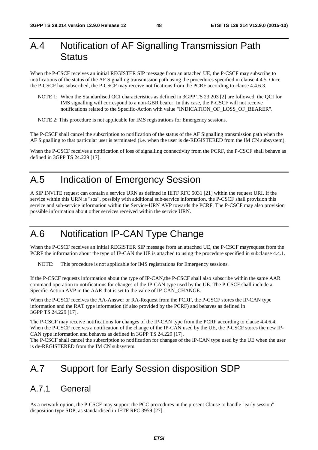## A.4 Notification of AF Signalling Transmission Path **Status**

When the P-CSCF receives an initial REGISTER SIP message from an attached UE, the P-CSCF may subscribe to notifications of the status of the AF Signalling transmission path using the procedures specified in clause 4.4.5. Once the P-CSCF has subscribed, the P-CSCF may receive notifications from the PCRF according to clause 4.4.6.3.

- NOTE 1: When the Standardised QCI characteristics as defined in 3GPP TS 23.203 [2] are followed, the QCI for IMS signalling will correspond to a non-GBR bearer. In this case, the P-CSCF will not receive notifications related to the Specific-Action with value "INDICATION\_OF\_LOSS\_OF\_BEARER".
- NOTE 2: This procedure is not applicable for IMS registrations for Emergency sessions.

The P-CSCF shall cancel the subscription to notification of the status of the AF Signalling transmission path when the AF Signalling to that particular user is terminated (i.e. when the user is de-REGISTERED from the IM CN subsystem).

When the P-CSCF receives a notification of loss of signalling connectivity from the PCRF, the P-CSCF shall behave as defined in 3GPP TS 24.229 [17].

## A.5 Indication of Emergency Session

A SIP INVITE request can contain a service URN as defined in IETF RFC 5031 [21] within the request URI. If the service within this URN is "sos", possibly with additional sub-service information, the P-CSCF shall provision this service and sub-service information within the Service-URN AVP towards the PCRF. The P-CSCF may also provision possible information about other services received within the service URN.

## A.6 Notification IP-CAN Type Change

When the P-CSCF receives an initial REGISTER SIP message from an attached UE, the P-CSCF mayrequest from the PCRF the information about the type of IP-CAN the UE is attached to using the procedure specified in subclause 4.4.1.

NOTE: This procedure is not applicable for IMS registrations for Emergency sessions.

If the P-CSCF requests information about the type of IP-CAN,the P-CSCF shall also subscribe within the same AAR command operation to notifications for changes of the IP-CAN type used by the UE. The P-CSCF shall include a Specific-Action AVP in the AAR that is set to the value of IP-CAN\_CHANGE.

When the P-CSCF receives the AA-Answer or RA-Request from the PCRF, the P-CSCF stores the IP-CAN type information and the RAT type information (if also provided by the PCRF) and behaves as defined in 3GPP TS 24.229 [17].

The P-CSCF may receive notifications for changes of the IP-CAN type from the PCRF according to clause 4.4.6.4. When the P-CSCF receives a notification of the change of the IP-CAN used by the UE, the P-CSCF stores the new IP-CAN type information and behaves as defined in 3GPP TS 24.229 [17].

The P-CSCF shall cancel the subscription to notification for changes of the IP-CAN type used by the UE when the user is de-REGISTERED from the IM CN subsystem.

## A.7 Support for Early Session disposition SDP

### A.7.1 General

As a network option, the P-CSCF may support the PCC procedures in the present Clause to handle "early session" disposition type SDP, as standardised in IETF RFC 3959 [27].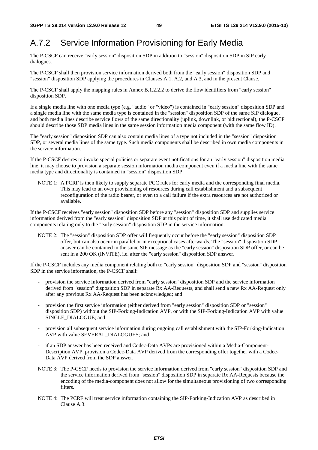## A.7.2 Service Information Provisioning for Early Media

The P-CSCF can receive "early session" disposition SDP in addition to "session" disposition SDP in SIP early dialogues.

The P-CSCF shall then provision service information derived both from the "early session" disposition SDP and "session" disposition SDP applying the procedures in Clauses A.1, A.2, and A.3, and in the present Clause.

The P-CSCF shall apply the mapping rules in Annex B.1.2.2.2 to derive the flow identifiers from "early session" disposition SDP.

If a single media line with one media type (e.g. "audio" or "video") is contained in "early session" disposition SDP and a single media line with the same media type is contained in the "session" disposition SDP of the same SIP dialogue, and both media lines describe service flows of the same directionality (uplink, downlink, or bidirectional), the P-CSCF should describe those SDP media lines in the same session information media component (with the same flow ID).

The "early session" disposition SDP can also contain media lines of a type not included in the "session" disposition SDP, or several media lines of the same type. Such media components shall be described in own media components in the service information.

If the P-CSCF desires to invoke special policies or separate event notifications for an "early session" disposition media line, it may choose to provision a separate session information media component even if a media line with the same media type and directionality is contained in "session" disposition SDP.

NOTE 1: A PCRF is then likely to supply separate PCC rules for early media and the corresponding final media. This may lead to an over provisioning of resources during call establishment and a subsequent reconfiguration of the radio bearer, or even to a call failure if the extra resources are not authorized or available.

If the P-CSCF receives "early session" disposition SDP before any "session" disposition SDP and supplies service information derived from the "early session" disposition SDP at this point of time, it shall use dedicated media components relating only to the "early session" disposition SDP in the service information.

NOTE 2: The "session" disposition SDP offer will frequently occur before the "early session" disposition SDP offer, but can also occur in parallel or in exceptional cases afterwards. The "session" disposition SDP answer can be contained in the same SIP message as the "early session" disposition SDP offer, or can be sent in a 200 OK (INVITE), i.e. after the "early session" disposition SDP answer.

If the P-CSCF includes any media component relating both to "early session" disposition SDP and "session" disposition SDP in the service information, the P-CSCF shall:

- provision the service information derived from "early session" disposition SDP and the service information derived from "session" disposition SDP in separate Rx AA-Requests, and shall send a new Rx AA-Request only after any previous Rx AA-Request has been acknowledged; and
- provision the first service information (either derived from "early session" disposition SDP or "session" disposition SDP) without the SIP-Forking-Indication AVP, or with the SIP-Forking-Indication AVP with value SINGLE\_DIALOGUE; and
- provision all subsequent service information during ongoing call establishment with the SIP-Forking-Indication AVP with value SEVERAL\_DIALOGUES; and
- if an SDP answer has been received and Codec-Data AVPs are provisioned within a Media-Component-Description AVP, provision a Codec-Data AVP derived from the corresponding offer together with a Codec-Data AVP derived from the SDP answer.
- NOTE 3: The P-CSCF needs to provision the service information derived from "early session" disposition SDP and the service information derived from "session" disposition SDP in separate Rx AA-Requests because the encoding of the media-component does not allow for the simultaneous provisioning of two corresponding filters.
- NOTE 4: The PCRF will treat service information containing the SIP-Forking-Indication AVP as described in Clause A.3.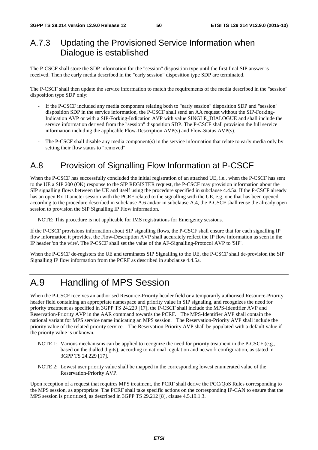## A.7.3 Updating the Provisioned Service Information when Dialogue is established

The P-CSCF shall store the SDP information for the "session" disposition type until the first final SIP answer is received. Then the early media described in the "early session" disposition type SDP are terminated.

The P-CSCF shall then update the service information to match the requirements of the media described in the "session" disposition type SDP only:

- If the P-CSCF included any media component relating both to "early session" disposition SDP and "session" disposition SDP in the service information, the P-CSCF shall send an AA request without the SIP-Forking-Indication AVP or with a SIP-Forking-Indication AVP with value SINGLE\_DIALOGUE and shall include the service information derived from the "session" disposition SDP. The P-CSCF shall provision the full service information including the applicable Flow-Description AVP(s) and Flow-Status AVP(s).
- The P-CSCF shall disable any media component(s) in the service information that relate to early media only by setting their flow status to "removed".

## A.8 Provision of Signalling Flow Information at P-CSCF

When the P-CSCF has successfully concluded the initial registration of an attached UE, i.e., when the P-CSCF has sent to the UE a SIP 200 (OK) response to the SIP REGISTER request, the P-CSCF may provision information about the SIP signalling flows between the UE and itself using the procedure specified in subclause 4.4.5a. If the P-CSCF already has an open Rx Diameter session with the PCRF related to the signalling with the UE, e.g. one that has been opened according to the procedure described in subclause A.6 and/or in subclause A.4, the P-CSCF shall reuse the already open session to provision the SIP Signalling IP Flow information.

NOTE: This procedure is not applicable for IMS registrations for Emergency sessions.

If the P-CSCF provisions information about SIP signalling flows, the P-CSCF shall ensure that for each signalling IP flow information it provides, the Flow-Description AVP shall accurately reflect the IP flow information as seen in the IP header 'on the wire'. The P-CSCF shall set the value of the AF-Signalling-Protocol AVP to 'SIP'.

When the P-CSCF de-registers the UE and terminates SIP Signalling to the UE, the P-CSCF shall de-provision the SIP Signalling IP flow information from the PCRF as described in subclause 4.4.5a.

## A.9 Handling of MPS Session

When the P-CSCF receives an authorised Resource-Priority header field or a temporarily authorised Resource-Priority header field containing an appropriate namespace and priority value in SIP signaling, and recognizes the need for priority treatment as specified in 3GPP TS 24.229 [17], the P-CSCF shall include the MPS-Identifier AVP and Reservation-Priority AVP in the AAR command towards the PCRF. The MPS-Identifier AVP shall contain the national variant for MPS service name indicating an MPS session. The Reservation-Priority AVP shall include the priority value of the related priority service. The Reservation-Priority AVP shall be populated with a default value if the priority value is unknown.

- NOTE 1: Various mechanisms can be applied to recognize the need for priority treatment in the P-CSCF (e.g., based on the dialled digits), according to national regulation and network configuration, as stated in 3GPP TS 24.229 [17].
- NOTE 2: Lowest user priority value shall be mapped in the corresponding lowest enumerated value of the Reservation-Priority AVP.

Upon reception of a request that requires MPS treatment, the PCRF shall derive the PCC/QoS Rules corresponding to the MPS session, as appropriate. The PCRF shall take specific actions on the corresponding IP-CAN to ensure that the MPS session is prioritized, as described in 3GPP TS 29.212 [8], clause 4.5.19.1.3.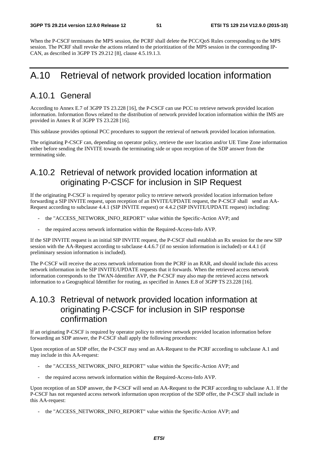When the P-CSCF terminates the MPS session, the PCRF shall delete the PCC/OoS Rules corresponding to the MPS session. The PCRF shall revoke the actions related to the prioritization of the MPS session in the corresponding IP-CAN, as described in 3GPP TS 29.212 [8], clause 4.5.19.1.3.

## A.10 Retrieval of network provided location information

### A.10.1 General

According to Annex E.7 of 3GPP TS 23.228 [16], the P-CSCF can use PCC to retrieve network provided location information. Information flows related to the distribution of network provided location information within the IMS are provided in Annex R of 3GPP TS 23.228 [16].

This sublause provides optional PCC procedures to support the retrieval of network provided location information.

The originating P-CSCF can, depending on operator policy, retrieve the user location and/or UE Time Zone information either before sending the INVITE towards the terminating side or upon reception of the SDP answer from the terminating side.

## A.10.2 Retrieval of network provided location information at originating P-CSCF for inclusion in SIP Request

If the originating P-CSCF is required by operator policy to retrieve network provided location information before forwarding a SIP INVITE request, upon reception of an INVITE/UPDATE request, the P-CSCF shall send an AA-Request according to subclause 4.4.1 (SIP INVITE request) or 4.4.2 (SIP INVITE/UPDATE request) including:

- the "ACCESS\_NETWORK\_INFO\_REPORT" value within the Specific-Action AVP; and
- the required access network information within the Required-Access-Info AVP.

If the SIP INVITE request is an initial SIP INVITE request, the P-CSCF shall establish an Rx session for the new SIP session with the AA-Request according to subclause 4.4.6.7 (if no session information is included) or 4.4.1 (if preliminary session information is included).

The P-CSCF will receive the access network information from the PCRF in an RAR, and should include this access network information in the SIP INVITE/UPDATE requests that it forwards. When the retrieved access network information corresponds to the TWAN-Identifier AVP, the P-CSCF may also map the retrieved access network information to a Geographical Identifier for routing, as specified in Annex E.8 of 3GPP TS 23.228 [16].

## A.10.3 Retrieval of network provided location information at originating P-CSCF for inclusion in SIP response confirmation

If an originating P-CSCF is required by operator policy to retrieve network provided location information before forwarding an SDP answer, the P-CSCF shall apply the following procedures:

Upon reception of an SDP offer, the P-CSCF may send an AA-Request to the PCRF according to subclause A.1 and may include in this AA-request:

- the "ACCESS\_NETWORK\_INFO\_REPORT" value within the Specific-Action AVP; and
- the required access network information within the Required-Access-Info AVP.

Upon reception of an SDP answer, the P-CSCF will send an AA-Request to the PCRF according to subclause A.1. If the P-CSCF has not requested access network information upon reception of the SDP offer, the P-CSCF shall include in this AA-request:

the "ACCESS\_NETWORK\_INFO\_REPORT" value within the Specific-Action AVP; and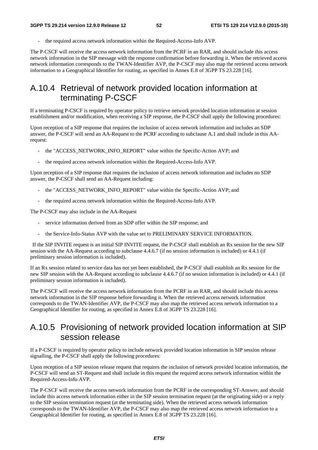the required access network information within the Required-Access-Info AVP.

The P-CSCF will receive the access network information from the PCRF in an RAR, and should include this access network information in the SIP message with the response confirmation before forwarding it. When the retrieved access network information corresponds to the TWAN-Identifier AVP, the P-CSCF may also map the retrieved access network information to a Geographical Identifier for routing, as specified in Annex E.8 of 3GPP TS 23.228 [16].

## A.10.4 Retrieval of network provided location information at terminating P-CSCF

If a terminating P-CSCF is required by operator policy to retrieve network provided location information at session establishment and/or modification, when receiving a SIP response, the P-CSCF shall apply the following procedures:

Upon reception of a SIP response that requires the inclusion of access network information and includes an SDP answer, the P-CSCF will send an AA-Request to the PCRF according to subclause A.1 and shall include in this AArequest:

- the "ACCESS\_NETWORK\_INFO\_REPORT" value within the Specific-Action AVP; and
- the required access network information within the Required-Access-Info AVP.

Upon reception of a SIP response that requires the inclusion of access network information and includes no SDP answer, the P-CSCF shall send an AA-Request including:

- the "ACCESS\_NETWORK\_INFO\_REPORT" value within the Specific-Action AVP; and
- the required access network information within the Required-Access-Info AVP.

The P-CSCF may also include in the AA-Request

- service information derived from an SDP offer within the SIP response; and
- the Service-Info-Status AVP with the value set to PRELIMINARY SERVICE INFORMATION.

 If the SIP INVITE request is an initial SIP INVITE request, the P-CSCF shall establish an Rx session for the new SIP session with the AA-Request according to subclause 4.4.6.7 (if no session information is included) or 4.4.1 (if preliminary session information is included).

If an Rx session related to service data has not yet been established, the P-CSCF shall establish an Rx session for the new SIP session with the AA-Request according to subclause 4.4.6.7 (if no session information is included) or 4.4.1 (if preliminary session information is included).

The P-CSCF will receive the access network information from the PCRF in an RAR, and should include this access network information in the SIP response before forwarding it. When the retrieved access network information corresponds to the TWAN-Identifier AVP, the P-CSCF may also map the retrieved access network information to a Geographical Identifier for routing, as specified in Annex E.8 of 3GPP TS 23.228 [16].

## A.10.5 Provisioning of network provided location information at SIP session release

If a P-CSCF is required by operator policy to include network provided location information in SIP session release signalling, the P-CSCF shall apply the following procedures:

Upon reception of a SIP session release request that requires the inclusion of network provided location information, the P-CSCF will send an ST-Request and shall include in this request the required access network information within the Required-Access-Info AVP.

The P-CSCF will receive the access network information from the PCRF in the corresponding ST-Answer, and should include this access network information either in the SIP session termination request (at the originating side) or a reply to the SIP session termination request (at the terminating side). When the retrieved access network information corresponds to the TWAN-Identifier AVP, the P-CSCF may also map the retrieved access network information to a Geographical Identifier for routing, as specified in Annex E.8 of 3GPP TS 23.228 [16].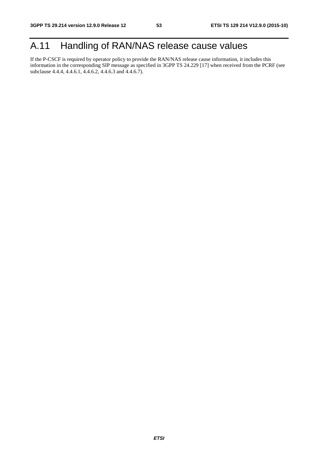## A.11 Handling of RAN/NAS release cause values

If the P-CSCF is required by operator policy to provide the RAN/NAS release cause information, it includes this information in the corresponding SIP message as specified in 3GPP TS 24.229 [17] when received from the PCRF (see subclause 4.4.4, 4.4.6.1, 4.4.6.2, 4.4.6.3 and 4.4.6.7).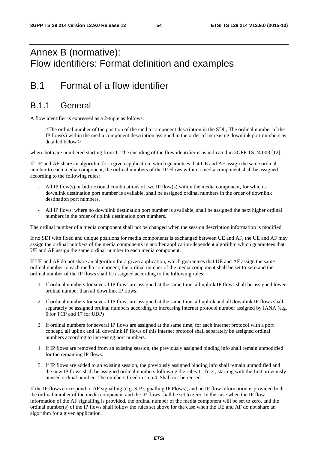## Annex B (normative): Flow identifiers: Format definition and examples

## B.1 Format of a flow identifier

### B.1.1 General

A flow identifier is expressed as a 2-tuple as follows:

 <The ordinal number of the position of the media component description in the SDI , The ordinal number of the IP flow(s) within the media component description assigned in the order of increasing downlink port numbers as detailed below >

where both are numbered starting from 1. The encoding of the flow identifier is as indicated in 3GPP TS 24.008 [12].

If UE and AF share an algorithm for a given application, which guarantees that UE and AF assign the same ordinal number to each media component, the ordinal numbers of the IP Flows within a media component shall be assigned according to the following rules:

- All IP flow(s) or bidirectional combinations of two IP flow(s) within the media component, for which a downlink destination port number is available, shall be assigned ordinal numbers in the order of downlink destination port numbers.
- All IP flows, where no downlink destination port number is available, shall be assigned the next higher ordinal numbers in the order of uplink destination port numbers.

The ordinal number of a media component shall not be changed when the session description information is modified.

If no SDI with fixed and unique positions for media components is exchanged between UE and AF, the UE and AF may assign the ordinal numbers of the media components in another application-dependent algorithm which guarantees that UE and AF assign the same ordinal number to each media component.

If UE and AF do not share an algorithm for a given application, which guarantees that UE and AF assign the same ordinal number to each media component, the ordinal number of the media component shall be set to zero and the ordinal number of the IP flows shall be assigned according to the following rules:

- 1. If ordinal numbers for several IP flows are assigned at the same time, all uplink IP flows shall be assigned lower ordinal number than all downlink IP flows.
- 2. If ordinal numbers for several IP flows are assigned at the same time, all uplink and all downlink IP flows shall separately be assigned ordinal numbers according to increasing internet protocol number assigned by IANA (e.g. 6 for TCP and 17 for UDP)
- 3. If ordinal numbers for several IP flows are assigned at the same time, for each internet protocol with a port concept, all uplink and all downlink IP flows of this internet protocol shall separately be assigned ordinal numbers according to increasing port numbers.
- 4. If IP flows are removed from an existing session, the previously assigned binding info shall remain unmodified for the remaining IP flows.
- 5. If IP flows are added to an existing session, the previously assigned binding info shall remain unmodified and the new IP flows shall be assigned ordinal numbers following the rules 1. To 3., starting with the first previously unused ordinal number. The numbers freed in step 4. Shall not be reused.

If the IP flows correspond to AF signalling (e.g. SIP signalling IP Flows), and no IP flow information is provided both the ordinal number of the media component and the IP flows shall be set to zero. In the case when the IP flow information of the AF signalling is provided, the ordinal number of the media component will be set to zero, and the ordinal number(s) of the IP flows shall follow the rules set above for the case when the UE and AF do not share an algorithm for a given application.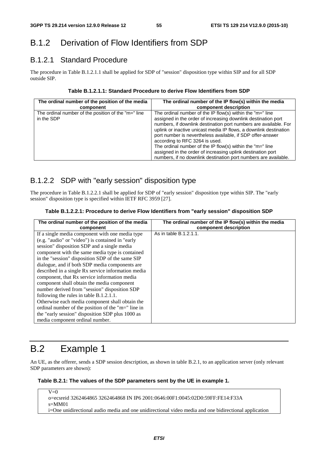## B.1.2 Derivation of Flow Identifiers from SDP

### B.1.2.1 Standard Procedure

The procedure in Table B.1.2.1.1 shall be applied for SDP of "session" disposition type within SIP and for all SDP outside SIP.

#### **Table B.1.2.1.1: Standard Procedure to derive Flow Identifiers from SDP**

| The ordinal number of the position of the media                   | The ordinal number of the IP flow(s) within the media                                                                                                                                                                                                                                                                                                                                                                                                                                                                                                                   |
|-------------------------------------------------------------------|-------------------------------------------------------------------------------------------------------------------------------------------------------------------------------------------------------------------------------------------------------------------------------------------------------------------------------------------------------------------------------------------------------------------------------------------------------------------------------------------------------------------------------------------------------------------------|
| component                                                         | component description                                                                                                                                                                                                                                                                                                                                                                                                                                                                                                                                                   |
| The ordinal number of the position of the "m=" line<br>in the SDP | The ordinal number of the IP flow(s) within the " $m =$ " line<br>assigned in the order of increasing downlink destination port<br>numbers, if downlink destination port numbers are available. For<br>uplink or inactive unicast media IP flows, a downlink destination<br>port number is nevertheless available, if SDP offer-answer<br>according to RFC 3264 is used.<br>The ordinal number of the IP flow(s) within the "m=" line<br>assigned in the order of increasing uplink destination port<br>numbers, if no downlink destination port numbers are available. |

### B.1.2.2 SDP with "early session" disposition type

The procedure in Table B.1.2.2.1 shall be applied for SDP of "early session" disposition type within SIP. The "early session" disposition type is specified within IETF RFC 3959 [27].

#### **Table B.1.2.2.1: Procedure to derive Flow Identifiers from "early session" disposition SDP**

| The ordinal number of the position of the media    | The ordinal number of the IP flow(s) within the media |
|----------------------------------------------------|-------------------------------------------------------|
| component                                          | component description                                 |
| If a single media component with one media type    | As in table B.1.2.1.1.                                |
| (e.g. "audio" or "video") is contained in "early   |                                                       |
| session" disposition SDP and a single media        |                                                       |
| component with the same media type is contained    |                                                       |
| in the "session" disposition SDP of the same SIP   |                                                       |
| dialogue, and if both SDP media components are     |                                                       |
| described in a single Rx service information media |                                                       |
| component, that Rx service information media       |                                                       |
| component shall obtain the media component         |                                                       |
| number derived from "session" disposition SDP      |                                                       |
| following the rules in table B.1.2.1.1.            |                                                       |
| Otherwise each media component shall obtain the    |                                                       |
| ordinal number of the position of the "m=" line in |                                                       |
| the "early session" disposition SDP plus 1000 as   |                                                       |
| media component ordinal number.                    |                                                       |

## B.2 Example 1

An UE, as the offerer, sends a SDP session description, as shown in table B.2.1, to an application server (only relevant SDP parameters are shown):

#### **Table B.2.1: The values of the SDP parameters sent by the UE in example 1.**

 $\overline{V=0}$ o=ecsreid 3262464865 3262464868 IN IP6 2001:0646:00F1:0045:02D0:59FF:FE14:F33A s=MM01 i=One unidirectional audio media and one unidirectional video media and one bidirectional application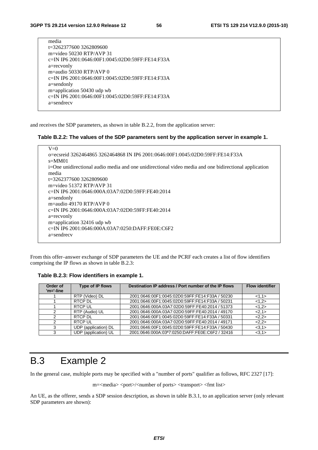| media                                            |
|--------------------------------------------------|
| t=3262377600 3262809600                          |
| m=video 50230 RTP/AVP 31                         |
| c=IN IP6 2001:0646:00F1:0045:02D0:59FF:FE14:F33A |
| a=recvonly                                       |
| m=audio 50330 RTP/AVP $0$                        |
| c=IN IP6 2001:0646:00F1:0045:02D0:59FF:FE14:F33A |
| a=sendonly                                       |
| m=application 50430 udp wb                       |
| c=IN IP6 2001:0646:00F1:0045:02D0:59FF:FE14:F33A |
| $a=$ sendrec $v$                                 |
|                                                  |

and receives the SDP parameters, as shown in table B.2.2, from the application server:

#### **Table B.2.2: The values of the SDP parameters sent by the application server in example 1.**

| $V=0$                                                                                                 |
|-------------------------------------------------------------------------------------------------------|
| o=ecsreid 3262464865 3262464868 IN IP6 2001:0646:00F1:0045:02D0:59FF:FE14:F33A                        |
| $s = MM01$                                                                                            |
| i=One unidirectional audio media and one unidirectional video media and one bidirectional application |
| media                                                                                                 |
| t=3262377600 3262809600                                                                               |
| m=video 51372 RTP/AVP 31                                                                              |
| e=IN IP6 2001:0646:000A:03A7:02D0:59FF:FE40:2014                                                      |
| $a =$ sendonly                                                                                        |
| m=audio 49170 RTP/AVP $\theta$                                                                        |
| e=IN IP6 2001:0646:000A:03A7:02D0:59FF:FE40:2014                                                      |
| a=recvonly                                                                                            |
| m=application 32416 udp wb                                                                            |
| c=IN IP6 2001:0646:000A:03A7:0250:DAFF:FE0E:C6F2                                                      |
| $a =$ sendrec $v$                                                                                     |
|                                                                                                       |

From this offer–answer exchange of SDP parameters the UE and the PCRF each creates a list of flow identifiers comprising the IP flows as shown in table B.2.3:

**Table B.2.3: Flow identifiers in example 1.** 

| Order of<br>$'m='-line$ | Type of IP flows     | Destination IP address / Port number of the IP flows | <b>Flow identifier</b> |
|-------------------------|----------------------|------------------------------------------------------|------------------------|
|                         | RTP (Video) DL       | 2001:0646:00F1:0045:02D0:59FF:FE14:F33A / 50230      | <1,1>                  |
|                         | RTCP DL              | 2001:0646:00F1:0045:02D0:59FF:FE14:F33A / 50231      | <1,2>                  |
|                         | <b>RTCP UL</b>       | 2001:0646:000A:03A7:02D0:59FF:FE40:2014 / 51373      | <1,2>                  |
| 2                       | RTP (Audio) UL       | 2001:0646:000A:03A7:02D0:59FF:FE40:2014 / 49170      | <2,1>                  |
| 2                       | RTCP DL              | 2001:0646:00F1:0045:02D0:59FF:FE14:F33A / 50331      | 2,2>                   |
| 2                       | <b>RTCP UL</b>       | 2001:0646:000A:03A7:02D0:59FF:FE40:2014 / 49171      | 2,2>                   |
| 3                       | UDP (application) DL | 2001:0646:00F1:0045:02D0:59FF:FE14:F33A / 50430      | <3,1>                  |
| 3                       | UDP (application) UL | 2001:0646:000A:03ª7:0250:DAFF:FE0E:C6F2 / 32416      | <3,1>                  |

## B.3 Example 2

In the general case, multiple ports may be specified with a "number of ports" qualifier as follows, RFC 2327 [17]:

m=<media> <port>/<number of ports> <transport> <fmt list>

An UE, as the offerer, sends a SDP session description, as shown in table B.3.1, to an application server (only relevant SDP parameters are shown):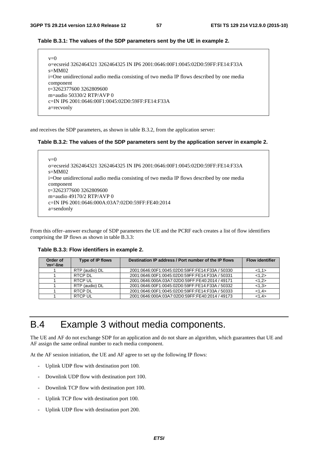#### **Table B.3.1: The values of the SDP parameters sent by the UE in example 2.**

| $v=0$                                                                                    |
|------------------------------------------------------------------------------------------|
| o=ecsreid 3262464321 3262464325 IN IP6 2001:0646:00F1:0045:02D0:59FF:FE14:F33A           |
| $s=MM02$                                                                                 |
| i=One unidirectional audio media consisting of two media IP flows described by one media |
| component                                                                                |
| $t=32623776003262809600$                                                                 |
| m=audio 50330/2 RTP/AVP 0                                                                |
| c=IN IP6 2001:0646:00F1:0045:02D0:59FF:FE14:F33A                                         |
| a=recvonly                                                                               |

and receives the SDP parameters, as shown in table B.3.2, from the application server:

#### **Table B.3.2: The values of the SDP parameters sent by the application server in example 2.**

```
v=0o=ecsreid 3262464321 3262464325 IN IP6 2001:0646:00F1:0045:02D0:59FF:FE14:F33A 
s=MM02 
i=One unidirectional audio media consisting of two media IP flows described by one media 
component 
t=3262377600 3262809600 
m=audio 49170/2 RTP/AVP 0 
c=IN IP6 2001:0646:000A:03A7:02D0:59FF:FE40:2014 
a=sendonly
```
From this offer–answer exchange of SDP parameters the UE and the PCRF each creates a list of flow identifiers comprising the IP flows as shown in table B.3.3:

**Table B.3.3: Flow identifiers in example 2.** 

| Order of<br>$'m='-line$ | Type of IP flows | Destination IP address / Port number of the IP flows | <b>Flow identifier</b> |
|-------------------------|------------------|------------------------------------------------------|------------------------|
|                         | RTP (audio) DL   | 2001:0646:00F1:0045:02D0:59FF:FE14:F33A / 50330      | <1,1>                  |
|                         | RTCP DI          | 2001:0646:00F1:0045:02D0:59FF:FE14:F33A / 50331      | <1.2>                  |
|                         | RTCP UL          | 2001:0646:000A:03A7:02D0:59FF:FE40:2014 / 49171      | <1.2>                  |
|                         | RTP (audio) DL   | 2001:0646:00F1:0045:02D0:59FF:FE14:F33A / 50332      | <1.3>                  |
|                         | RTCP DL          | 2001:0646:00F1:0045:02D0:59FF:FE14:F33A / 50333      | <1.4>                  |
|                         | RTCP UI          | 2001:0646:000A:03A7:02D0:59FF:FE40:2014 / 49173      | <1.4>                  |

## B.4 Example 3 without media components.

The UE and AF do not exchange SDP for an application and do not share an algorithm, which guarantees that UE and AF assign the same ordinal number to each media component.

At the AF session initiation, the UE and AF agree to set up the following IP flows:

- Uplink UDP flow with destination port 100.
- Downlink UDP flow with destination port 100.
- Downlink TCP flow with destination port 100.
- Uplink TCP flow with destination port 100.
- Uplink UDP flow with destination port 200.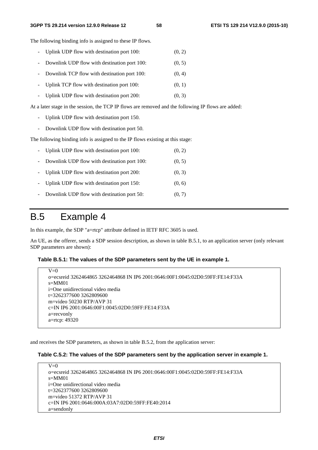#### **3GPP TS 29.214 version 12.9.0 Release 12 58 ETSI TS 129 214 V12.9.0 (2015-10)**

The following binding info is assigned to these IP flows.

- Uplink UDP flow with destination port 100: (0, 2)
- Downlink UDP flow with destination port 100: (0, 5)
- Downlink TCP flow with destination port 100: (0, 4)
- Uplink TCP flow with destination port 100: (0, 1)
- Uplink UDP flow with destination port  $200$ :  $(0, 3)$

At a later stage in the session, the TCP IP flows are removed and the following IP flows are added:

- Uplink UDP flow with destination port 150.
- Downlink UDP flow with destination port 50.

The following binding info is assigned to the IP flows existing at this stage:

|        | - Uplink UDP flow with destination port 100: | (0, 2) |
|--------|----------------------------------------------|--------|
| $\sim$ | Downlink UDP flow with destination port 100: | (0, 5) |
|        | - Uplink UDP flow with destination port 200: | (0, 3) |
|        | - Uplink UDP flow with destination port 150: | (0, 6) |
|        | Downlink UDP flow with destination port 50:  | (0, 7) |

## B.5 Example 4

In this example, the SDP "a=rtcp" attribute defined in IETF RFC 3605 is used.

An UE, as the offerer, sends a SDP session description, as shown in table B.5.1, to an application server (only relevant SDP parameters are shown):

#### **Table B.5.1: The values of the SDP parameters sent by the UE in example 1.**

```
V=0o=ecsreid 3262464865 3262464868 IN IP6 2001:0646:00F1:0045:02D0:59FF:FE14:F33A 
s=MM01 
i=One unidirectional video media 
t=3262377600 3262809600 
m=video 50230 RTP/AVP 31 
c=IN IP6 2001:0646:00F1:0045:02D0:59FF:FE14:F33A 
a=recvonly 
a=rtcp: 49320
```
and receives the SDP parameters, as shown in table B.5.2, from the application server:

#### **Table C.5.2: The values of the SDP parameters sent by the application server in example 1.**

| $V=0$                                                                          |
|--------------------------------------------------------------------------------|
| o=ecsreid 3262464865 3262464868 IN IP6 2001:0646:00F1:0045:02D0:59FF:FE14:F33A |
| $s = M M 01$                                                                   |
| i=One unidirectional video media                                               |
| t=3262377600 3262809600                                                        |
| $m =$ video 51372 RTP/AVP 31                                                   |
| e = IN IP6 2001:0646:000A:03A7:02D0:59FF:FE40:2014                             |
| a=sendonly                                                                     |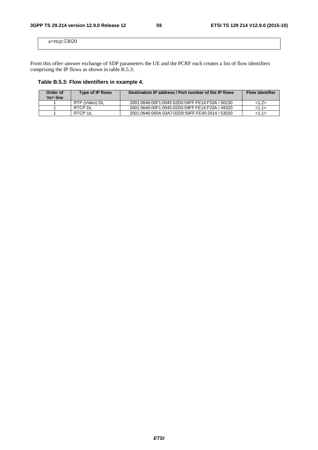a=rtcp:53020

From this offer–answer exchange of SDP parameters the UE and the PCRF each creates a list of flow identifiers comprising the IP flows as shown in table B.5.3:

**Table B.5.3: Flow identifiers in example 4.** 

| Order of<br>'m='-line | <b>Type of IP flows</b> | Destination IP address / Port number of the IP flows | <b>Flow identifier</b> |
|-----------------------|-------------------------|------------------------------------------------------|------------------------|
|                       | RTP (Video) DL          | 2001:0646:00F1:0045:02D0:59FF:FE14:F33A / 50230      | <1.2>                  |
|                       | RTCP DL                 | 2001:0646:00F1:0045:02D0:59FF:FE14:F33A / 49320      | 1.1>                   |
|                       | <b>RTCP UL</b>          | 2001:0646:000A:03A7:02D0:59FF:FE40:2014 / 53020      | <1.1>                  |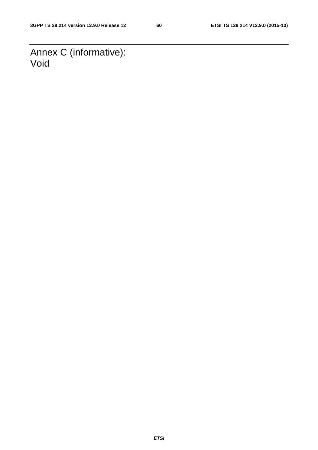Annex C (informative): Void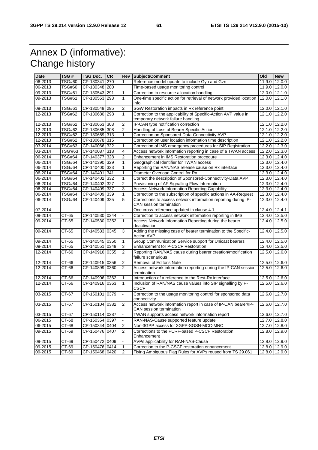## Annex D (informative): Change history

| <b>Date</b> | TSG#           | <b>TSG Doc.</b> | <b>CR</b> |                  | Rev Subject/Comment                                                                       | Old    | <b>New</b>      |
|-------------|----------------|-----------------|-----------|------------------|-------------------------------------------------------------------------------------------|--------|-----------------|
| 06-2013     | <b>TSG#60</b>  | CP-130341       | 270       | 1                | Reference model update to include Gyn and Gzn                                             | 11.9.0 | 12.0.0          |
| 06-2013     | <b>TSG#60</b>  | CP-130348 280   |           |                  | Time-based usage monitoring control                                                       | 11.9.0 | 12.0.0          |
| 09-2013     | <b>TSG#61</b>  | CP-130543 291   |           |                  | Correction to resource allocation handling                                                |        | 12.0.0 12.1.0   |
| 09-2013     | <b>TSG#61</b>  | CP-130553 293   |           | 1                | One-time specific action for retrieval of network provided location                       | 12.0.0 | 12.1.0          |
|             |                |                 |           |                  | info.                                                                                     |        |                 |
| 09-2013     | <b>TSG#61</b>  | CP-130549 295   |           | $\boldsymbol{2}$ | SGW Restoration impacts in Rx reference point                                             | 12.0.0 | 12.1.0          |
| 12-2013     | <b>TSG#62</b>  | CP-130680 298   |           | $\mathbf{1}$     | Correction to the applicability of Specific-Action AVP value in                           | 12.1.0 | 12.2.0          |
|             |                |                 |           |                  | temporary network failure handling                                                        |        |                 |
| 12-2013     | <b>TSG#62</b>  | CP-130663       | 303       | $\overline{2}$   | IP-CAN type notification correction                                                       | 12.1.0 | 12.2.0          |
| 12-2013     | <b>TSG#62</b>  | CP-130685 308   |           | $\boldsymbol{2}$ | Handling of Loss of Bearer Specific Action                                                | 12.1.0 | 12.2.0          |
| 12-2013     | <b>TSG#62</b>  | CP-130669 313   |           | 1                | Correction on Sponsored-Data-Connectivity AVP                                             |        | 12.1.0 12.2.0   |
| 12-2013     | <b>TSG#62</b>  | CP-130678 315   |           |                  | Correction on user location information time description                                  | 12.1.0 | 12.2.0          |
| 03-2014     | <b>TSG#63</b>  | CP-140066 322   |           | 1                | Correction of IMS emergency procedures for SIP Registration                               | 12.2.0 | 12.3.0          |
| 03-2014     | <b>TSG'#63</b> | CP-140087 318   |           | 4                | Access network information reporting in case of a TWAN access                             |        | 12.2.0 12.3.0   |
| 06-2014     | <b>TSG#64</b>  | CP-140377 328   |           | $\overline{2}$   | Enhancement in IMS Restoration procedure                                                  |        | 12.3.0 12.4.0   |
| 06-2014     | <b>TSG#64</b>  | CP-140390 329   |           | 1                | Geographical Identifier for TWAN access                                                   |        | 12.3.0 12.4.0   |
| 06-2014     | <b>TSG#64</b>  | CP-140400 333   |           | 1                | Reporting the RAN/NAS release cause on Rx interface                                       |        | 12.3.0 12.4.0   |
| 06-2014     | <b>TSG#64</b>  | CP-140401 341   |           | 1                | Diameter Overload Control for Rx                                                          |        | 12.3.0 12.4.0   |
| 06-2014     | <b>TSG#64</b>  | CP-140402 332   |           | 1                | Correct the description of Sponsored-Connectivity-Data AVP                                |        | 12.3.0 12.4.0   |
| 06-2014     | <b>TSG#64</b>  | CP-140402 327   |           | $\overline{2}$   | Provisioning of AF Signalling Flow Information                                            | 12.3.0 | 12.4.0          |
| 06-2014     | <b>TSG#64</b>  | CP-140409 337   |           | 3                | <b>Access Network Information Reporting Capability</b>                                    |        | 12.3.0 12.4.0   |
| 06-2014     | <b>TSG#64</b>  | CP-140409 339   |           | 1                | Correction to the subscription of specific actions in AA-Request                          |        | 12.3.0 12.4.0   |
| 06-2014     | <b>TSG#64</b>  | CP-140409       | 335       | 5                | Corrections to access network information reporting during IP-<br>CAN session termination | 12.3.0 | 12.4.0          |
| 07-2014     |                |                 |           |                  | One cross-reference updated in clause 4.1                                                 | 12.4.0 | 12.4.1          |
| 09-2014     | CT-65          | CP-140530 0344  |           |                  | Correction to access network information reporting in IMS                                 | 12.4.0 | 12.5.0          |
| 09-2014     | CT-65          | CP-140530 0352  |           | 1                | Access Network Information Reporting during the bearer                                    | 12.4.0 | 12.5.0          |
| 09-2014     | CT-65          | CP-140533 0345  |           | 3                | deactivation<br>Adding the missing case of bearer termination to the Specific-            | 12.4.0 | 12.5.0          |
|             |                |                 |           |                  | <b>Action AVP</b>                                                                         |        |                 |
| 09-2014     | CT-65          | CP-140545 0350  |           | 1                | Group Communication Service support for Unicast bearers                                   | 12.4.0 | 12.5.0          |
| 09-2014     | CT-65          | CP-140551 0349  |           | 3                | Enhancement for P-CSCF Restoration                                                        |        | 12.4.0 12.5.0   |
| 12-2014     | $CT-66$        | CP-140916 0355  |           | $\overline{2}$   | Reporting RAN/NAS cause during bearer creation/modification<br>failure scenarious         | 12.5.0 | 12.6.0          |
| 12-2014     | CT-66          | CP-140915 0356  |           | $\overline{c}$   | Removal of Editor's Note                                                                  | 12.5.0 | 12.6.0          |
| 12-2014     | CT-66          | CP-140899 0360  |           | $\overline{2}$   | Access network information reporting during the IP-CAN session<br>termination             | 12.5.0 | 12.6.0          |
| 12-2014     | CT-66          | CP-140906       | 0362      | 1                | Introduction of a reference to the Rest-Rx interface                                      | 12.5.0 | 12.6.0          |
| 12-2014     | CT-66          | CP-140916 0363  |           | 1                | Inclusion of RAN/NAS cause values into SIP signalling by P-                               | 12.5.0 | 12.6.0          |
|             |                |                 |           |                  | <b>CSCF</b>                                                                               |        |                 |
| 03-2015     | CT-67          | CP-150101       | 0379      | L.               | Correction to the usage monitoring control for sponsored data                             | 12.6.0 | 12.7.0          |
| 03-2015     | CT-67          | CP-150104 0382  |           | $\overline{2}$   | connectivity<br>Access network information report in case of IP-CAN bearer/IP-            | 12.6.0 | 12.7.0          |
|             |                |                 |           |                  | CAN session termination                                                                   |        |                 |
| 03-2015     | $CT-67$        | CP-150114 0387  |           |                  | TWAN supports access network information report                                           |        | 12.6.0 12.7.0   |
| 06-2015     | CT-68          | CP-150354 0397  |           |                  | RAN-NAS-Cause supported feature update                                                    |        | 12.7.0 12.8.0   |
| 06-2015     | $CT-68$        | CP-150344 0404  |           | 2                | Non-3GPP access for 3GPP-SGSN-MCC-MNC                                                     |        | 12.7.0 12.8.0   |
| 09-2015     | CT-69          | CP-150476 0407  |           | 2                | Corrections to the PCRF-based P-CSCF Restoration<br>Enhancement                           | 12.8.0 | 12.9.0          |
| 09-2015     | CT-69          | CP-150472 0409  |           |                  | AVPs applicability for RAN-NAS-Cause                                                      |        | 12.8.0 12.9.0   |
| 09-2015     | CT-69          | CP-150476 0414  |           | 1                | Correction to the P-CSCF restoration enhancement                                          |        | 12.8.0 12.9.0   |
| 09-2015     | $CT-69$        | CP-150468 0420  |           | $\overline{2}$   | Fixing Ambiguous Flag Rules for AVPs reused from TS 29.061                                |        | $12.8.0$ 12.9.0 |
|             |                |                 |           |                  |                                                                                           |        |                 |